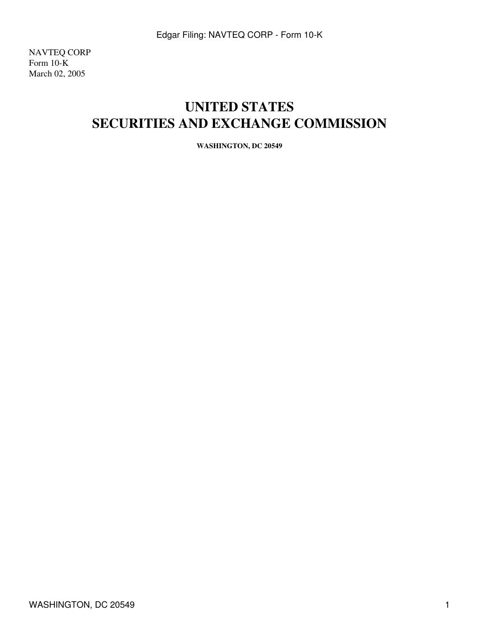NAVTEQ CORP Form 10-K March 02, 2005

# **UNITED STATES SECURITIES AND EXCHANGE COMMISSION**

**WASHINGTON, DC 20549**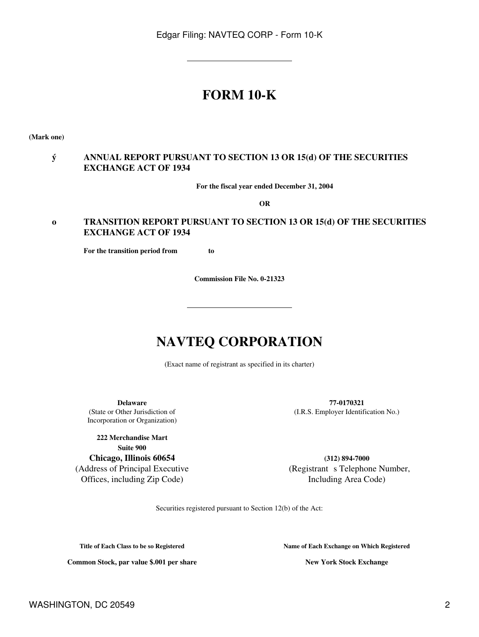# **FORM 10-K**

**(Mark one)**

### **ý ANNUAL REPORT PURSUANT TO SECTION 13 OR 15(d) OF THE SECURITIES EXCHANGE ACT OF 1934**

**For the fiscal year ended December 31, 2004**

**OR**

### **o TRANSITION REPORT PURSUANT TO SECTION 13 OR 15(d) OF THE SECURITIES EXCHANGE ACT OF 1934**

**For the transition period from to** 

**Commission File No. 0-21323**

# **NAVTEQ CORPORATION**

(Exact name of registrant as specified in its charter)

(State or Other Jurisdiction of Incorporation or Organization)

**222 Merchandise Mart Suite 900 Chicago, Illinois 60654** (Address of Principal Executive

Offices, including Zip Code)

**Delaware 77-0170321** (I.R.S. Employer Identification No.)

> **(312) 894-7000** (Registrant s Telephone Number, Including Area Code)

Securities registered pursuant to Section 12(b) of the Act:

**Title of Each Class to be so Registered Name of Each Exchange on Which Registered**

**Common Stock, par value \$.001 per share New York Stock Exchange**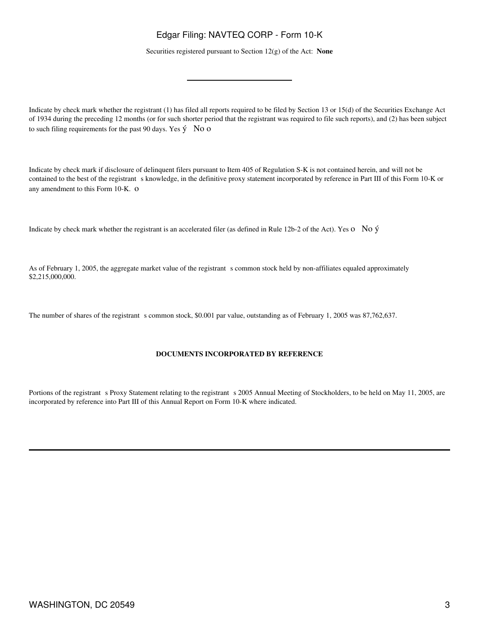Securities registered pursuant to Section 12(g) of the Act: **None**

Indicate by check mark whether the registrant (1) has filed all reports required to be filed by Section 13 or 15(d) of the Securities Exchange Act of 1934 during the preceding 12 months (or for such shorter period that the registrant was required to file such reports), and (2) has been subject to such filing requirements for the past 90 days. Yes  $\circ$  No o

Indicate by check mark if disclosure of delinquent filers pursuant to Item 405 of Regulation S-K is not contained herein, and will not be contained to the best of the registrant s knowledge, in the definitive proxy statement incorporated by reference in Part III of this Form 10-K or any amendment to this Form 10-K. o

Indicate by check mark whether the registrant is an accelerated filer (as defined in Rule 12b-2 of the Act). Yes o No ý

As of February 1, 2005, the aggregate market value of the registrant s common stock held by non-affiliates equaled approximately \$2,215,000,000.

The number of shares of the registrant s common stock, \$0.001 par value, outstanding as of February 1, 2005 was 87,762,637.

#### **DOCUMENTS INCORPORATED BY REFERENCE**

Portions of the registrant s Proxy Statement relating to the registrant s 2005 Annual Meeting of Stockholders, to be held on May 11, 2005, are incorporated by reference into Part III of this Annual Report on Form 10-K where indicated.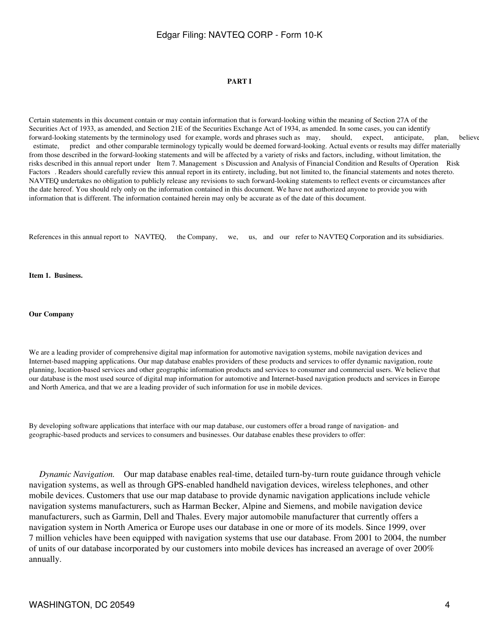#### **PART I**

Certain statements in this document contain or may contain information that is forward-looking within the meaning of Section 27A of the Securities Act of 1933, as amended, and Section 21E of the Securities Exchange Act of 1934, as amended. In some cases, you can identify forward-looking statements by the terminology used for example, words and phrases such as may, should, expect, anticipate, plan, believe estimate, predict and other comparable terminology typically would be deemed forward-looking. Actual events or results may differ materially from those described in the forward-looking statements and will be affected by a variety of risks and factors, including, without limitation, the risks described in this annual report under Item 7. Management s Discussion and Analysis of Financial Condition and Results of Operation Risk Factors. Readers should carefully review this annual report in its entirety, including, but not limited to, the financial statements and notes thereto. NAVTEQ undertakes no obligation to publicly release any revisions to such forward-looking statements to reflect events or circumstances after the date hereof. You should rely only on the information contained in this document. We have not authorized anyone to provide you with information that is different. The information contained herein may only be accurate as of the date of this document.

References in this annual report to NAVTEQ, the Company, we, us, and our refer to NAVTEQ Corporation and its subsidiaries.

**Item 1. Business.**

**Our Company**

We are a leading provider of comprehensive digital map information for automotive navigation systems, mobile navigation devices and Internet-based mapping applications. Our map database enables providers of these products and services to offer dynamic navigation, route planning, location-based services and other geographic information products and services to consumer and commercial users. We believe that our database is the most used source of digital map information for automotive and Internet-based navigation products and services in Europe and North America, and that we are a leading provider of such information for use in mobile devices.

By developing software applications that interface with our map database, our customers offer a broad range of navigation- and geographic-based products and services to consumers and businesses. Our database enables these providers to offer:

 *Dynamic Navigation.* Our map database enables real-time, detailed turn-by-turn route guidance through vehicle navigation systems, as well as through GPS-enabled handheld navigation devices, wireless telephones, and other mobile devices. Customers that use our map database to provide dynamic navigation applications include vehicle navigation systems manufacturers, such as Harman Becker, Alpine and Siemens, and mobile navigation device manufacturers, such as Garmin, Dell and Thales. Every major automobile manufacturer that currently offers a navigation system in North America or Europe uses our database in one or more of its models. Since 1999, over 7 million vehicles have been equipped with navigation systems that use our database. From 2001 to 2004, the number of units of our database incorporated by our customers into mobile devices has increased an average of over 200% annually.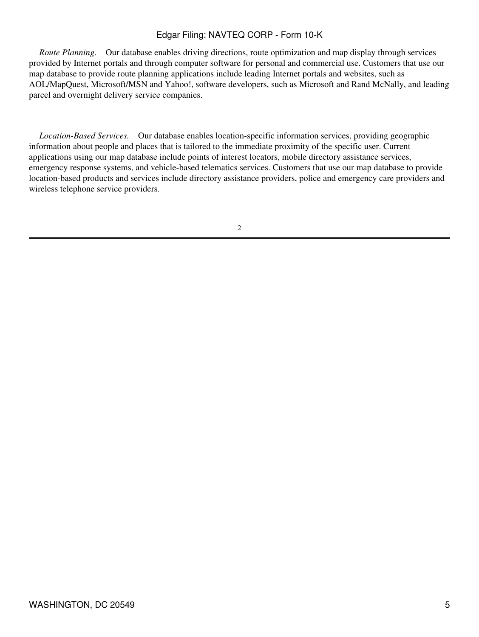*Route Planning.* Our database enables driving directions, route optimization and map display through services provided by Internet portals and through computer software for personal and commercial use. Customers that use our map database to provide route planning applications include leading Internet portals and websites, such as AOL/MapQuest, Microsoft/MSN and Yahoo!, software developers, such as Microsoft and Rand McNally, and leading parcel and overnight delivery service companies.

 *Location-Based Services.* Our database enables location-specific information services, providing geographic information about people and places that is tailored to the immediate proximity of the specific user. Current applications using our map database include points of interest locators, mobile directory assistance services, emergency response systems, and vehicle-based telematics services. Customers that use our map database to provide location-based products and services include directory assistance providers, police and emergency care providers and wireless telephone service providers.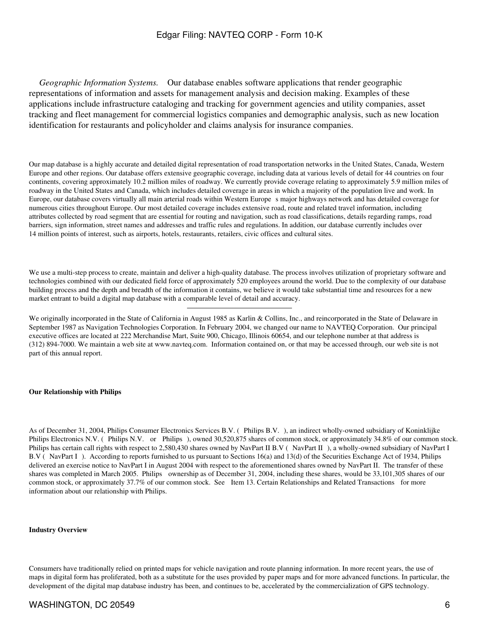*Geographic Information Systems.* Our database enables software applications that render geographic representations of information and assets for management analysis and decision making. Examples of these applications include infrastructure cataloging and tracking for government agencies and utility companies, asset tracking and fleet management for commercial logistics companies and demographic analysis, such as new location identification for restaurants and policyholder and claims analysis for insurance companies.

Our map database is a highly accurate and detailed digital representation of road transportation networks in the United States, Canada, Western Europe and other regions. Our database offers extensive geographic coverage, including data at various levels of detail for 44 countries on four continents, covering approximately 10.2 million miles of roadway. We currently provide coverage relating to approximately 5.9 million miles of roadway in the United States and Canada, which includes detailed coverage in areas in which a majority of the population live and work. In Europe, our database covers virtually all main arterial roads within Western Europe s major highways network and has detailed coverage for numerous cities throughout Europe. Our most detailed coverage includes extensive road, route and related travel information, including attributes collected by road segment that are essential for routing and navigation, such as road classifications, details regarding ramps, road barriers, sign information, street names and addresses and traffic rules and regulations. In addition, our database currently includes over 14 million points of interest, such as airports, hotels, restaurants, retailers, civic offices and cultural sites.

We use a multi-step process to create, maintain and deliver a high-quality database. The process involves utilization of proprietary software and technologies combined with our dedicated field force of approximately 520 employees around the world. Due to the complexity of our database building process and the depth and breadth of the information it contains, we believe it would take substantial time and resources for a new market entrant to build a digital map database with a comparable level of detail and accuracy.

We originally incorporated in the State of California in August 1985 as Karlin & Collins, Inc., and reincorporated in the State of Delaware in September 1987 as Navigation Technologies Corporation. In February 2004, we changed our name to NAVTEQ Corporation. Our principal executive offices are located at 222 Merchandise Mart, Suite 900, Chicago, Illinois 60654, and our telephone number at that address is (312) 894-7000. We maintain a web site at www.navteq.com. Information contained on, or that may be accessed through, our web site is not part of this annual report.

#### **Our Relationship with Philips**

As of December 31, 2004, Philips Consumer Electronics Services B.V. (Philips B.V.), an indirect wholly-owned subsidiary of Koninklijke Philips Electronics N.V. (Philips N.V. or Philips), owned 30,520,875 shares of common stock, or approximately 34.8% of our common stock. Philips has certain call rights with respect to 2,580,430 shares owned by NavPart II B.V (NavPart II), a wholly-owned subsidiary of NavPart I B.V (NavPart I). According to reports furnished to us pursuant to Sections 16(a) and 13(d) of the Securities Exchange Act of 1934, Philips delivered an exercise notice to NavPart I in August 2004 with respect to the aforementioned shares owned by NavPart II. The transfer of these shares was completed in March 2005. Philips ownership as of December 31, 2004, including these shares, would be 33,101,305 shares of our common stock, or approximately 37.7% of our common stock. See Item 13. Certain Relationships and Related Transactions for more information about our relationship with Philips.

#### **Industry Overview**

Consumers have traditionally relied on printed maps for vehicle navigation and route planning information. In more recent years, the use of maps in digital form has proliferated, both as a substitute for the uses provided by paper maps and for more advanced functions. In particular, the development of the digital map database industry has been, and continues to be, accelerated by the commercialization of GPS technology.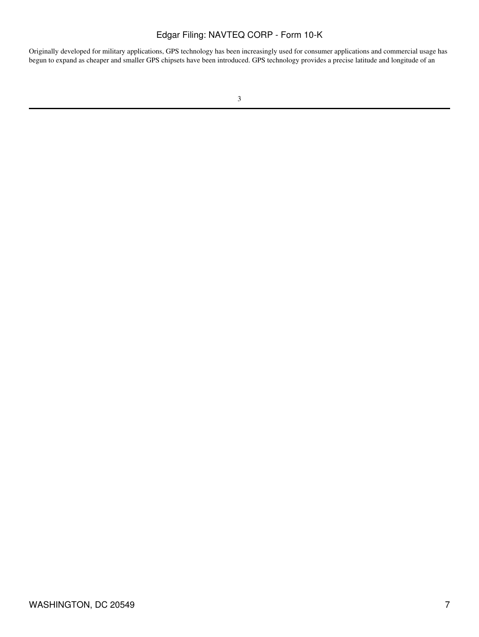Originally developed for military applications, GPS technology has been increasingly used for consumer applications and commercial usage has begun to expand as cheaper and smaller GPS chipsets have been introduced. GPS technology provides a precise latitude and longitude of an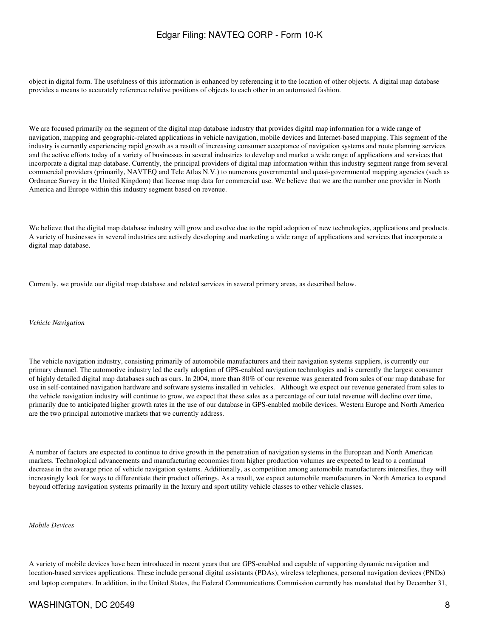object in digital form. The usefulness of this information is enhanced by referencing it to the location of other objects. A digital map database provides a means to accurately reference relative positions of objects to each other in an automated fashion.

We are focused primarily on the segment of the digital map database industry that provides digital map information for a wide range of navigation, mapping and geographic-related applications in vehicle navigation, mobile devices and Internet-based mapping. This segment of the industry is currently experiencing rapid growth as a result of increasing consumer acceptance of navigation systems and route planning services and the active efforts today of a variety of businesses in several industries to develop and market a wide range of applications and services that incorporate a digital map database. Currently, the principal providers of digital map information within this industry segment range from several commercial providers (primarily, NAVTEQ and Tele Atlas N.V.) to numerous governmental and quasi-governmental mapping agencies (such as Ordnance Survey in the United Kingdom) that license map data for commercial use. We believe that we are the number one provider in North America and Europe within this industry segment based on revenue.

We believe that the digital map database industry will grow and evolve due to the rapid adoption of new technologies, applications and products. A variety of businesses in several industries are actively developing and marketing a wide range of applications and services that incorporate a digital map database.

Currently, we provide our digital map database and related services in several primary areas, as described below.

*Vehicle Navigation*

The vehicle navigation industry, consisting primarily of automobile manufacturers and their navigation systems suppliers, is currently our primary channel. The automotive industry led the early adoption of GPS-enabled navigation technologies and is currently the largest consumer of highly detailed digital map databases such as ours. In 2004, more than 80% of our revenue was generated from sales of our map database for use in self-contained navigation hardware and software systems installed in vehicles. Although we expect our revenue generated from sales to the vehicle navigation industry will continue to grow, we expect that these sales as a percentage of our total revenue will decline over time, primarily due to anticipated higher growth rates in the use of our database in GPS-enabled mobile devices. Western Europe and North America are the two principal automotive markets that we currently address.

A number of factors are expected to continue to drive growth in the penetration of navigation systems in the European and North American markets. Technological advancements and manufacturing economies from higher production volumes are expected to lead to a continual decrease in the average price of vehicle navigation systems. Additionally, as competition among automobile manufacturers intensifies, they will increasingly look for ways to differentiate their product offerings. As a result, we expect automobile manufacturers in North America to expand beyond offering navigation systems primarily in the luxury and sport utility vehicle classes to other vehicle classes.

*Mobile Devices*

A variety of mobile devices have been introduced in recent years that are GPS-enabled and capable of supporting dynamic navigation and location-based services applications. These include personal digital assistants (PDAs), wireless telephones, personal navigation devices (PNDs) and laptop computers. In addition, in the United States, the Federal Communications Commission currently has mandated that by December 31,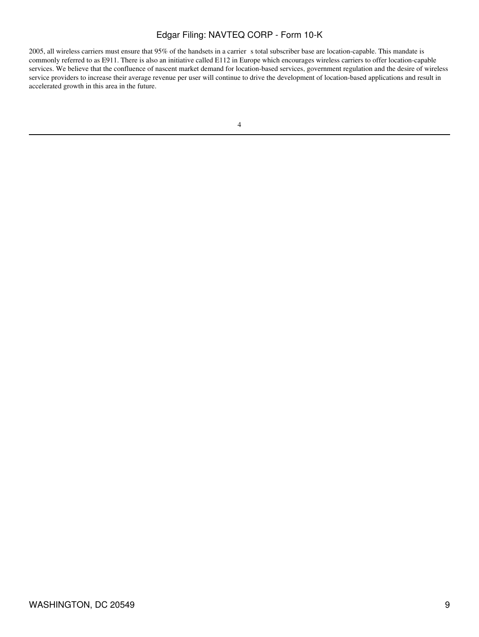2005, all wireless carriers must ensure that 95% of the handsets in a carrier s total subscriber base are location-capable. This mandate is commonly referred to as E911. There is also an initiative called E112 in Europe which encourages wireless carriers to offer location-capable services. We believe that the confluence of nascent market demand for location-based services, government regulation and the desire of wireless service providers to increase their average revenue per user will continue to drive the development of location-based applications and result in accelerated growth in this area in the future.

<sup>4</sup>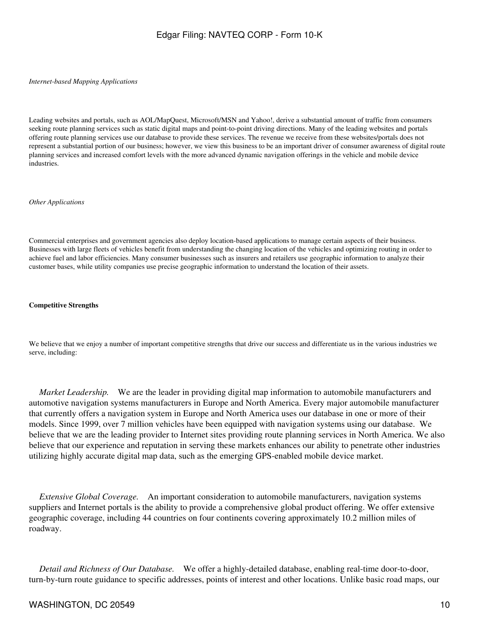#### *Internet-based Mapping Applications*

Leading websites and portals, such as AOL/MapQuest, Microsoft/MSN and Yahoo!, derive a substantial amount of traffic from consumers seeking route planning services such as static digital maps and point-to-point driving directions. Many of the leading websites and portals offering route planning services use our database to provide these services. The revenue we receive from these websites/portals does not represent a substantial portion of our business; however, we view this business to be an important driver of consumer awareness of digital route planning services and increased comfort levels with the more advanced dynamic navigation offerings in the vehicle and mobile device industries.

#### *Other Applications*

Commercial enterprises and government agencies also deploy location-based applications to manage certain aspects of their business. Businesses with large fleets of vehicles benefit from understanding the changing location of the vehicles and optimizing routing in order to achieve fuel and labor efficiencies. Many consumer businesses such as insurers and retailers use geographic information to analyze their customer bases, while utility companies use precise geographic information to understand the location of their assets.

#### **Competitive Strengths**

We believe that we enjoy a number of important competitive strengths that drive our success and differentiate us in the various industries we serve, including:

 *Market Leadership.* We are the leader in providing digital map information to automobile manufacturers and automotive navigation systems manufacturers in Europe and North America. Every major automobile manufacturer that currently offers a navigation system in Europe and North America uses our database in one or more of their models. Since 1999, over 7 million vehicles have been equipped with navigation systems using our database. We believe that we are the leading provider to Internet sites providing route planning services in North America. We also believe that our experience and reputation in serving these markets enhances our ability to penetrate other industries utilizing highly accurate digital map data, such as the emerging GPS-enabled mobile device market.

 *Extensive Global Coverage.* An important consideration to automobile manufacturers, navigation systems suppliers and Internet portals is the ability to provide a comprehensive global product offering. We offer extensive geographic coverage, including 44 countries on four continents covering approximately 10.2 million miles of roadway.

 *Detail and Richness of Our Database.* We offer a highly-detailed database, enabling real-time door-to-door, turn-by-turn route guidance to specific addresses, points of interest and other locations. Unlike basic road maps, our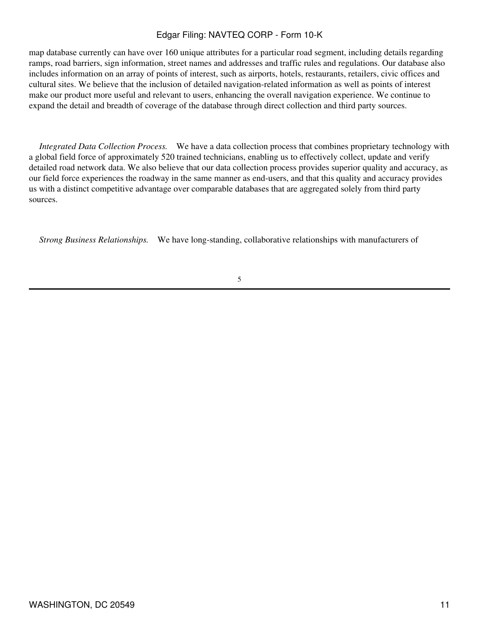map database currently can have over 160 unique attributes for a particular road segment, including details regarding ramps, road barriers, sign information, street names and addresses and traffic rules and regulations. Our database also includes information on an array of points of interest, such as airports, hotels, restaurants, retailers, civic offices and cultural sites. We believe that the inclusion of detailed navigation-related information as well as points of interest make our product more useful and relevant to users, enhancing the overall navigation experience. We continue to expand the detail and breadth of coverage of the database through direct collection and third party sources.

 *Integrated Data Collection Process.* We have a data collection process that combines proprietary technology with a global field force of approximately 520 trained technicians, enabling us to effectively collect, update and verify detailed road network data. We also believe that our data collection process provides superior quality and accuracy, as our field force experiences the roadway in the same manner as end-users, and that this quality and accuracy provides us with a distinct competitive advantage over comparable databases that are aggregated solely from third party sources.

 *Strong Business Relationships.* We have long-standing, collaborative relationships with manufacturers of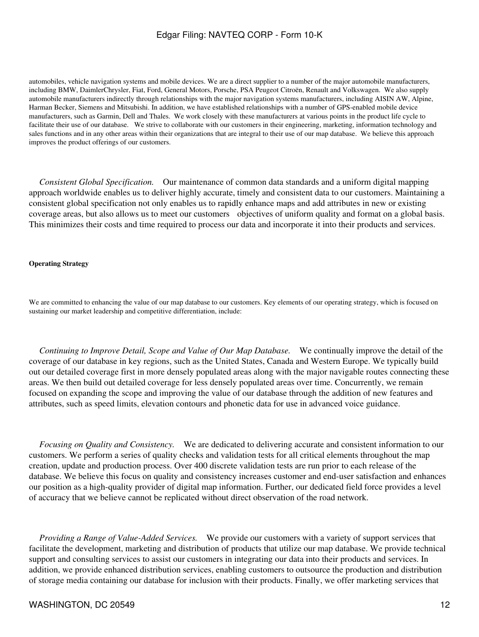automobiles, vehicle navigation systems and mobile devices. We are a direct supplier to a number of the major automobile manufacturers, including BMW, DaimlerChrysler, Fiat, Ford, General Motors, Porsche, PSA Peugeot Citroën, Renault and Volkswagen. We also supply automobile manufacturers indirectly through relationships with the major navigation systems manufacturers, including AISIN AW, Alpine, Harman Becker, Siemens and Mitsubishi. In addition, we have established relationships with a number of GPS-enabled mobile device manufacturers, such as Garmin, Dell and Thales. We work closely with these manufacturers at various points in the product life cycle to facilitate their use of our database. We strive to collaborate with our customers in their engineering, marketing, information technology and sales functions and in any other areas within their organizations that are integral to their use of our map database. We believe this approach improves the product offerings of our customers.

 *Consistent Global Specification.* Our maintenance of common data standards and a uniform digital mapping approach worldwide enables us to deliver highly accurate, timely and consistent data to our customers. Maintaining a consistent global specification not only enables us to rapidly enhance maps and add attributes in new or existing coverage areas, but also allows us to meet our customers objectives of uniform quality and format on a global basis. This minimizes their costs and time required to process our data and incorporate it into their products and services.

#### **Operating Strategy**

We are committed to enhancing the value of our map database to our customers. Key elements of our operating strategy, which is focused on sustaining our market leadership and competitive differentiation, include:

 *Continuing to Improve Detail, Scope and Value of Our Map Database.* We continually improve the detail of the coverage of our database in key regions, such as the United States, Canada and Western Europe. We typically build out our detailed coverage first in more densely populated areas along with the major navigable routes connecting these areas. We then build out detailed coverage for less densely populated areas over time. Concurrently, we remain focused on expanding the scope and improving the value of our database through the addition of new features and attributes, such as speed limits, elevation contours and phonetic data for use in advanced voice guidance.

 *Focusing on Quality and Consistency.* We are dedicated to delivering accurate and consistent information to our customers. We perform a series of quality checks and validation tests for all critical elements throughout the map creation, update and production process. Over 400 discrete validation tests are run prior to each release of the database. We believe this focus on quality and consistency increases customer and end-user satisfaction and enhances our position as a high-quality provider of digital map information. Further, our dedicated field force provides a level of accuracy that we believe cannot be replicated without direct observation of the road network.

 *Providing a Range of Value-Added Services.* We provide our customers with a variety of support services that facilitate the development, marketing and distribution of products that utilize our map database. We provide technical support and consulting services to assist our customers in integrating our data into their products and services. In addition, we provide enhanced distribution services, enabling customers to outsource the production and distribution of storage media containing our database for inclusion with their products. Finally, we offer marketing services that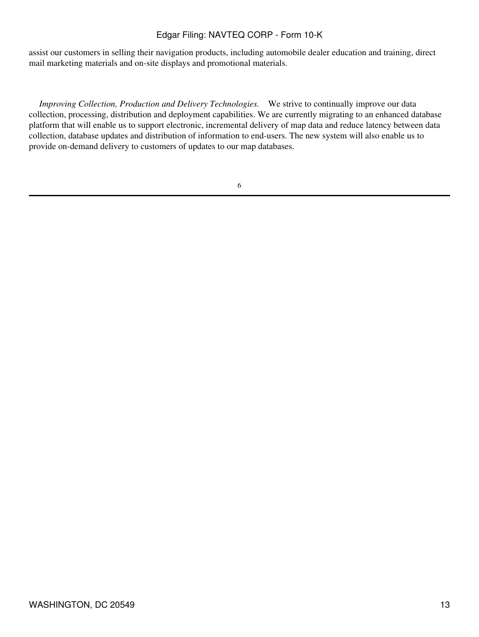assist our customers in selling their navigation products, including automobile dealer education and training, direct mail marketing materials and on-site displays and promotional materials.

 *Improving Collection, Production and Delivery Technologies.* We strive to continually improve our data collection, processing, distribution and deployment capabilities. We are currently migrating to an enhanced database platform that will enable us to support electronic, incremental delivery of map data and reduce latency between data collection, database updates and distribution of information to end-users. The new system will also enable us to provide on-demand delivery to customers of updates to our map databases.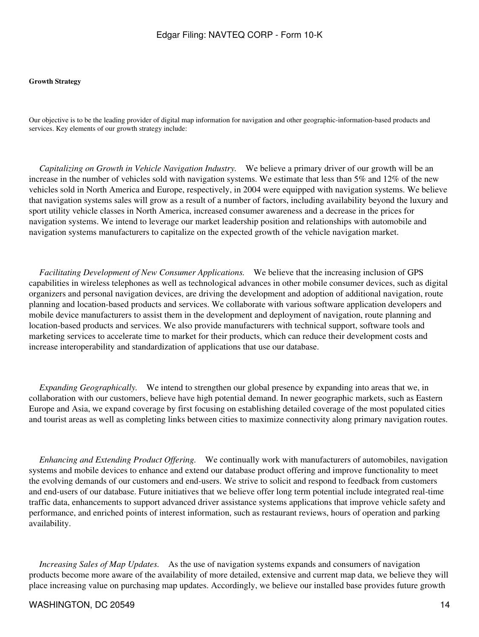#### **Growth Strategy**

Our objective is to be the leading provider of digital map information for navigation and other geographic-information-based products and services. Key elements of our growth strategy include:

 *Capitalizing on Growth in Vehicle Navigation Industry.* We believe a primary driver of our growth will be an increase in the number of vehicles sold with navigation systems. We estimate that less than 5% and 12% of the new vehicles sold in North America and Europe, respectively, in 2004 were equipped with navigation systems. We believe that navigation systems sales will grow as a result of a number of factors, including availability beyond the luxury and sport utility vehicle classes in North America, increased consumer awareness and a decrease in the prices for navigation systems. We intend to leverage our market leadership position and relationships with automobile and navigation systems manufacturers to capitalize on the expected growth of the vehicle navigation market.

 *Facilitating Development of New Consumer Applications.* We believe that the increasing inclusion of GPS capabilities in wireless telephones as well as technological advances in other mobile consumer devices, such as digital organizers and personal navigation devices, are driving the development and adoption of additional navigation, route planning and location-based products and services. We collaborate with various software application developers and mobile device manufacturers to assist them in the development and deployment of navigation, route planning and location-based products and services. We also provide manufacturers with technical support, software tools and marketing services to accelerate time to market for their products, which can reduce their development costs and increase interoperability and standardization of applications that use our database.

*Expanding Geographically.* We intend to strengthen our global presence by expanding into areas that we, in collaboration with our customers, believe have high potential demand. In newer geographic markets, such as Eastern Europe and Asia, we expand coverage by first focusing on establishing detailed coverage of the most populated cities and tourist areas as well as completing links between cities to maximize connectivity along primary navigation routes.

 *Enhancing and Extending Product Offering.* We continually work with manufacturers of automobiles, navigation systems and mobile devices to enhance and extend our database product offering and improve functionality to meet the evolving demands of our customers and end-users. We strive to solicit and respond to feedback from customers and end-users of our database. Future initiatives that we believe offer long term potential include integrated real-time traffic data, enhancements to support advanced driver assistance systems applications that improve vehicle safety and performance, and enriched points of interest information, such as restaurant reviews, hours of operation and parking availability.

*Increasing Sales of Map Updates.* As the use of navigation systems expands and consumers of navigation products become more aware of the availability of more detailed, extensive and current map data, we believe they will place increasing value on purchasing map updates. Accordingly, we believe our installed base provides future growth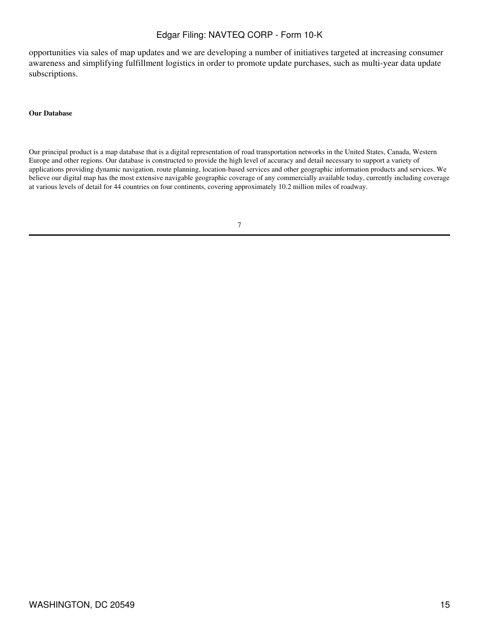opportunities via sales of map updates and we are developing a number of initiatives targeted at increasing consumer awareness and simplifying fulfillment logistics in order to promote update purchases, such as multi-year data update subscriptions.

#### **Our Database**

Our principal product is a map database that is a digital representation of road transportation networks in the United States, Canada, Western Europe and other regions. Our database is constructed to provide the high level of accuracy and detail necessary to support a variety of applications providing dynamic navigation, route planning, location-based services and other geographic information products and services. We believe our digital map has the most extensive navigable geographic coverage of any commercially available today, currently including coverage at various levels of detail for 44 countries on four continents, covering approximately 10.2 million miles of roadway.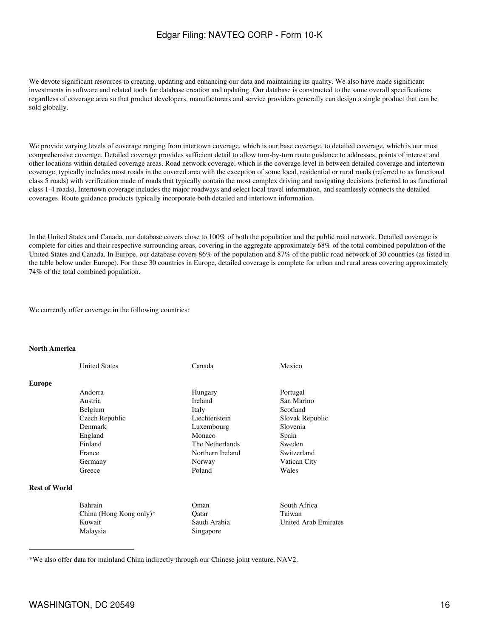We devote significant resources to creating, updating and enhancing our data and maintaining its quality. We also have made significant investments in software and related tools for database creation and updating. Our database is constructed to the same overall specifications regardless of coverage area so that product developers, manufacturers and service providers generally can design a single product that can be sold globally.

We provide varying levels of coverage ranging from intertown coverage, which is our base coverage, to detailed coverage, which is our most comprehensive coverage. Detailed coverage provides sufficient detail to allow turn-by-turn route guidance to addresses, points of interest and other locations within detailed coverage areas. Road network coverage, which is the coverage level in between detailed coverage and intertown coverage, typically includes most roads in the covered area with the exception of some local, residential or rural roads (referred to as functional class 5 roads) with verification made of roads that typically contain the most complex driving and navigating decisions (referred to as functional class 1-4 roads). Intertown coverage includes the major roadways and select local travel information, and seamlessly connects the detailed coverages. Route guidance products typically incorporate both detailed and intertown information.

In the United States and Canada, our database covers close to 100% of both the population and the public road network. Detailed coverage is complete for cities and their respective surrounding areas, covering in the aggregate approximately 68% of the total combined population of the United States and Canada. In Europe, our database covers 86% of the population and 87% of the public road network of 30 countries (as listed in the table below under Europe). For these 30 countries in Europe, detailed coverage is complete for urban and rural areas covering approximately 74% of the total combined population.

We currently offer coverage in the following countries:

#### **North America**

|                      | <b>United States</b> | Canada           | Mexico          |
|----------------------|----------------------|------------------|-----------------|
| <b>Europe</b>        |                      |                  |                 |
|                      | Andorra              | Hungary          | Portugal        |
|                      | Austria              | <b>Ireland</b>   | San Marino      |
|                      | Belgium              | Italy            | Scotland        |
|                      | Czech Republic       | Liechtenstein    | Slovak Republic |
|                      | Denmark              | Luxembourg       | Slovenia        |
|                      | England              | Monaco           | Spain           |
|                      | Finland              | The Netherlands  | Sweden          |
|                      | France               | Northern Ireland | Switzerland     |
|                      | Germany              | Norway           | Vatican City    |
|                      | Greece               | Poland           | Wales           |
| <b>Rest of World</b> |                      |                  |                 |

#### Bahrain **Coman** Oman South Africa China (Hong Kong only)\* Qatar Taiwan Kuwait Saudi Arabia United Arab Emirates Malaysia Singapore

\*We also offer data for mainland China indirectly through our Chinese joint venture, NAV2.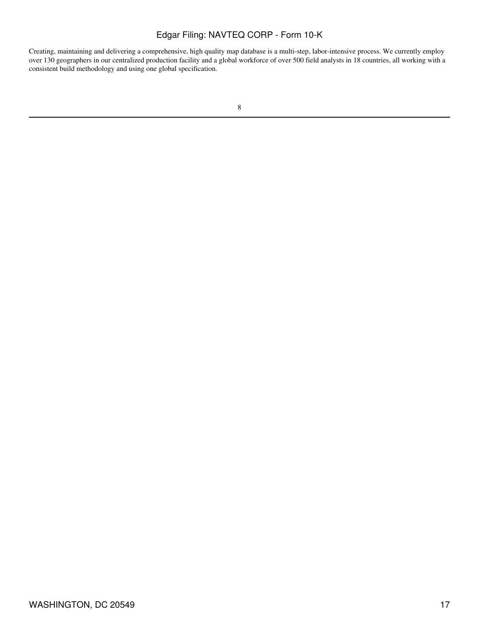Creating, maintaining and delivering a comprehensive, high quality map database is a multi-step, labor-intensive process. We currently employ over 130 geographers in our centralized production facility and a global workforce of over 500 field analysts in 18 countries, all working with a consistent build methodology and using one global specification.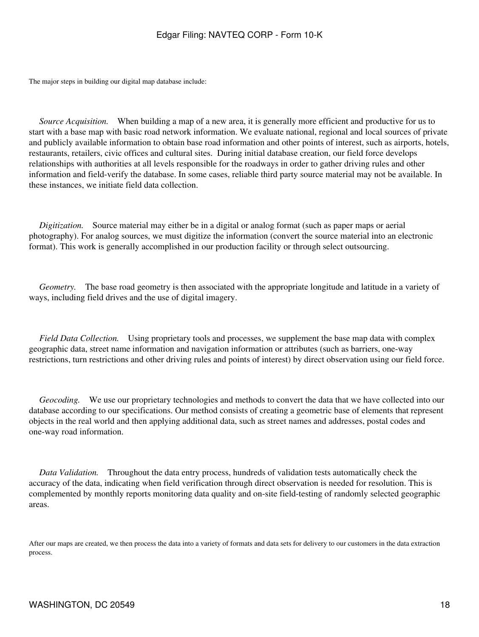The major steps in building our digital map database include:

*Source Acquisition.* When building a map of a new area, it is generally more efficient and productive for us to start with a base map with basic road network information. We evaluate national, regional and local sources of private and publicly available information to obtain base road information and other points of interest, such as airports, hotels, restaurants, retailers, civic offices and cultural sites. During initial database creation, our field force develops relationships with authorities at all levels responsible for the roadways in order to gather driving rules and other information and field-verify the database. In some cases, reliable third party source material may not be available. In these instances, we initiate field data collection.

 *Digitization.* Source material may either be in a digital or analog format (such as paper maps or aerial photography). For analog sources, we must digitize the information (convert the source material into an electronic format). This work is generally accomplished in our production facility or through select outsourcing.

*Geometry.* The base road geometry is then associated with the appropriate longitude and latitude in a variety of ways, including field drives and the use of digital imagery.

 *Field Data Collection.* Using proprietary tools and processes, we supplement the base map data with complex geographic data, street name information and navigation information or attributes (such as barriers, one-way restrictions, turn restrictions and other driving rules and points of interest) by direct observation using our field force.

 *Geocoding.* We use our proprietary technologies and methods to convert the data that we have collected into our database according to our specifications. Our method consists of creating a geometric base of elements that represent objects in the real world and then applying additional data, such as street names and addresses, postal codes and one-way road information.

 *Data Validation.* Throughout the data entry process, hundreds of validation tests automatically check the accuracy of the data, indicating when field verification through direct observation is needed for resolution. This is complemented by monthly reports monitoring data quality and on-site field-testing of randomly selected geographic areas.

After our maps are created, we then process the data into a variety of formats and data sets for delivery to our customers in the data extraction process.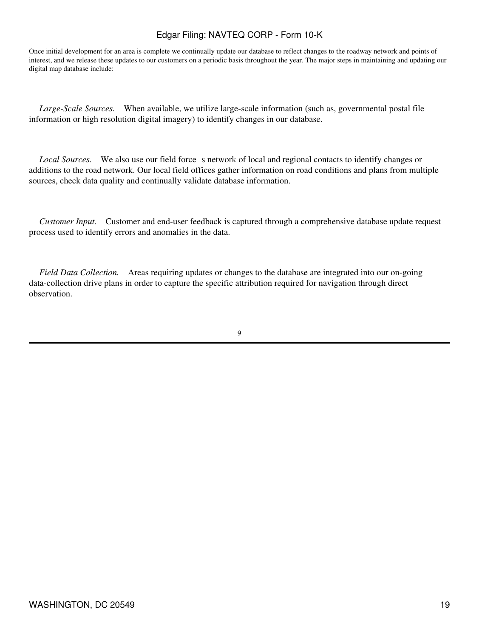Once initial development for an area is complete we continually update our database to reflect changes to the roadway network and points of interest, and we release these updates to our customers on a periodic basis throughout the year. The major steps in maintaining and updating our digital map database include:

 *Large-Scale Sources.* When available, we utilize large-scale information (such as, governmental postal file information or high resolution digital imagery) to identify changes in our database.

*Local Sources.* We also use our field force s network of local and regional contacts to identify changes or additions to the road network. Our local field offices gather information on road conditions and plans from multiple sources, check data quality and continually validate database information.

 *Customer Input.* Customer and end-user feedback is captured through a comprehensive database update request process used to identify errors and anomalies in the data.

 *Field Data Collection.* Areas requiring updates or changes to the database are integrated into our on-going data-collection drive plans in order to capture the specific attribution required for navigation through direct observation.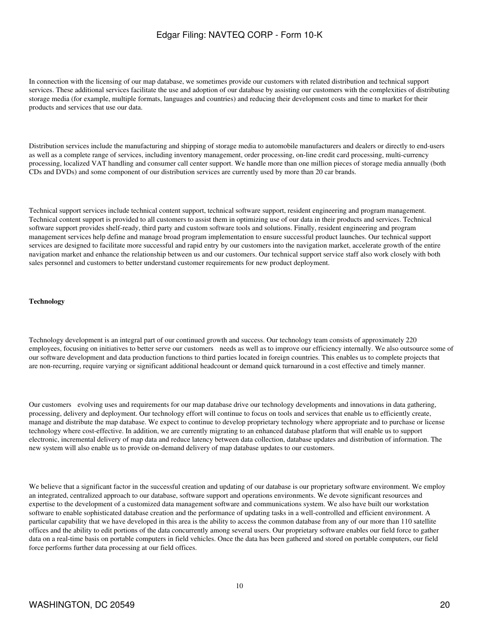In connection with the licensing of our map database, we sometimes provide our customers with related distribution and technical support services. These additional services facilitate the use and adoption of our database by assisting our customers with the complexities of distributing storage media (for example, multiple formats, languages and countries) and reducing their development costs and time to market for their products and services that use our data.

Distribution services include the manufacturing and shipping of storage media to automobile manufacturers and dealers or directly to end-users as well as a complete range of services, including inventory management, order processing, on-line credit card processing, multi-currency processing, localized VAT handling and consumer call center support. We handle more than one million pieces of storage media annually (both CDs and DVDs) and some component of our distribution services are currently used by more than 20 car brands.

Technical support services include technical content support, technical software support, resident engineering and program management. Technical content support is provided to all customers to assist them in optimizing use of our data in their products and services. Technical software support provides shelf-ready, third party and custom software tools and solutions. Finally, resident engineering and program management services help define and manage broad program implementation to ensure successful product launches. Our technical support services are designed to facilitate more successful and rapid entry by our customers into the navigation market, accelerate growth of the entire navigation market and enhance the relationship between us and our customers. Our technical support service staff also work closely with both sales personnel and customers to better understand customer requirements for new product deployment.

#### **Technology**

Technology development is an integral part of our continued growth and success. Our technology team consists of approximately 220 employees, focusing on initiatives to better serve our customers needs as well as to improve our efficiency internally. We also outsource some of our software development and data production functions to third parties located in foreign countries. This enables us to complete projects that are non-recurring, require varying or significant additional headcount or demand quick turnaround in a cost effective and timely manner.

Our customers evolving uses and requirements for our map database drive our technology developments and innovations in data gathering, processing, delivery and deployment. Our technology effort will continue to focus on tools and services that enable us to efficiently create, manage and distribute the map database. We expect to continue to develop proprietary technology where appropriate and to purchase or license technology where cost-effective. In addition, we are currently migrating to an enhanced database platform that will enable us to support electronic, incremental delivery of map data and reduce latency between data collection, database updates and distribution of information. The new system will also enable us to provide on-demand delivery of map database updates to our customers.

We believe that a significant factor in the successful creation and updating of our database is our proprietary software environment. We employ an integrated, centralized approach to our database, software support and operations environments. We devote significant resources and expertise to the development of a customized data management software and communications system. We also have built our workstation software to enable sophisticated database creation and the performance of updating tasks in a well-controlled and efficient environment. A particular capability that we have developed in this area is the ability to access the common database from any of our more than 110 satellite offices and the ability to edit portions of the data concurrently among several users. Our proprietary software enables our field force to gather data on a real-time basis on portable computers in field vehicles. Once the data has been gathered and stored on portable computers, our field force performs further data processing at our field offices.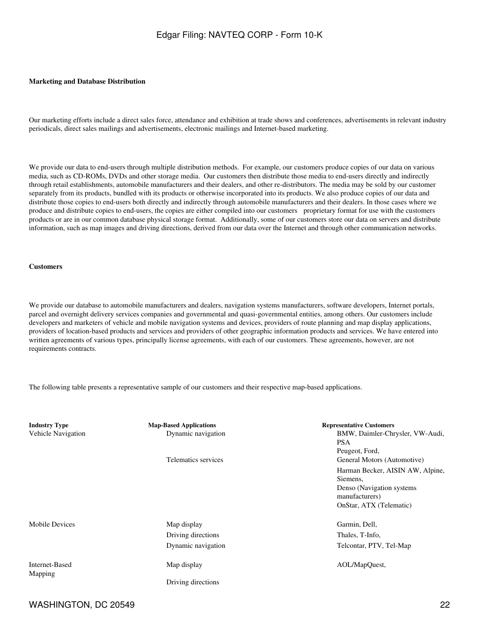#### **Marketing and Database Distribution**

Our marketing efforts include a direct sales force, attendance and exhibition at trade shows and conferences, advertisements in relevant industry periodicals, direct sales mailings and advertisements, electronic mailings and Internet-based marketing.

We provide our data to end-users through multiple distribution methods. For example, our customers produce copies of our data on various media, such as CD-ROMs, DVDs and other storage media. Our customers then distribute those media to end-users directly and indirectly through retail establishments, automobile manufacturers and their dealers, and other re-distributors. The media may be sold by our customer separately from its products, bundled with its products or otherwise incorporated into its products. We also produce copies of our data and distribute those copies to end-users both directly and indirectly through automobile manufacturers and their dealers. In those cases where we produce and distribute copies to end-users, the copies are either compiled into our customers proprietary format for use with the customers products or are in our common database physical storage format. Additionally, some of our customers store our data on servers and distribute information, such as map images and driving directions, derived from our data over the Internet and through other communication networks.

#### **Customers**

We provide our database to automobile manufacturers and dealers, navigation systems manufacturers, software developers, Internet portals, parcel and overnight delivery services companies and governmental and quasi-governmental entities, among others. Our customers include developers and marketers of vehicle and mobile navigation systems and devices, providers of route planning and map display applications, providers of location-based products and services and providers of other geographic information products and services. We have entered into written agreements of various types, principally license agreements, with each of our customers. These agreements, however, are not requirements contracts.

The following table presents a representative sample of our customers and their respective map-based applications.

| <b>Industry Type</b><br>Vehicle Navigation | <b>Map-Based Applications</b><br>Dynamic navigation | <b>Representative Customers</b><br>BMW, Daimler-Chrysler, VW-Audi,<br><b>PSA</b><br>Peugeot, Ford,                      |
|--------------------------------------------|-----------------------------------------------------|-------------------------------------------------------------------------------------------------------------------------|
|                                            | Telematics services                                 | General Motors (Automotive)                                                                                             |
|                                            |                                                     | Harman Becker, AISIN AW, Alpine,<br>Siemens,<br>Denso (Navigation systems)<br>manufacturers)<br>OnStar, ATX (Telematic) |
| Mobile Devices                             | Map display                                         | Garmin, Dell,                                                                                                           |
|                                            | Driving directions                                  | Thales, T-Info,                                                                                                         |
|                                            | Dynamic navigation                                  | Telcontar, PTV, Tel-Map                                                                                                 |
| Internet-Based<br>Mapping                  | Map display                                         | AOL/MapQuest,                                                                                                           |
|                                            | Driving directions                                  |                                                                                                                         |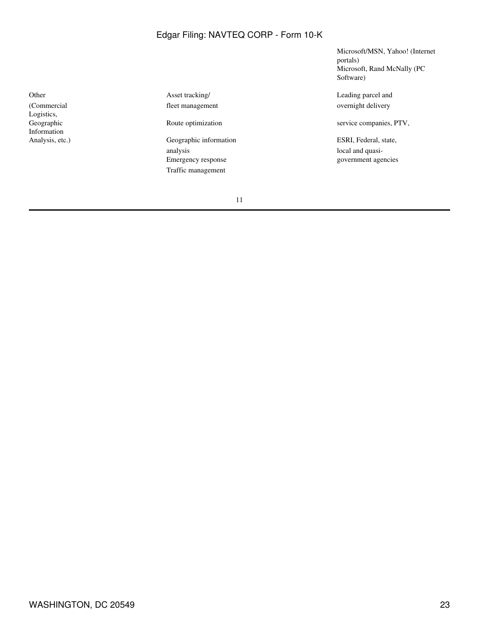(Commercial Logistics, Geographic Information

Other Asset tracking/ Asset tracking Asset tracking Asset tracking Leading parcel and fleet management overnight delivery

> analysis local and quasi-<br>Emergency response contract and quasi-<br>government age Traffic management

Microsoft/MSN, Yahoo! (Internet portals) Microsoft, Rand McNally (PC Software)

Route optimization service companies, PTV,

Analysis, etc.) Geographic information ESRI, Federal, state, government agencies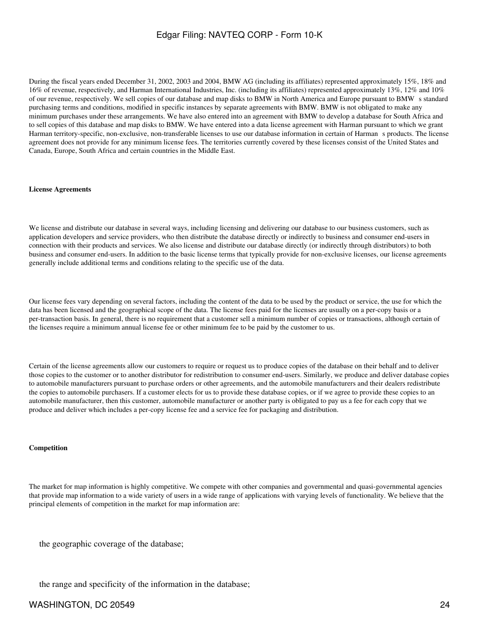During the fiscal years ended December 31, 2002, 2003 and 2004, BMW AG (including its affiliates) represented approximately 15%, 18% and 16% of revenue, respectively, and Harman International Industries, Inc. (including its affiliates) represented approximately 13%, 12% and 10% of our revenue, respectively. We sell copies of our database and map disks to BMW in North America and Europe pursuant to BMWs standard purchasing terms and conditions, modified in specific instances by separate agreements with BMW. BMW is not obligated to make any minimum purchases under these arrangements. We have also entered into an agreement with BMW to develop a database for South Africa and to sell copies of this database and map disks to BMW. We have entered into a data license agreement with Harman pursuant to which we grant Harman territory-specific, non-exclusive, non-transferable licenses to use our database information in certain of Harmans products. The license agreement does not provide for any minimum license fees. The territories currently covered by these licenses consist of the United States and Canada, Europe, South Africa and certain countries in the Middle East.

#### **License Agreements**

We license and distribute our database in several ways, including licensing and delivering our database to our business customers, such as application developers and service providers, who then distribute the database directly or indirectly to business and consumer end-users in connection with their products and services. We also license and distribute our database directly (or indirectly through distributors) to both business and consumer end-users. In addition to the basic license terms that typically provide for non-exclusive licenses, our license agreements generally include additional terms and conditions relating to the specific use of the data.

Our license fees vary depending on several factors, including the content of the data to be used by the product or service, the use for which the data has been licensed and the geographical scope of the data. The license fees paid for the licenses are usually on a per-copy basis or a per-transaction basis. In general, there is no requirement that a customer sell a minimum number of copies or transactions, although certain of the licenses require a minimum annual license fee or other minimum fee to be paid by the customer to us.

Certain of the license agreements allow our customers to require or request us to produce copies of the database on their behalf and to deliver those copies to the customer or to another distributor for redistribution to consumer end-users. Similarly, we produce and deliver database copies to automobile manufacturers pursuant to purchase orders or other agreements, and the automobile manufacturers and their dealers redistribute the copies to automobile purchasers. If a customer elects for us to provide these database copies, or if we agree to provide these copies to an automobile manufacturer, then this customer, automobile manufacturer or another party is obligated to pay us a fee for each copy that we produce and deliver which includes a per-copy license fee and a service fee for packaging and distribution.

#### **Competition**

The market for map information is highly competitive. We compete with other companies and governmental and quasi-governmental agencies that provide map information to a wide variety of users in a wide range of applications with varying levels of functionality. We believe that the principal elements of competition in the market for map information are:

the geographic coverage of the database;

the range and specificity of the information in the database;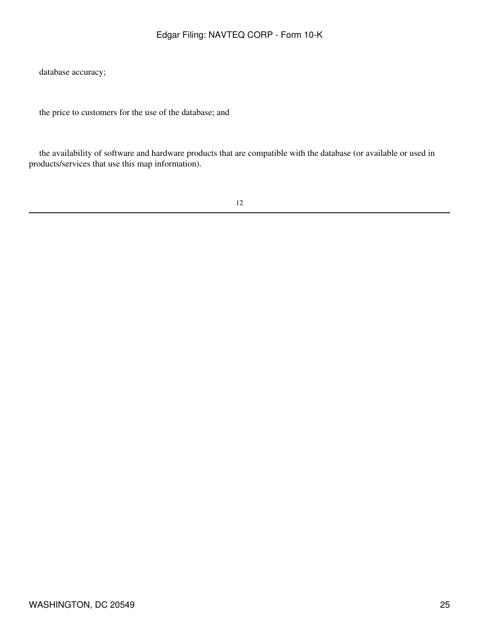database accuracy;

the price to customers for the use of the database; and

 the availability of software and hardware products that are compatible with the database (or available or used in products/services that use this map information).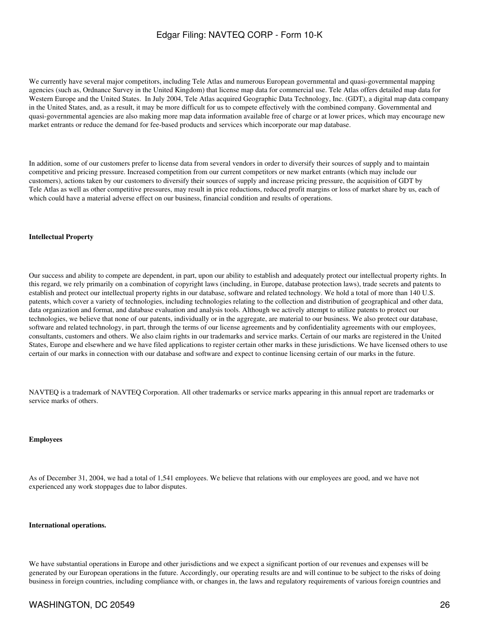We currently have several major competitors, including Tele Atlas and numerous European governmental and quasi-governmental mapping agencies (such as, Ordnance Survey in the United Kingdom) that license map data for commercial use. Tele Atlas offers detailed map data for Western Europe and the United States. In July 2004, Tele Atlas acquired Geographic Data Technology, Inc. (GDT), a digital map data company in the United States, and, as a result, it may be more difficult for us to compete effectively with the combined company. Governmental and quasi-governmental agencies are also making more map data information available free of charge or at lower prices, which may encourage new market entrants or reduce the demand for fee-based products and services which incorporate our map database.

In addition, some of our customers prefer to license data from several vendors in order to diversify their sources of supply and to maintain competitive and pricing pressure. Increased competition from our current competitors or new market entrants (which may include our customers), actions taken by our customers to diversify their sources of supply and increase pricing pressure, the acquisition of GDT by Tele Atlas as well as other competitive pressures, may result in price reductions, reduced profit margins or loss of market share by us, each of which could have a material adverse effect on our business, financial condition and results of operations.

#### **Intellectual Property**

Our success and ability to compete are dependent, in part, upon our ability to establish and adequately protect our intellectual property rights. In this regard, we rely primarily on a combination of copyright laws (including, in Europe, database protection laws), trade secrets and patents to establish and protect our intellectual property rights in our database, software and related technology. We hold a total of more than 140 U.S. patents, which cover a variety of technologies, including technologies relating to the collection and distribution of geographical and other data, data organization and format, and database evaluation and analysis tools. Although we actively attempt to utilize patents to protect our technologies, we believe that none of our patents, individually or in the aggregate, are material to our business. We also protect our database, software and related technology, in part, through the terms of our license agreements and by confidentiality agreements with our employees, consultants, customers and others. We also claim rights in our trademarks and service marks. Certain of our marks are registered in the United States, Europe and elsewhere and we have filed applications to register certain other marks in these jurisdictions. We have licensed others to use certain of our marks in connection with our database and software and expect to continue licensing certain of our marks in the future.

NAVTEQ is a trademark of NAVTEQ Corporation. All other trademarks or service marks appearing in this annual report are trademarks or service marks of others.

#### **Employees**

As of December 31, 2004, we had a total of 1,541 employees. We believe that relations with our employees are good, and we have not experienced any work stoppages due to labor disputes.

#### **International operations.**

We have substantial operations in Europe and other jurisdictions and we expect a significant portion of our revenues and expenses will be generated by our European operations in the future. Accordingly, our operating results are and will continue to be subject to the risks of doing business in foreign countries, including compliance with, or changes in, the laws and regulatory requirements of various foreign countries and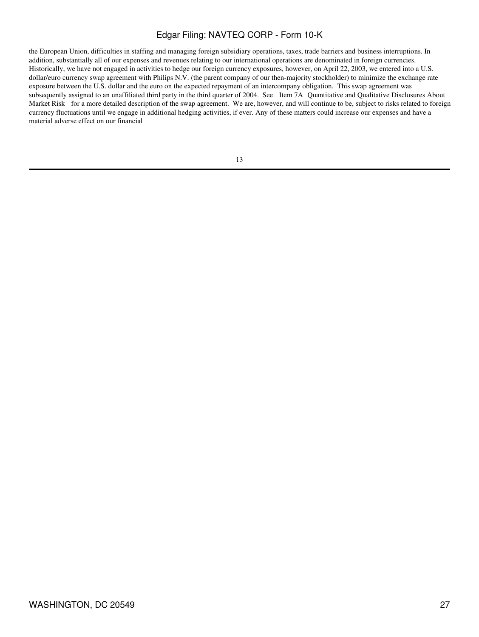the European Union, difficulties in staffing and managing foreign subsidiary operations, taxes, trade barriers and business interruptions. In addition, substantially all of our expenses and revenues relating to our international operations are denominated in foreign currencies. Historically, we have not engaged in activities to hedge our foreign currency exposures, however, on April 22, 2003, we entered into a U.S. dollar/euro currency swap agreement with Philips N.V. (the parent company of our then-majority stockholder) to minimize the exchange rate exposure between the U.S. dollar and the euro on the expected repayment of an intercompany obligation. This swap agreement was subsequently assigned to an unaffiliated third party in the third quarter of 2004. See Item 7A Quantitative and Qualitative Disclosures About Market Risk for a more detailed description of the swap agreement. We are, however, and will continue to be, subject to risks related to foreign currency fluctuations until we engage in additional hedging activities, if ever. Any of these matters could increase our expenses and have a material adverse effect on our financial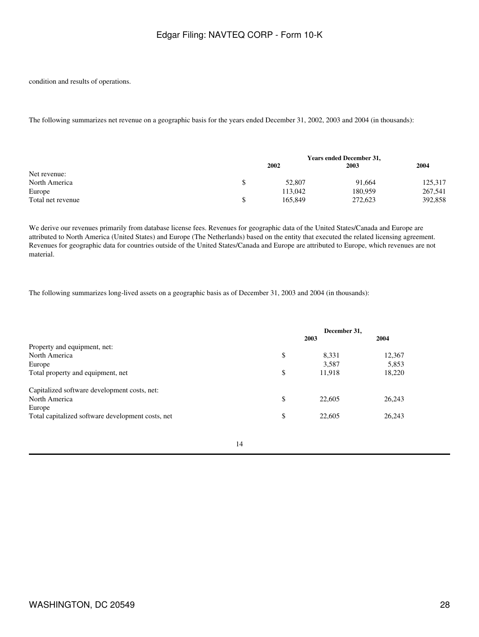condition and results of operations.

The following summarizes net revenue on a geographic basis for the years ended December 31, 2002, 2003 and 2004 (in thousands):

|                   | <b>Years ended December 31,</b> |         |         |
|-------------------|---------------------------------|---------|---------|
|                   | 2002                            | 2003    | 2004    |
| Net revenue:      |                                 |         |         |
| North America     | 52,807                          | 91.664  | 125,317 |
| Europe            | 113.042                         | 180.959 | 267,541 |
| Total net revenue | 165,849                         | 272,623 | 392,858 |

We derive our revenues primarily from database license fees. Revenues for geographic data of the United States/Canada and Europe are attributed to North America (United States) and Europe (The Netherlands) based on the entity that executed the related licensing agreement. Revenues for geographic data for countries outside of the United States/Canada and Europe are attributed to Europe, which revenues are not material.

The following summarizes long-lived assets on a geographic basis as of December 31, 2003 and 2004 (in thousands):

|                                                   | December 31. |        |
|---------------------------------------------------|--------------|--------|
|                                                   | 2003         | 2004   |
| Property and equipment, net:                      |              |        |
| North America                                     | \$<br>8,331  | 12,367 |
| Europe                                            | 3,587        | 5,853  |
| Total property and equipment, net                 | \$<br>11,918 | 18,220 |
| Capitalized software development costs, net:      |              |        |
| North America                                     | \$<br>22,605 | 26,243 |
| Europe                                            |              |        |
| Total capitalized software development costs, net | \$<br>22,605 | 26,243 |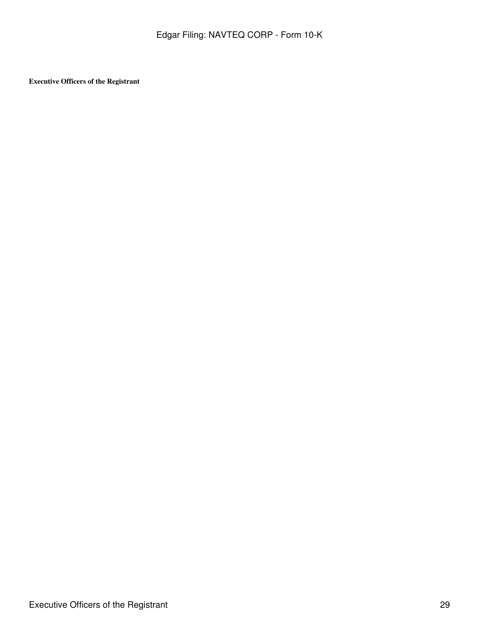**Executive Officers of the Registrant**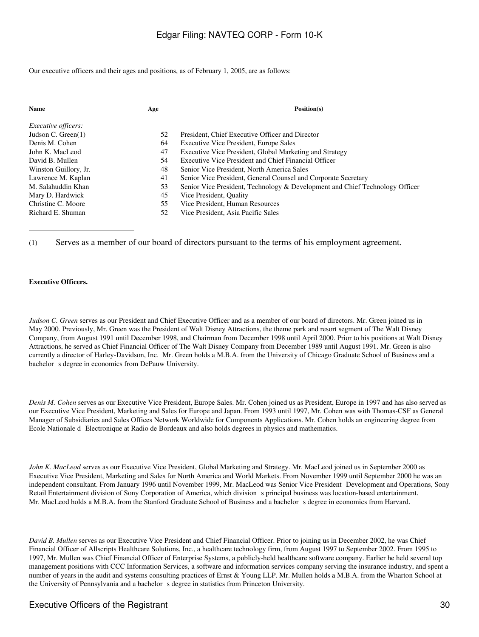Our executive officers and their ages and positions, as of February 1, 2005, are as follows:

| <b>Name</b>                | Age | Position(s)                                                                  |
|----------------------------|-----|------------------------------------------------------------------------------|
| <i>Executive officers:</i> |     |                                                                              |
| Judson C. Green $(1)$      | 52  | President, Chief Executive Officer and Director                              |
| Denis M. Cohen             | 64  | <b>Executive Vice President, Europe Sales</b>                                |
| John K. MacLeod            | 47  | Executive Vice President, Global Marketing and Strategy                      |
| David B. Mullen            | 54  | Executive Vice President and Chief Financial Officer                         |
| Winston Guillory, Jr.      | 48  | Senior Vice President, North America Sales                                   |
| Lawrence M. Kaplan         | 41  | Senior Vice President, General Counsel and Corporate Secretary               |
| M. Salahuddin Khan         | 53  | Senior Vice President, Technology & Development and Chief Technology Officer |
| Mary D. Hardwick           | 45  | Vice President, Quality                                                      |
| Christine C. Moore         | 55  | Vice President, Human Resources                                              |
| Richard E. Shuman          | 52  | Vice President, Asia Pacific Sales                                           |

(1) Serves as a member of our board of directors pursuant to the terms of his employment agreement.

#### **Executive Officers.**

*Judson C. Green* serves as our President and Chief Executive Officer and as a member of our board of directors. Mr. Green joined us in May 2000. Previously, Mr. Green was the President of Walt Disney Attractions, the theme park and resort segment of The Walt Disney Company, from August 1991 until December 1998, and Chairman from December 1998 until April 2000. Prior to his positions at Walt Disney Attractions, he served as Chief Financial Officer of The Walt Disney Company from December 1989 until August 1991. Mr. Green is also currently a director of Harley-Davidson, Inc. Mr. Green holds a M.B.A. from the University of Chicago Graduate School of Business and a bachelor s degree in economics from DePauw University.

*Denis M. Cohen* serves as our Executive Vice President, Europe Sales. Mr. Cohen joined us as President, Europe in 1997 and has also served as our Executive Vice President, Marketing and Sales for Europe and Japan. From 1993 until 1997, Mr. Cohen was with Thomas-CSF as General Manager of Subsidiaries and Sales Offices Network Worldwide for Components Applications. Mr. Cohen holds an engineering degree from Ecole Nationale d Electronique at Radio de Bordeaux and also holds degrees in physics and mathematics.

*John K. MacLeod* serves as our Executive Vice President, Global Marketing and Strategy. Mr. MacLeod joined us in September 2000 as Executive Vice President, Marketing and Sales for North America and World Markets. From November 1999 until September 2000 he was an independent consultant. From January 1996 until November 1999, Mr. MacLeod was Senior Vice President Development and Operations, Sony Retail Entertainment division of Sony Corporation of America, which division s principal business was location-based entertainment. Mr. MacLeod holds a M.B.A. from the Stanford Graduate School of Business and a bachelors degree in economics from Harvard.

*David B. Mullen* serves as our Executive Vice President and Chief Financial Officer. Prior to joining us in December 2002, he was Chief Financial Officer of Allscripts Healthcare Solutions, Inc., a healthcare technology firm, from August 1997 to September 2002. From 1995 to 1997, Mr. Mullen was Chief Financial Officer of Enterprise Systems, a publicly-held healthcare software company. Earlier he held several top management positions with CCC Information Services, a software and information services company serving the insurance industry, and spent a number of years in the audit and systems consulting practices of Ernst & Young LLP. Mr. Mullen holds a M.B.A. from the Wharton School at the University of Pennsylvania and a bachelor s degree in statistics from Princeton University.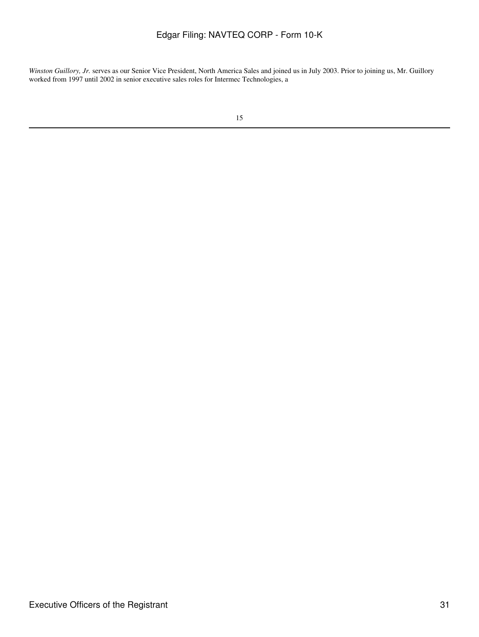*Winston Guillory, Jr.* serves as our Senior Vice President, North America Sales and joined us in July 2003. Prior to joining us, Mr. Guillory worked from 1997 until 2002 in senior executive sales roles for Intermec Technologies, a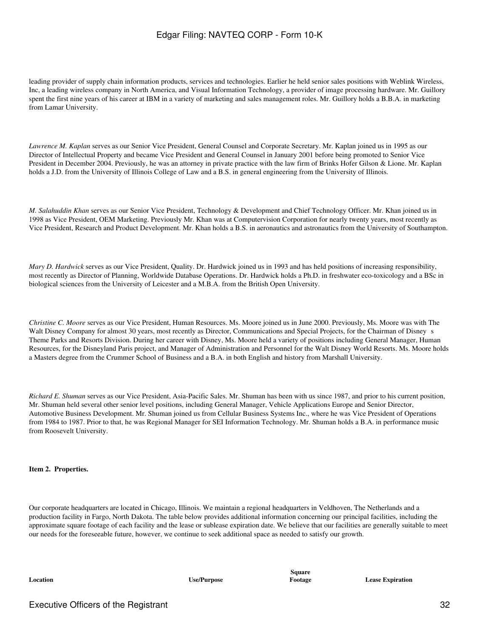leading provider of supply chain information products, services and technologies. Earlier he held senior sales positions with Weblink Wireless, Inc, a leading wireless company in North America, and Visual Information Technology, a provider of image processing hardware. Mr. Guillory spent the first nine years of his career at IBM in a variety of marketing and sales management roles. Mr. Guillory holds a B.B.A. in marketing from Lamar University.

*Lawrence M. Kaplan* serves as our Senior Vice President, General Counsel and Corporate Secretary. Mr. Kaplan joined us in 1995 as our Director of Intellectual Property and became Vice President and General Counsel in January 2001 before being promoted to Senior Vice President in December 2004. Previously, he was an attorney in private practice with the law firm of Brinks Hofer Gilson & Lione. Mr. Kaplan holds a J.D. from the University of Illinois College of Law and a B.S. in general engineering from the University of Illinois.

*M. Salahuddin Khan* serves as our Senior Vice President, Technology & Development and Chief Technology Officer. Mr. Khan joined us in 1998 as Vice President, OEM Marketing. Previously Mr. Khan was at Computervision Corporation for nearly twenty years, most recently as Vice President, Research and Product Development. Mr. Khan holds a B.S. in aeronautics and astronautics from the University of Southampton.

*Mary D. Hardwick* serves as our Vice President, Quality. Dr. Hardwick joined us in 1993 and has held positions of increasing responsibility, most recently as Director of Planning, Worldwide Database Operations. Dr. Hardwick holds a Ph.D. in freshwater eco-toxicology and a BSc in biological sciences from the University of Leicester and a M.B.A. from the British Open University.

*Christine C. Moore* serves as our Vice President, Human Resources. Ms. Moore joined us in June 2000. Previously, Ms. Moore was with The Walt Disney Company for almost 30 years, most recently as Director, Communications and Special Projects, for the Chairman of Disney s Theme Parks and Resorts Division. During her career with Disney, Ms. Moore held a variety of positions including General Manager, Human Resources, for the Disneyland Paris project, and Manager of Administration and Personnel for the Walt Disney World Resorts. Ms. Moore holds a Masters degree from the Crummer School of Business and a B.A. in both English and history from Marshall University.

*Richard E. Shuman* serves as our Vice President, Asia-Pacific Sales. Mr. Shuman has been with us since 1987, and prior to his current position, Mr. Shuman held several other senior level positions, including General Manager, Vehicle Applications Europe and Senior Director, Automotive Business Development. Mr. Shuman joined us from Cellular Business Systems Inc., where he was Vice President of Operations from 1984 to 1987. Prior to that, he was Regional Manager for SEI Information Technology. Mr. Shuman holds a B.A. in performance music from Roosevelt University.

#### **Item 2. Properties.**

Our corporate headquarters are located in Chicago, Illinois. We maintain a regional headquarters in Veldhoven, The Netherlands and a production facility in Fargo, North Dakota. The table below provides additional information concerning our principal facilities, including the approximate square footage of each facility and the lease or sublease expiration date. We believe that our facilities are generally suitable to meet our needs for the foreseeable future, however, we continue to seek additional space as needed to satisfy our growth.

**Location Use/Purpose**

**Square**

**Footage Lease Expiration**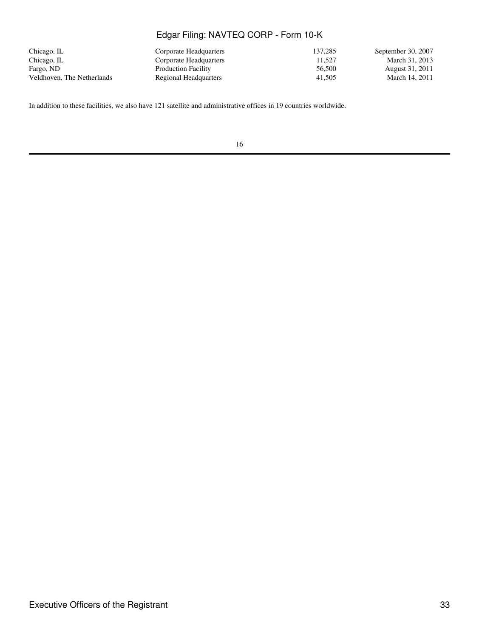| Chicago, IL                | Corporate Headquarters     | 137.285 | September 30, 2007 |
|----------------------------|----------------------------|---------|--------------------|
| Chicago, IL                | Corporate Headquarters     | 11.527  | March 31, 2013     |
| Fargo, ND                  | <b>Production Facility</b> | 56,500  | August 31, 2011    |
| Veldhoven. The Netherlands | Regional Headquarters      | 41.505  | March 14, 2011     |

In addition to these facilities, we also have 121 satellite and administrative offices in 19 countries worldwide.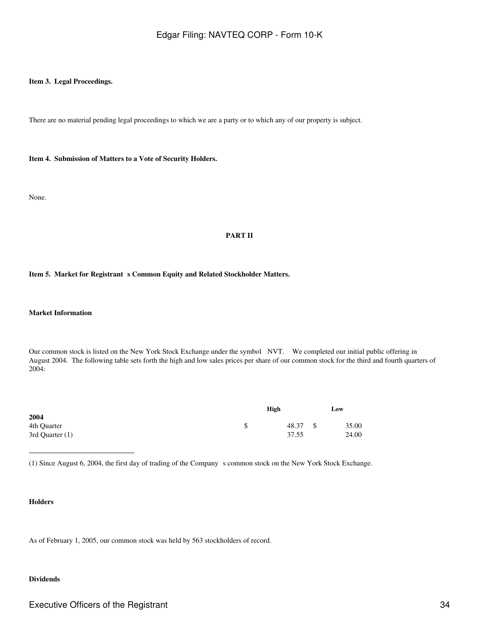#### **Item 3. Legal Proceedings.**

There are no material pending legal proceedings to which we are a party or to which any of our property is subject.

**Item 4. Submission of Matters to a Vote of Security Holders.**

None.

#### **PART II**

#### Item 5. Market for Registrant s Common Equity and Related Stockholder Matters.

#### **Market Information**

Our common stock is listed on the New York Stock Exchange under the symbol NVT. We completed our initial public offering in August 2004. The following table sets forth the high and low sales prices per share of our common stock for the third and fourth quarters of 2004:

|                 | High           | Low   |
|-----------------|----------------|-------|
| 2004            |                |       |
| 4th Quarter     | \$<br>48.37 \$ | 35.00 |
| 3rd Quarter (1) | 37.55          | 24.00 |

(1) Since August 6, 2004, the first day of trading of the Companys common stock on the New York Stock Exchange.

### **Holders**

As of February 1, 2005, our common stock was held by 563 stockholders of record.

### **Dividends**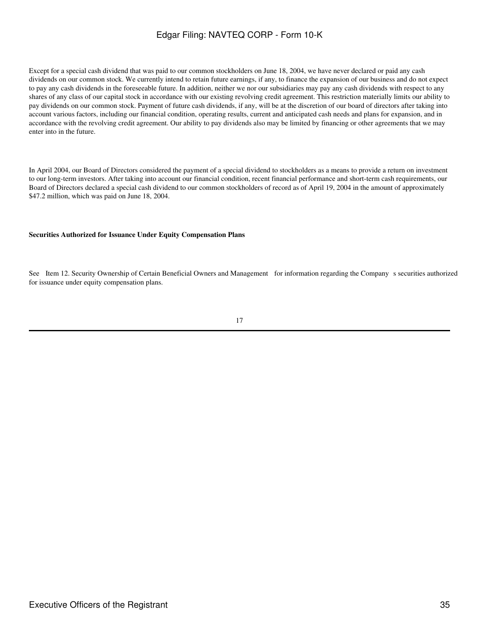Except for a special cash dividend that was paid to our common stockholders on June 18, 2004, we have never declared or paid any cash dividends on our common stock. We currently intend to retain future earnings, if any, to finance the expansion of our business and do not expect to pay any cash dividends in the foreseeable future. In addition, neither we nor our subsidiaries may pay any cash dividends with respect to any shares of any class of our capital stock in accordance with our existing revolving credit agreement. This restriction materially limits our ability to pay dividends on our common stock. Payment of future cash dividends, if any, will be at the discretion of our board of directors after taking into account various factors, including our financial condition, operating results, current and anticipated cash needs and plans for expansion, and in accordance with the revolving credit agreement. Our ability to pay dividends also may be limited by financing or other agreements that we may enter into in the future.

In April 2004, our Board of Directors considered the payment of a special dividend to stockholders as a means to provide a return on investment to our long-term investors. After taking into account our financial condition, recent financial performance and short-term cash requirements, our Board of Directors declared a special cash dividend to our common stockholders of record as of April 19, 2004 in the amount of approximately \$47.2 million, which was paid on June 18, 2004.

#### **Securities Authorized for Issuance Under Equity Compensation Plans**

See Item 12. Security Ownership of Certain Beneficial Owners and Management for information regarding the Company s securities authorized for issuance under equity compensation plans.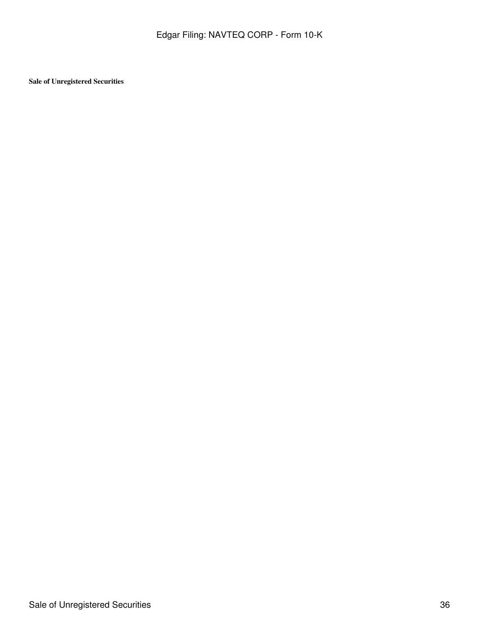**Sale of Unregistered Securities**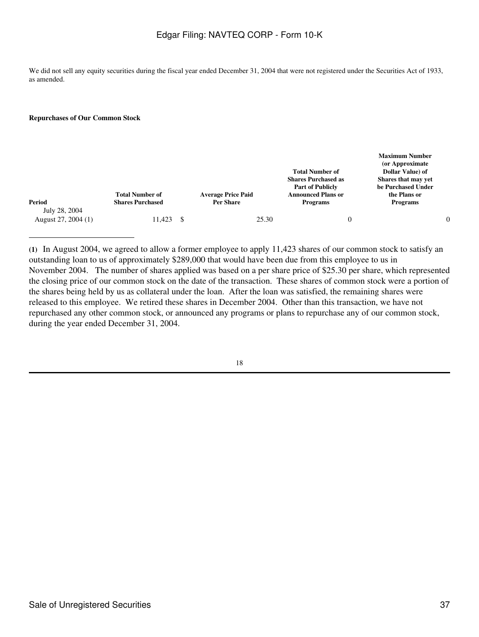We did not sell any equity securities during the fiscal year ended December 31, 2004 that were not registered under the Securities Act of 1933, as amended.

#### **Repurchases of Our Common Stock**

| Period                               | <b>Total Number of</b><br><b>Shares Purchased</b> |    | <b>Average Price Paid</b><br><b>Per Share</b> | <b>Total Number of</b><br><b>Shares Purchased as</b><br><b>Part of Publicly</b><br><b>Announced Plans or</b><br><b>Programs</b> | <b>Maximum Number</b><br>(or Approximate)<br>Dollar Value) of<br>Shares that may vet<br>be Purchased Under<br>the Plans or<br><b>Programs</b> |  |
|--------------------------------------|---------------------------------------------------|----|-----------------------------------------------|---------------------------------------------------------------------------------------------------------------------------------|-----------------------------------------------------------------------------------------------------------------------------------------------|--|
| July 28, 2004<br>August 27, 2004 (1) | 11,423                                            | -S | 25.30                                         |                                                                                                                                 |                                                                                                                                               |  |

**(1)** In August 2004, we agreed to allow a former employee to apply 11,423 shares of our common stock to satisfy an outstanding loan to us of approximately \$289,000 that would have been due from this employee to us in November 2004. The number of shares applied was based on a per share price of \$25.30 per share, which represented the closing price of our common stock on the date of the transaction. These shares of common stock were a portion of the shares being held by us as collateral under the loan. After the loan was satisfied, the remaining shares were released to this employee. We retired these shares in December 2004. Other than this transaction, we have not repurchased any other common stock, or announced any programs or plans to repurchase any of our common stock, during the year ended December 31, 2004.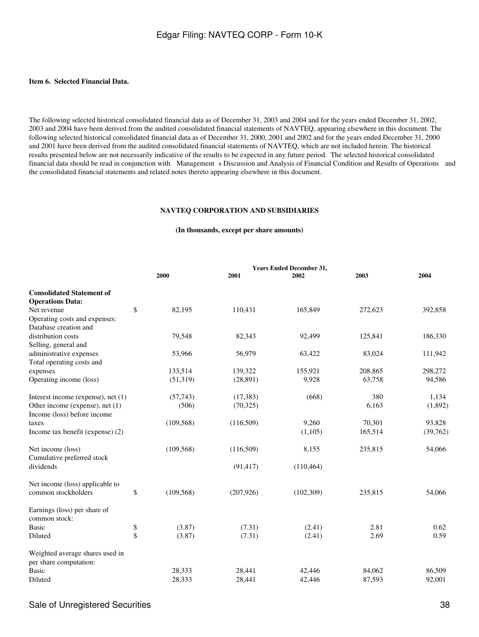### **Item 6. Selected Financial Data.**

The following selected historical consolidated financial data as of December 31, 2003 and 2004 and for the years ended December 31, 2002, 2003 and 2004 have been derived from the audited consolidated financial statements of NAVTEQ, appearing elsewhere in this document. The following selected historical consolidated financial data as of December 31, 2000, 2001 and 2002 and for the years ended December 31, 2000 and 2001 have been derived from the audited consolidated financial statements of NAVTEQ, which are not included herein. The historical results presented below are not necessarily indicative of the results to be expected in any future period. The selected historical consolidated financial data should be read in conjunction with Management s Discussion and Analysis of Financial Condition and Results of Operations and the consolidated financial statements and related notes thereto appearing elsewhere in this document.

#### **NAVTEQ CORPORATION AND SUBSIDIARIES**

### **(In thousands, except per share amounts)**

|                                    | <b>Years Ended December 31,</b> |            |            |            |         |          |  |  |
|------------------------------------|---------------------------------|------------|------------|------------|---------|----------|--|--|
|                                    |                                 | 2000       | 2001       | 2002       | 2003    | 2004     |  |  |
| <b>Consolidated Statement of</b>   |                                 |            |            |            |         |          |  |  |
| <b>Operations Data:</b>            |                                 |            |            |            |         |          |  |  |
| Net revenue                        | \$                              | 82,195     | 110,431    | 165,849    | 272,623 | 392,858  |  |  |
| Operating costs and expenses:      |                                 |            |            |            |         |          |  |  |
| Database creation and              |                                 |            |            |            |         |          |  |  |
| distribution costs                 |                                 | 79,548     | 82,343     | 92,499     | 125,841 | 186,330  |  |  |
| Selling, general and               |                                 |            |            |            |         |          |  |  |
| administrative expenses            |                                 | 53,966     | 56,979     | 63,422     | 83,024  | 111,942  |  |  |
| Total operating costs and          |                                 |            |            |            |         |          |  |  |
| expenses                           |                                 | 133,514    | 139,322    | 155,921    | 208,865 | 298,272  |  |  |
| Operating income (loss)            |                                 | (51,319)   | (28, 891)  | 9,928      | 63,758  | 94,586   |  |  |
| Interest income (expense), net (1) |                                 | (57,743)   | (17, 383)  | (668)      | 380     | 1,134    |  |  |
| Other income (expense), net (1)    |                                 | (506)      | (70, 325)  |            | 6,163   | (1,892)  |  |  |
| Income (loss) before income        |                                 |            |            |            |         |          |  |  |
| taxes                              |                                 | (109, 568) | (116,509)  | 9,260      | 70,301  | 93,828   |  |  |
| Income tax benefit (expense) (2)   |                                 |            |            | (1,105)    | 165,514 | (39,762) |  |  |
| Net income (loss)                  |                                 | (109, 568) | (116,509)  | 8,155      | 235,815 | 54,066   |  |  |
| Cumulative preferred stock         |                                 |            |            |            |         |          |  |  |
| dividends                          |                                 |            | (91, 417)  | (110, 464) |         |          |  |  |
| Net income (loss) applicable to    |                                 |            |            |            |         |          |  |  |
| common stockholders                | \$                              | (109, 568) | (207, 926) | (102, 309) | 235,815 | 54,066   |  |  |
| Earnings (loss) per share of       |                                 |            |            |            |         |          |  |  |
| common stock:                      |                                 |            |            |            |         |          |  |  |
| <b>Basic</b>                       | \$                              | (3.87)     | (7.31)     | (2.41)     | 2.81    | 0.62     |  |  |
| Diluted                            | \$                              | (3.87)     | (7.31)     | (2.41)     | 2.69    | 0.59     |  |  |
| Weighted average shares used in    |                                 |            |            |            |         |          |  |  |
| per share computation:             |                                 |            |            |            |         |          |  |  |
| <b>Basic</b>                       |                                 | 28,333     | 28,441     | 42,446     | 84,062  | 86,509   |  |  |
| Diluted                            |                                 | 28,333     | 28,441     | 42,446     | 87,593  | 92,001   |  |  |
|                                    |                                 |            |            |            |         |          |  |  |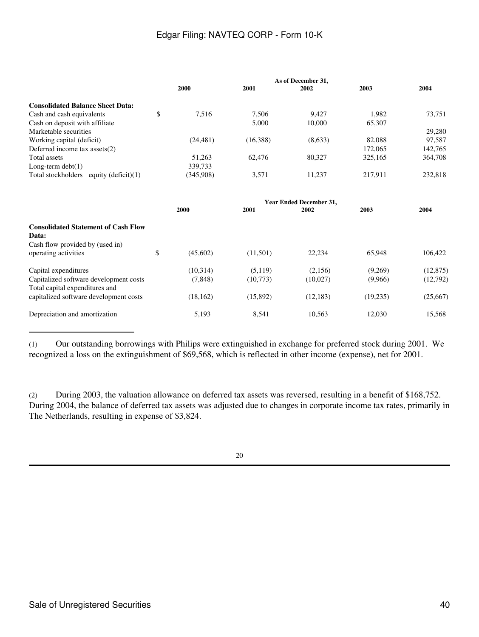|                                             | As of December 31, |           |          |         |         |         |  |
|---------------------------------------------|--------------------|-----------|----------|---------|---------|---------|--|
|                                             |                    | 2000      | 2001     | 2002    | 2003    | 2004    |  |
| <b>Consolidated Balance Sheet Data:</b>     |                    |           |          |         |         |         |  |
| Cash and cash equivalents                   | \$                 | 7.516     | 7.506    | 9.427   | 1.982   | 73,751  |  |
| Cash on deposit with affiliate              |                    |           | 5,000    | 10,000  | 65,307  |         |  |
| Marketable securities                       |                    |           |          |         |         | 29,280  |  |
| Working capital (deficit)                   |                    | (24, 481) | (16,388) | (8,633) | 82,088  | 97,587  |  |
| Deferred income tax assets $(2)$            |                    |           |          |         | 172,065 | 142.765 |  |
| Total assets                                |                    | 51.263    | 62,476   | 80.327  | 325,165 | 364,708 |  |
| Long-term $\text{debt}(1)$                  |                    | 339,733   |          |         |         |         |  |
| Total stockholders<br>equity $(deticit)(1)$ |                    | (345,908) | 3.571    | 11.237  | 217.911 | 232,818 |  |

|                                                                                                  | <b>Year Ended December 31,</b> |                      |                     |                     |                    |                       |  |  |
|--------------------------------------------------------------------------------------------------|--------------------------------|----------------------|---------------------|---------------------|--------------------|-----------------------|--|--|
|                                                                                                  |                                | 2000                 | 2001                | 2002                | 2003               | 2004                  |  |  |
| <b>Consolidated Statement of Cash Flow</b><br>Data:                                              |                                |                      |                     |                     |                    |                       |  |  |
| Cash flow provided by (used in)<br>operating activities                                          | \$                             | (45,602)             | (11,501)            | 22.234              | 65,948             | 106.422               |  |  |
| Capital expenditures<br>Capitalized software development costs<br>Total capital expenditures and |                                | (10.314)<br>(7, 848) | (5.119)<br>(10,773) | (2,156)<br>(10,027) | (9,269)<br>(9,966) | (12, 875)<br>(12,792) |  |  |
| capitalized software development costs                                                           |                                | (18, 162)            | (15,892)            | (12, 183)           | (19,235)           | (25,667)              |  |  |
| Depreciation and amortization                                                                    |                                | 5,193                | 8,541               | 10.563              | 12.030             | 15,568                |  |  |

(1) Our outstanding borrowings with Philips were extinguished in exchange for preferred stock during 2001. We recognized a loss on the extinguishment of \$69,568, which is reflected in other income (expense), net for 2001.

(2) During 2003, the valuation allowance on deferred tax assets was reversed, resulting in a benefit of \$168,752. During 2004, the balance of deferred tax assets was adjusted due to changes in corporate income tax rates, primarily in The Netherlands, resulting in expense of \$3,824.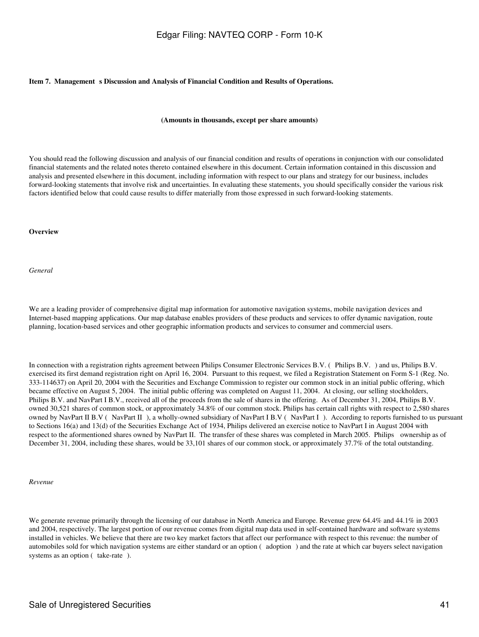#### Item 7. Management s Discussion and Analysis of Financial Condition and Results of Operations.

#### **(Amounts in thousands, except per share amounts)**

You should read the following discussion and analysis of our financial condition and results of operations in conjunction with our consolidated financial statements and the related notes thereto contained elsewhere in this document. Certain information contained in this discussion and analysis and presented elsewhere in this document, including information with respect to our plans and strategy for our business, includes forward-looking statements that involve risk and uncertainties. In evaluating these statements, you should specifically consider the various risk factors identified below that could cause results to differ materially from those expressed in such forward-looking statements.

#### **Overview**

*General*

We are a leading provider of comprehensive digital map information for automotive navigation systems, mobile navigation devices and Internet-based mapping applications. Our map database enables providers of these products and services to offer dynamic navigation, route planning, location-based services and other geographic information products and services to consumer and commercial users.

In connection with a registration rights agreement between Philips Consumer Electronic Services B.V. (Philips B.V.) and us, Philips B.V. exercised its first demand registration right on April 16, 2004. Pursuant to this request, we filed a Registration Statement on Form S-1 (Reg. No. 333-114637) on April 20, 2004 with the Securities and Exchange Commission to register our common stock in an initial public offering, which became effective on August 5, 2004. The initial public offering was completed on August 11, 2004. At closing, our selling stockholders, Philips B.V. and NavPart I B.V., received all of the proceeds from the sale of shares in the offering. As of December 31, 2004, Philips B.V. owned 30,521 shares of common stock, or approximately 34.8% of our common stock. Philips has certain call rights with respect to 2,580 shares owned by NavPart II B.V (NavPart II), a wholly-owned subsidiary of NavPart I B.V (NavPart I). According to reports furnished to us pursuant to Sections 16(a) and 13(d) of the Securities Exchange Act of 1934, Philips delivered an exercise notice to NavPart I in August 2004 with respect to the aformentioned shares owned by NavPart II. The transfer of these shares was completed in March 2005. Philips ownership as of December 31, 2004, including these shares, would be 33,101 shares of our common stock, or approximately 37.7% of the total outstanding.

*Revenue*

We generate revenue primarily through the licensing of our database in North America and Europe. Revenue grew 64.4% and 44.1% in 2003 and 2004, respectively. The largest portion of our revenue comes from digital map data used in self-contained hardware and software systems installed in vehicles. We believe that there are two key market factors that affect our performance with respect to this revenue: the number of automobiles sold for which navigation systems are either standard or an option (adoption) and the rate at which car buyers select navigation systems as an option (take-rate).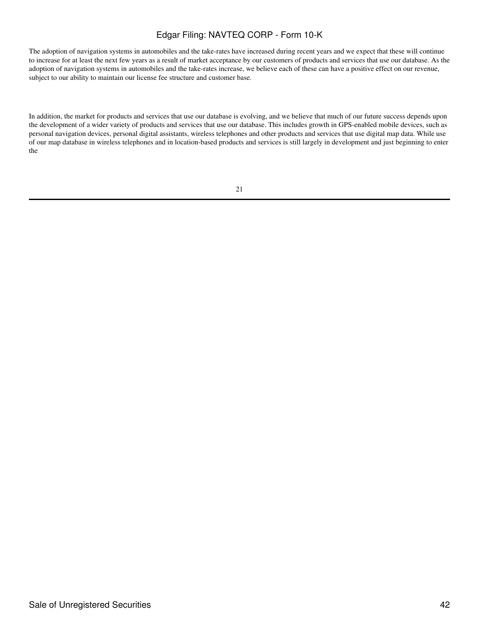The adoption of navigation systems in automobiles and the take-rates have increased during recent years and we expect that these will continue to increase for at least the next few years as a result of market acceptance by our customers of products and services that use our database. As the adoption of navigation systems in automobiles and the take-rates increase, we believe each of these can have a positive effect on our revenue, subject to our ability to maintain our license fee structure and customer base.

In addition, the market for products and services that use our database is evolving, and we believe that much of our future success depends upon the development of a wider variety of products and services that use our database. This includes growth in GPS-enabled mobile devices, such as personal navigation devices, personal digital assistants, wireless telephones and other products and services that use digital map data. While use of our map database in wireless telephones and in location-based products and services is still largely in development and just beginning to enter the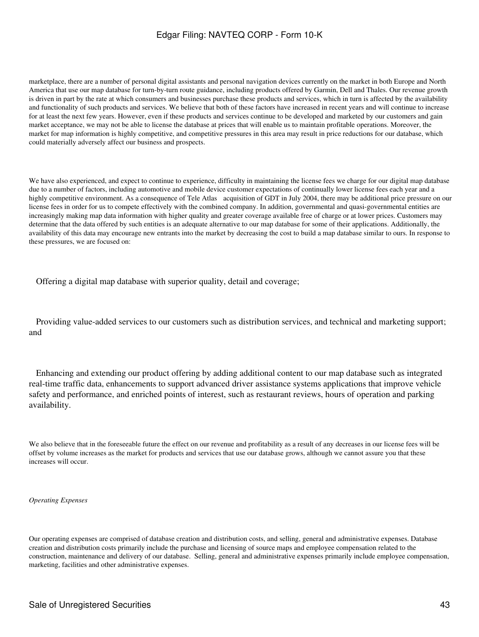marketplace, there are a number of personal digital assistants and personal navigation devices currently on the market in both Europe and North America that use our map database for turn-by-turn route guidance, including products offered by Garmin, Dell and Thales. Our revenue growth is driven in part by the rate at which consumers and businesses purchase these products and services, which in turn is affected by the availability and functionality of such products and services. We believe that both of these factors have increased in recent years and will continue to increase for at least the next few years. However, even if these products and services continue to be developed and marketed by our customers and gain market acceptance, we may not be able to license the database at prices that will enable us to maintain profitable operations. Moreover, the market for map information is highly competitive, and competitive pressures in this area may result in price reductions for our database, which could materially adversely affect our business and prospects.

We have also experienced, and expect to continue to experience, difficulty in maintaining the license fees we charge for our digital map database due to a number of factors, including automotive and mobile device customer expectations of continually lower license fees each year and a highly competitive environment. As a consequence of Tele Atlas acquisition of GDT in July 2004, there may be additional price pressure on our license fees in order for us to compete effectively with the combined company. In addition, governmental and quasi-governmental entities are increasingly making map data information with higher quality and greater coverage available free of charge or at lower prices. Customers may determine that the data offered by such entities is an adequate alternative to our map database for some of their applications. Additionally, the availability of this data may encourage new entrants into the market by decreasing the cost to build a map database similar to ours. In response to these pressures, we are focused on:

Offering a digital map database with superior quality, detail and coverage;

 Providing value-added services to our customers such as distribution services, and technical and marketing support; and

 Enhancing and extending our product offering by adding additional content to our map database such as integrated real-time traffic data, enhancements to support advanced driver assistance systems applications that improve vehicle safety and performance, and enriched points of interest, such as restaurant reviews, hours of operation and parking availability.

We also believe that in the foreseeable future the effect on our revenue and profitability as a result of any decreases in our license fees will be offset by volume increases as the market for products and services that use our database grows, although we cannot assure you that these increases will occur.

#### *Operating Expenses*

Our operating expenses are comprised of database creation and distribution costs, and selling, general and administrative expenses. Database creation and distribution costs primarily include the purchase and licensing of source maps and employee compensation related to the construction, maintenance and delivery of our database. Selling, general and administrative expenses primarily include employee compensation, marketing, facilities and other administrative expenses.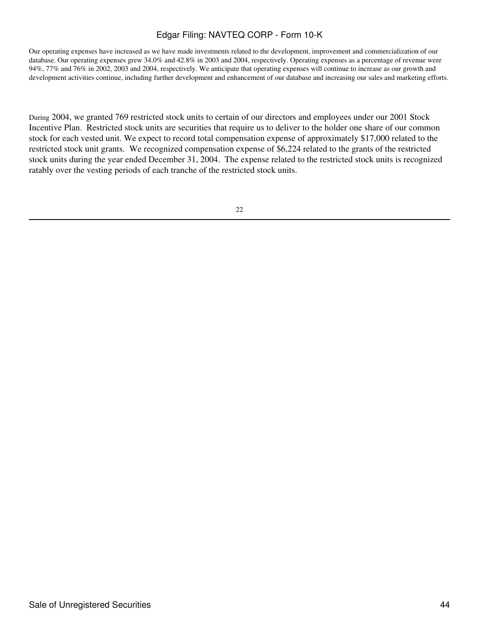Our operating expenses have increased as we have made investments related to the development, improvement and commercialization of our database. Our operating expenses grew 34.0% and 42.8% in 2003 and 2004, respectively. Operating expenses as a percentage of revenue were 94%, 77% and 76% in 2002, 2003 and 2004, respectively. We anticipate that operating expenses will continue to increase as our growth and development activities continue, including further development and enhancement of our database and increasing our sales and marketing efforts.

During 2004, we granted 769 restricted stock units to certain of our directors and employees under our 2001 Stock Incentive Plan. Restricted stock units are securities that require us to deliver to the holder one share of our common stock for each vested unit. We expect to record total compensation expense of approximately \$17,000 related to the restricted stock unit grants. We recognized compensation expense of \$6,224 related to the grants of the restricted stock units during the year ended December 31, 2004. The expense related to the restricted stock units is recognized ratably over the vesting periods of each tranche of the restricted stock units.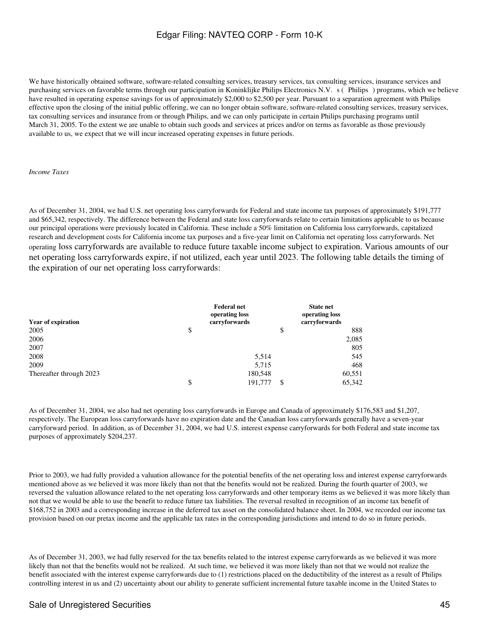We have historically obtained software, software-related consulting services, treasury services, tax consulting services, insurance services and purchasing services on favorable terms through our participation in Koninklijke Philips Electronics N.V. s (Philips) programs, which we believe have resulted in operating expense savings for us of approximately \$2,000 to \$2,500 per year. Pursuant to a separation agreement with Philips effective upon the closing of the initial public offering, we can no longer obtain software, software-related consulting services, treasury services, tax consulting services and insurance from or through Philips, and we can only participate in certain Philips purchasing programs until March 31, 2005. To the extent we are unable to obtain such goods and services at prices and/or on terms as favorable as those previously available to us, we expect that we will incur increased operating expenses in future periods.

#### *Income Taxes*

As of December 31, 2004, we had U.S. net operating loss carryforwards for Federal and state income tax purposes of approximately \$191,777 and \$65,342, respectively. The difference between the Federal and state loss carryforwards relate to certain limitations applicable to us because our principal operations were previously located in California. These include a 50% limitation on California loss carryforwards, capitalized research and development costs for California income tax purposes and a five-year limit on California net operating loss carryforwards. Net operating loss carryforwards are available to reduce future taxable income subject to expiration. Various amounts of our net operating loss carryforwards expire, if not utilized, each year until 2023. The following table details the timing of the expiration of our net operating loss carryforwards:

| <b>Year of expiration</b> | <b>Federal net</b><br>operating loss<br>carryforwards |    | <b>State net</b><br>operating loss<br>carryforwards |
|---------------------------|-------------------------------------------------------|----|-----------------------------------------------------|
| 2005                      | \$                                                    | \$ | 888                                                 |
| 2006                      |                                                       |    | 2,085                                               |
| 2007                      |                                                       |    | 805                                                 |
| 2008                      | 5,514                                                 |    | 545                                                 |
| 2009                      | 5,715                                                 |    | 468                                                 |
| Thereafter through 2023   | 180,548                                               |    | 60,551                                              |
|                           | \$<br>191,777                                         | -S | 65,342                                              |

As of December 31, 2004, we also had net operating loss carryforwards in Europe and Canada of approximately \$176,583 and \$1,207, respectively. The European loss carryforwards have no expiration date and the Canadian loss carryforwards generally have a seven-year carryforward period. In addition, as of December 31, 2004, we had U.S. interest expense carryforwards for both Federal and state income tax purposes of approximately \$204,237.

Prior to 2003, we had fully provided a valuation allowance for the potential benefits of the net operating loss and interest expense carryforwards mentioned above as we believed it was more likely than not that the benefits would not be realized. During the fourth quarter of 2003, we reversed the valuation allowance related to the net operating loss carryforwards and other temporary items as we believed it was more likely than not that we would be able to use the benefit to reduce future tax liabilities. The reversal resulted in recognition of an income tax benefit of \$168,752 in 2003 and a corresponding increase in the deferred tax asset on the consolidated balance sheet. In 2004, we recorded our income tax provision based on our pretax income and the applicable tax rates in the corresponding jurisdictions and intend to do so in future periods.

As of December 31, 2003, we had fully reserved for the tax benefits related to the interest expense carryforwards as we believed it was more likely than not that the benefits would not be realized. At such time, we believed it was more likely than not that we would not realize the benefit associated with the interest expense carryforwards due to (1) restrictions placed on the deductibility of the interest as a result of Philips controlling interest in us and (2) uncertainty about our ability to generate sufficient incremental future taxable income in the United States to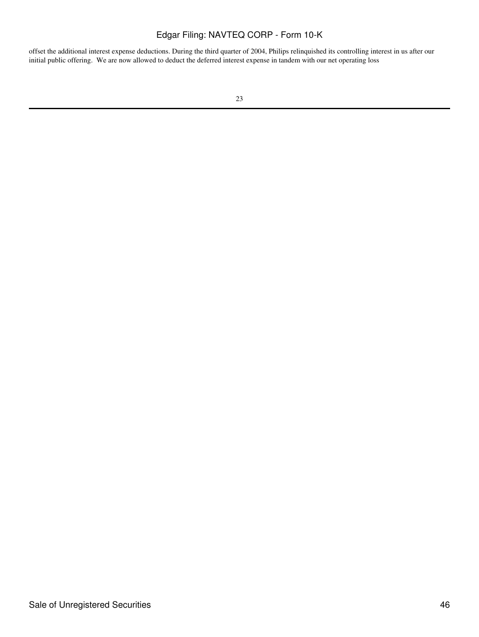offset the additional interest expense deductions. During the third quarter of 2004, Philips relinquished its controlling interest in us after our initial public offering. We are now allowed to deduct the deferred interest expense in tandem with our net operating loss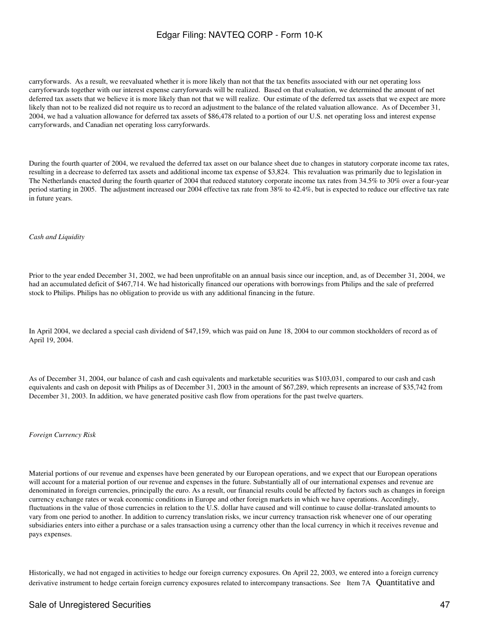carryforwards. As a result, we reevaluated whether it is more likely than not that the tax benefits associated with our net operating loss carryforwards together with our interest expense carryforwards will be realized. Based on that evaluation, we determined the amount of net deferred tax assets that we believe it is more likely than not that we will realize. Our estimate of the deferred tax assets that we expect are more likely than not to be realized did not require us to record an adjustment to the balance of the related valuation allowance. As of December 31, 2004, we had a valuation allowance for deferred tax assets of \$86,478 related to a portion of our U.S. net operating loss and interest expense carryforwards, and Canadian net operating loss carryforwards.

During the fourth quarter of 2004, we revalued the deferred tax asset on our balance sheet due to changes in statutory corporate income tax rates, resulting in a decrease to deferred tax assets and additional income tax expense of \$3,824. This revaluation was primarily due to legislation in The Netherlands enacted during the fourth quarter of 2004 that reduced statutory corporate income tax rates from 34.5% to 30% over a four-year period starting in 2005. The adjustment increased our 2004 effective tax rate from 38% to 42.4%, but is expected to reduce our effective tax rate in future years.

#### *Cash and Liquidity*

Prior to the year ended December 31, 2002, we had been unprofitable on an annual basis since our inception, and, as of December 31, 2004, we had an accumulated deficit of \$467,714. We had historically financed our operations with borrowings from Philips and the sale of preferred stock to Philips. Philips has no obligation to provide us with any additional financing in the future.

In April 2004, we declared a special cash dividend of \$47,159, which was paid on June 18, 2004 to our common stockholders of record as of April 19, 2004.

As of December 31, 2004, our balance of cash and cash equivalents and marketable securities was \$103,031, compared to our cash and cash equivalents and cash on deposit with Philips as of December 31, 2003 in the amount of \$67,289, which represents an increase of \$35,742 from December 31, 2003. In addition, we have generated positive cash flow from operations for the past twelve quarters.

#### *Foreign Currency Risk*

Material portions of our revenue and expenses have been generated by our European operations, and we expect that our European operations will account for a material portion of our revenue and expenses in the future. Substantially all of our international expenses and revenue are denominated in foreign currencies, principally the euro. As a result, our financial results could be affected by factors such as changes in foreign currency exchange rates or weak economic conditions in Europe and other foreign markets in which we have operations. Accordingly, fluctuations in the value of those currencies in relation to the U.S. dollar have caused and will continue to cause dollar-translated amounts to vary from one period to another. In addition to currency translation risks, we incur currency transaction risk whenever one of our operating subsidiaries enters into either a purchase or a sales transaction using a currency other than the local currency in which it receives revenue and pays expenses.

Historically, we had not engaged in activities to hedge our foreign currency exposures. On April 22, 2003, we entered into a foreign currency derivative instrument to hedge certain foreign currency exposures related to intercompany transactions. See Item 7A Quantitative and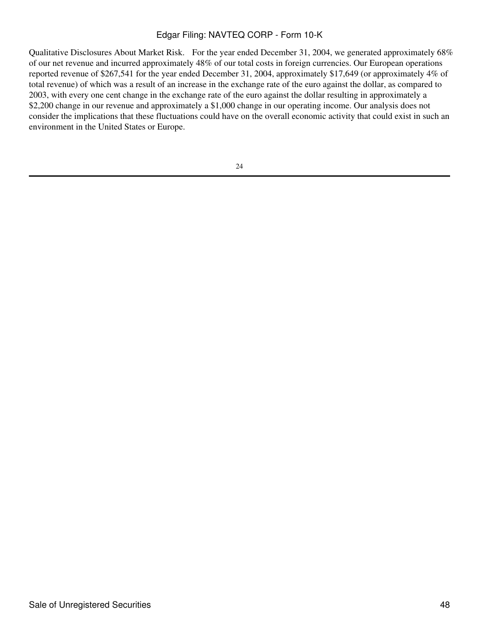Qualitative Disclosures About Market Risk. For the year ended December 31, 2004, we generated approximately 68% of our net revenue and incurred approximately 48% of our total costs in foreign currencies. Our European operations reported revenue of \$267,541 for the year ended December 31, 2004, approximately \$17,649 (or approximately 4% of total revenue) of which was a result of an increase in the exchange rate of the euro against the dollar, as compared to 2003, with every one cent change in the exchange rate of the euro against the dollar resulting in approximately a \$2,200 change in our revenue and approximately a \$1,000 change in our operating income. Our analysis does not consider the implications that these fluctuations could have on the overall economic activity that could exist in such an environment in the United States or Europe.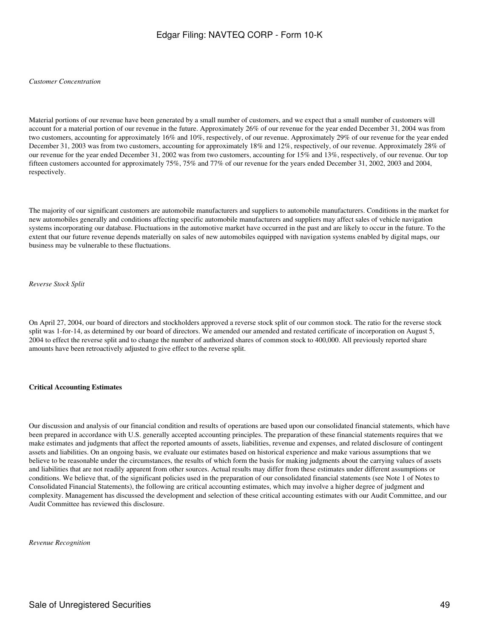#### *Customer Concentration*

Material portions of our revenue have been generated by a small number of customers, and we expect that a small number of customers will account for a material portion of our revenue in the future. Approximately 26% of our revenue for the year ended December 31, 2004 was from two customers, accounting for approximately 16% and 10%, respectively, of our revenue. Approximately 29% of our revenue for the year ended December 31, 2003 was from two customers, accounting for approximately 18% and 12%, respectively, of our revenue. Approximately 28% of our revenue for the year ended December 31, 2002 was from two customers, accounting for 15% and 13%, respectively, of our revenue. Our top fifteen customers accounted for approximately 75%, 75% and 77% of our revenue for the years ended December 31, 2002, 2003 and 2004, respectively.

The majority of our significant customers are automobile manufacturers and suppliers to automobile manufacturers. Conditions in the market for new automobiles generally and conditions affecting specific automobile manufacturers and suppliers may affect sales of vehicle navigation systems incorporating our database. Fluctuations in the automotive market have occurred in the past and are likely to occur in the future. To the extent that our future revenue depends materially on sales of new automobiles equipped with navigation systems enabled by digital maps, our business may be vulnerable to these fluctuations.

*Reverse Stock Split*

On April 27, 2004, our board of directors and stockholders approved a reverse stock split of our common stock. The ratio for the reverse stock split was 1-for-14, as determined by our board of directors. We amended our amended and restated certificate of incorporation on August 5, 2004 to effect the reverse split and to change the number of authorized shares of common stock to 400,000. All previously reported share amounts have been retroactively adjusted to give effect to the reverse split.

#### **Critical Accounting Estimates**

Our discussion and analysis of our financial condition and results of operations are based upon our consolidated financial statements, which have been prepared in accordance with U.S. generally accepted accounting principles. The preparation of these financial statements requires that we make estimates and judgments that affect the reported amounts of assets, liabilities, revenue and expenses, and related disclosure of contingent assets and liabilities. On an ongoing basis, we evaluate our estimates based on historical experience and make various assumptions that we believe to be reasonable under the circumstances, the results of which form the basis for making judgments about the carrying values of assets and liabilities that are not readily apparent from other sources. Actual results may differ from these estimates under different assumptions or conditions. We believe that, of the significant policies used in the preparation of our consolidated financial statements (see Note 1 of Notes to Consolidated Financial Statements), the following are critical accounting estimates, which may involve a higher degree of judgment and complexity. Management has discussed the development and selection of these critical accounting estimates with our Audit Committee, and our Audit Committee has reviewed this disclosure.

*Revenue Recognition*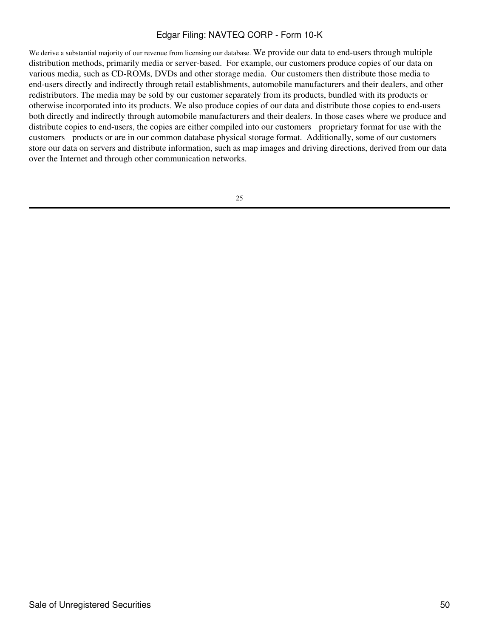We derive a substantial majority of our revenue from licensing our database. We provide our data to end-users through multiple distribution methods, primarily media or server-based. For example, our customers produce copies of our data on various media, such as CD-ROMs, DVDs and other storage media. Our customers then distribute those media to end-users directly and indirectly through retail establishments, automobile manufacturers and their dealers, and other redistributors. The media may be sold by our customer separately from its products, bundled with its products or otherwise incorporated into its products. We also produce copies of our data and distribute those copies to end-users both directly and indirectly through automobile manufacturers and their dealers. In those cases where we produce and distribute copies to end-users, the copies are either compiled into our customers proprietary format for use with the customers products or are in our common database physical storage format. Additionally, some of our customers store our data on servers and distribute information, such as map images and driving directions, derived from our data over the Internet and through other communication networks.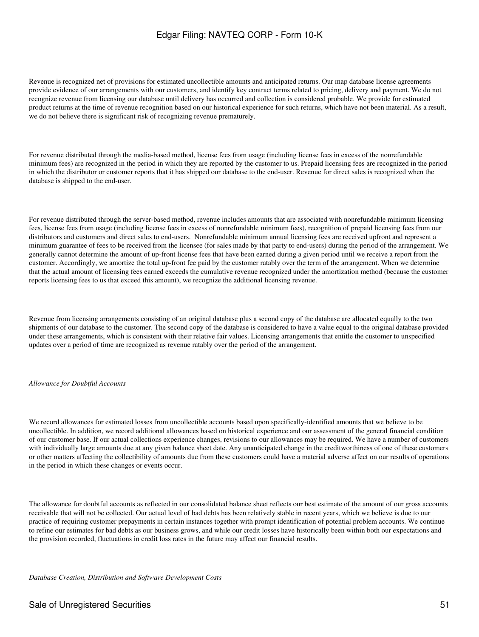Revenue is recognized net of provisions for estimated uncollectible amounts and anticipated returns. Our map database license agreements provide evidence of our arrangements with our customers, and identify key contract terms related to pricing, delivery and payment. We do not recognize revenue from licensing our database until delivery has occurred and collection is considered probable. We provide for estimated product returns at the time of revenue recognition based on our historical experience for such returns, which have not been material. As a result, we do not believe there is significant risk of recognizing revenue prematurely.

For revenue distributed through the media-based method, license fees from usage (including license fees in excess of the nonrefundable minimum fees) are recognized in the period in which they are reported by the customer to us. Prepaid licensing fees are recognized in the period in which the distributor or customer reports that it has shipped our database to the end-user. Revenue for direct sales is recognized when the database is shipped to the end-user.

For revenue distributed through the server-based method, revenue includes amounts that are associated with nonrefundable minimum licensing fees, license fees from usage (including license fees in excess of nonrefundable minimum fees), recognition of prepaid licensing fees from our distributors and customers and direct sales to end-users. Nonrefundable minimum annual licensing fees are received upfront and represent a minimum guarantee of fees to be received from the licensee (for sales made by that party to end-users) during the period of the arrangement. We generally cannot determine the amount of up-front license fees that have been earned during a given period until we receive a report from the customer. Accordingly, we amortize the total up-front fee paid by the customer ratably over the term of the arrangement. When we determine that the actual amount of licensing fees earned exceeds the cumulative revenue recognized under the amortization method (because the customer reports licensing fees to us that exceed this amount), we recognize the additional licensing revenue.

Revenue from licensing arrangements consisting of an original database plus a second copy of the database are allocated equally to the two shipments of our database to the customer. The second copy of the database is considered to have a value equal to the original database provided under these arrangements, which is consistent with their relative fair values. Licensing arrangements that entitle the customer to unspecified updates over a period of time are recognized as revenue ratably over the period of the arrangement.

#### *Allowance for Doubtful Accounts*

We record allowances for estimated losses from uncollectible accounts based upon specifically-identified amounts that we believe to be uncollectible. In addition, we record additional allowances based on historical experience and our assessment of the general financial condition of our customer base. If our actual collections experience changes, revisions to our allowances may be required. We have a number of customers with individually large amounts due at any given balance sheet date. Any unanticipated change in the creditworthiness of one of these customers or other matters affecting the collectibility of amounts due from these customers could have a material adverse affect on our results of operations in the period in which these changes or events occur.

The allowance for doubtful accounts as reflected in our consolidated balance sheet reflects our best estimate of the amount of our gross accounts receivable that will not be collected. Our actual level of bad debts has been relatively stable in recent years, which we believe is due to our practice of requiring customer prepayments in certain instances together with prompt identification of potential problem accounts. We continue to refine our estimates for bad debts as our business grows, and while our credit losses have historically been within both our expectations and the provision recorded, fluctuations in credit loss rates in the future may affect our financial results.

*Database Creation, Distribution and Software Development Costs*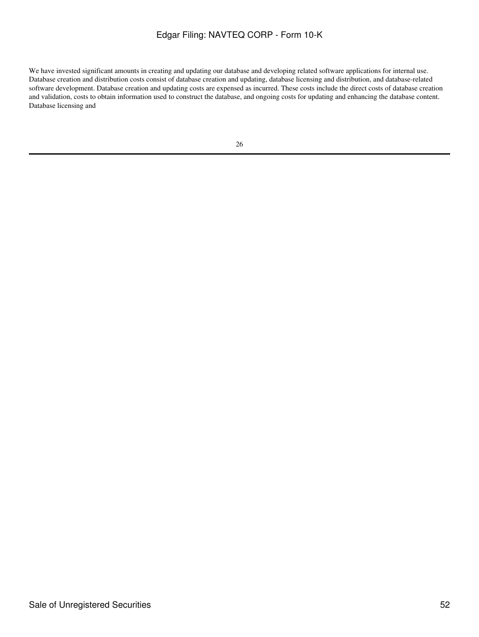We have invested significant amounts in creating and updating our database and developing related software applications for internal use. Database creation and distribution costs consist of database creation and updating, database licensing and distribution, and database-related software development. Database creation and updating costs are expensed as incurred. These costs include the direct costs of database creation and validation, costs to obtain information used to construct the database, and ongoing costs for updating and enhancing the database content. Database licensing and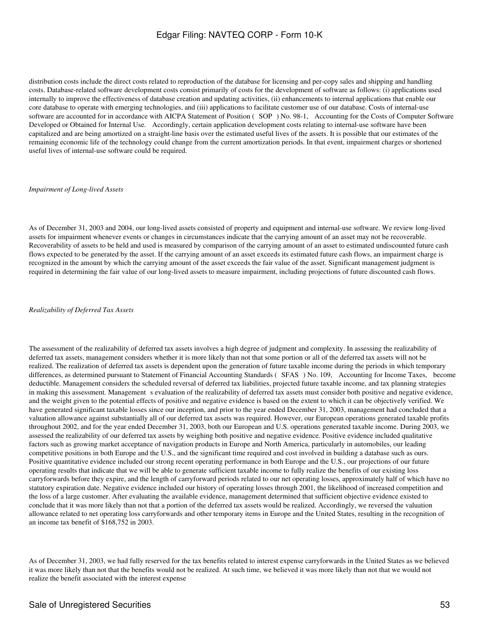distribution costs include the direct costs related to reproduction of the database for licensing and per-copy sales and shipping and handling costs. Database-related software development costs consist primarily of costs for the development of software as follows: (i) applications used internally to improve the effectiveness of database creation and updating activities, (ii) enhancements to internal applications that enable our core database to operate with emerging technologies, and (iii) applications to facilitate customer use of our database. Costs of internal-use software are accounted for in accordance with AICPA Statement of Position (SOP) No. 98-1, Accounting for the Costs of Computer Software Developed or Obtained for Internal Use. Accordingly, certain application development costs relating to internal-use software have been capitalized and are being amortized on a straight-line basis over the estimated useful lives of the assets. It is possible that our estimates of the remaining economic life of the technology could change from the current amortization periods. In that event, impairment charges or shortened useful lives of internal-use software could be required.

#### *Impairment of Long-lived Assets*

As of December 31, 2003 and 2004, our long-lived assets consisted of property and equipment and internal-use software. We review long-lived assets for impairment whenever events or changes in circumstances indicate that the carrying amount of an asset may not be recoverable. Recoverability of assets to be held and used is measured by comparison of the carrying amount of an asset to estimated undiscounted future cash flows expected to be generated by the asset. If the carrying amount of an asset exceeds its estimated future cash flows, an impairment charge is recognized in the amount by which the carrying amount of the asset exceeds the fair value of the asset. Significant management judgment is required in determining the fair value of our long-lived assets to measure impairment, including projections of future discounted cash flows.

*Realizability of Deferred Tax Assets*

The assessment of the realizability of deferred tax assets involves a high degree of judgment and complexity. In assessing the realizability of deferred tax assets, management considers whether it is more likely than not that some portion or all of the deferred tax assets will not be realized. The realization of deferred tax assets is dependent upon the generation of future taxable income during the periods in which temporary differences, as determined pursuant to Statement of Financial Accounting Standards (SFAS) No. 109, Accounting for Income Taxes, become deductible. Management considers the scheduled reversal of deferred tax liabilities, projected future taxable income, and tax planning strategies in making this assessment. Management s evaluation of the realizability of deferred tax assets must consider both positive and negative evidence, and the weight given to the potential effects of positive and negative evidence is based on the extent to which it can be objectively verified. We have generated significant taxable losses since our inception, and prior to the year ended December 31, 2003, management had concluded that a valuation allowance against substantially all of our deferred tax assets was required. However, our European operations generated taxable profits throughout 2002, and for the year ended December 31, 2003, both our European and U.S. operations generated taxable income. During 2003, we assessed the realizability of our deferred tax assets by weighing both positive and negative evidence. Positive evidence included qualitative factors such as growing market acceptance of navigation products in Europe and North America, particularly in automobiles, our leading competitive positions in both Europe and the U.S., and the significant time required and cost involved in building a database such as ours. Positive quantitative evidence included our strong recent operating performance in both Europe and the U.S., our projections of our future operating results that indicate that we will be able to generate sufficient taxable income to fully realize the benefits of our existing loss carryforwards before they expire, and the length of carryforward periods related to our net operating losses, approximately half of which have no statutory expiration date. Negative evidence included our history of operating losses through 2001, the likelihood of increased competition and the loss of a large customer. After evaluating the available evidence, management determined that sufficient objective evidence existed to conclude that it was more likely than not that a portion of the deferred tax assets would be realized. Accordingly, we reversed the valuation allowance related to net operating loss carryforwards and other temporary items in Europe and the United States, resulting in the recognition of an income tax benefit of \$168,752 in 2003.

As of December 31, 2003, we had fully reserved for the tax benefits related to interest expense carryforwards in the United States as we believed it was more likely than not that the benefits would not be realized. At such time, we believed it was more likely than not that we would not realize the benefit associated with the interest expense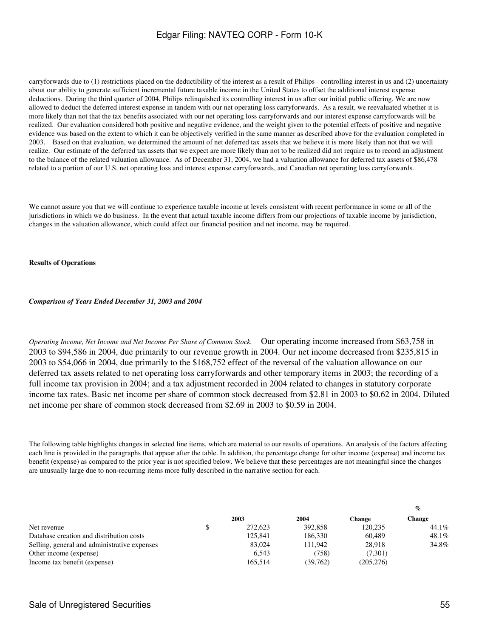carryforwards due to (1) restrictions placed on the deductibility of the interest as a result of Philips controlling interest in us and (2) uncertainty about our ability to generate sufficient incremental future taxable income in the United States to offset the additional interest expense deductions. During the third quarter of 2004, Philips relinquished its controlling interest in us after our initial public offering. We are now allowed to deduct the deferred interest expense in tandem with our net operating loss carryforwards. As a result, we reevaluated whether it is more likely than not that the tax benefits associated with our net operating loss carryforwards and our interest expense carryforwards will be realized. Our evaluation considered both positive and negative evidence, and the weight given to the potential effects of positive and negative evidence was based on the extent to which it can be objectively verified in the same manner as described above for the evaluation completed in 2003. Based on that evaluation, we determined the amount of net deferred tax assets that we believe it is more likely than not that we will realize. Our estimate of the deferred tax assets that we expect are more likely than not to be realized did not require us to record an adjustment to the balance of the related valuation allowance. As of December 31, 2004, we had a valuation allowance for deferred tax assets of \$86,478 related to a portion of our U.S. net operating loss and interest expense carryforwards, and Canadian net operating loss carryforwards.

We cannot assure you that we will continue to experience taxable income at levels consistent with recent performance in some or all of the jurisdictions in which we do business. In the event that actual taxable income differs from our projections of taxable income by jurisdiction, changes in the valuation allowance, which could affect our financial position and net income, may be required.

#### **Results of Operations**

#### *Comparison of Years Ended December 31, 2003 and 2004*

*Operating Income, Net Income and Net Income Per Share of Common Stock.* Our operating income increased from \$63,758 in 2003 to \$94,586 in 2004, due primarily to our revenue growth in 2004. Our net income decreased from \$235,815 in 2003 to \$54,066 in 2004, due primarily to the \$168,752 effect of the reversal of the valuation allowance on our deferred tax assets related to net operating loss carryforwards and other temporary items in 2003; the recording of a full income tax provision in 2004; and a tax adjustment recorded in 2004 related to changes in statutory corporate income tax rates. Basic net income per share of common stock decreased from \$2.81 in 2003 to \$0.62 in 2004. Diluted net income per share of common stock decreased from \$2.69 in 2003 to \$0.59 in 2004.

The following table highlights changes in selected line items, which are material to our results of operations. An analysis of the factors affecting each line is provided in the paragraphs that appear after the table. In addition, the percentage change for other income (expense) and income tax benefit (expense) as compared to the prior year is not specified below. We believe that these percentages are not meaningful since the changes are unusually large due to non-recurring items more fully described in the narrative section for each.

|                                              |         |          |            | $\%$   |
|----------------------------------------------|---------|----------|------------|--------|
|                                              | 2003    | 2004     | Change     | Change |
| Net revenue                                  | 272,623 | 392,858  | 120.235    | 44.1%  |
| Database creation and distribution costs     | 125,841 | 186,330  | 60.489     | 48.1%  |
| Selling, general and administrative expenses | 83,024  | 111.942  | 28.918     | 34.8%  |
| Other income (expense)                       | 6.543   | (758)    | (7.301)    |        |
| Income tax benefit (expense)                 | 165.514 | (39.762) | (205, 276) |        |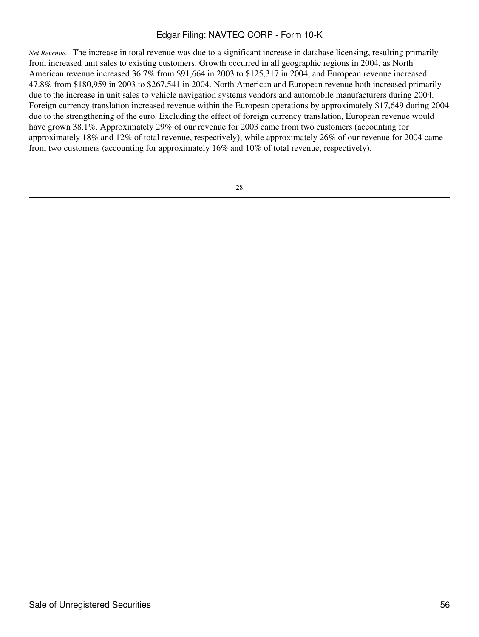*Net Revenue.* The increase in total revenue was due to a significant increase in database licensing, resulting primarily from increased unit sales to existing customers. Growth occurred in all geographic regions in 2004, as North American revenue increased 36.7% from \$91,664 in 2003 to \$125,317 in 2004, and European revenue increased 47.8% from \$180,959 in 2003 to \$267,541 in 2004. North American and European revenue both increased primarily due to the increase in unit sales to vehicle navigation systems vendors and automobile manufacturers during 2004. Foreign currency translation increased revenue within the European operations by approximately \$17,649 during 2004 due to the strengthening of the euro. Excluding the effect of foreign currency translation, European revenue would have grown 38.1%. Approximately 29% of our revenue for 2003 came from two customers (accounting for approximately 18% and 12% of total revenue, respectively), while approximately 26% of our revenue for 2004 came from two customers (accounting for approximately 16% and 10% of total revenue, respectively).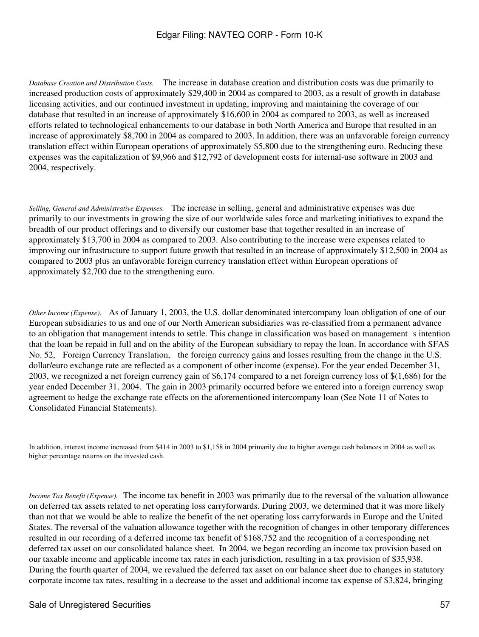*Database Creation and Distribution Costs.* The increase in database creation and distribution costs was due primarily to increased production costs of approximately \$29,400 in 2004 as compared to 2003, as a result of growth in database licensing activities, and our continued investment in updating, improving and maintaining the coverage of our database that resulted in an increase of approximately \$16,600 in 2004 as compared to 2003, as well as increased efforts related to technological enhancements to our database in both North America and Europe that resulted in an increase of approximately \$8,700 in 2004 as compared to 2003. In addition, there was an unfavorable foreign currency translation effect within European operations of approximately \$5,800 due to the strengthening euro. Reducing these expenses was the capitalization of \$9,966 and \$12,792 of development costs for internal-use software in 2003 and 2004, respectively.

*Selling, General and Administrative Expenses.* The increase in selling, general and administrative expenses was due primarily to our investments in growing the size of our worldwide sales force and marketing initiatives to expand the breadth of our product offerings and to diversify our customer base that together resulted in an increase of approximately \$13,700 in 2004 as compared to 2003. Also contributing to the increase were expenses related to improving our infrastructure to support future growth that resulted in an increase of approximately \$12,500 in 2004 as compared to 2003 plus an unfavorable foreign currency translation effect within European operations of approximately \$2,700 due to the strengthening euro.

*Other Income (Expense).* As of January 1, 2003, the U.S. dollar denominated intercompany loan obligation of one of our European subsidiaries to us and one of our North American subsidiaries was re-classified from a permanent advance to an obligation that management intends to settle. This change in classification was based on management sintention that the loan be repaid in full and on the ability of the European subsidiary to repay the loan. In accordance with SFAS No. 52, Foreign Currency Translation, the foreign currency gains and losses resulting from the change in the U.S. dollar/euro exchange rate are reflected as a component of other income (expense). For the year ended December 31, 2003, we recognized a net foreign currency gain of \$6,174 compared to a net foreign currency loss of \$(1,686) for the year ended December 31, 2004. The gain in 2003 primarily occurred before we entered into a foreign currency swap agreement to hedge the exchange rate effects on the aforementioned intercompany loan (See Note 11 of Notes to Consolidated Financial Statements).

In addition, interest income increased from \$414 in 2003 to \$1,158 in 2004 primarily due to higher average cash balances in 2004 as well as higher percentage returns on the invested cash.

*Income Tax Benefit (Expense).* The income tax benefit in 2003 was primarily due to the reversal of the valuation allowance on deferred tax assets related to net operating loss carryforwards. During 2003, we determined that it was more likely than not that we would be able to realize the benefit of the net operating loss carryforwards in Europe and the United States. The reversal of the valuation allowance together with the recognition of changes in other temporary differences resulted in our recording of a deferred income tax benefit of \$168,752 and the recognition of a corresponding net deferred tax asset on our consolidated balance sheet. In 2004, we began recording an income tax provision based on our taxable income and applicable income tax rates in each jurisdiction, resulting in a tax provision of \$35,938. During the fourth quarter of 2004, we revalued the deferred tax asset on our balance sheet due to changes in statutory corporate income tax rates, resulting in a decrease to the asset and additional income tax expense of \$3,824, bringing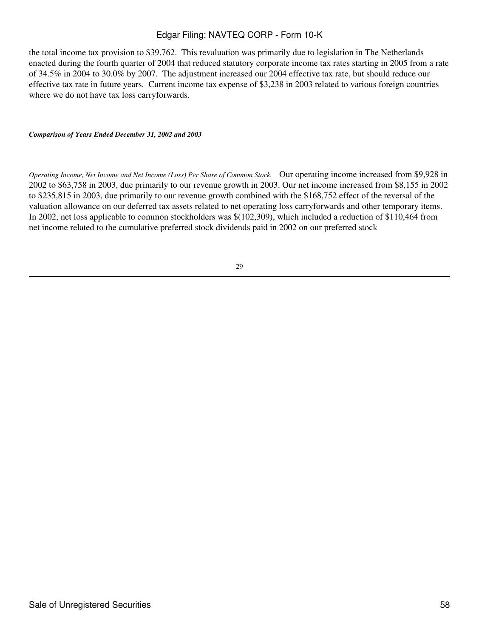the total income tax provision to \$39,762. This revaluation was primarily due to legislation in The Netherlands enacted during the fourth quarter of 2004 that reduced statutory corporate income tax rates starting in 2005 from a rate of 34.5% in 2004 to 30.0% by 2007. The adjustment increased our 2004 effective tax rate, but should reduce our effective tax rate in future years. Current income tax expense of \$3,238 in 2003 related to various foreign countries where we do not have tax loss carryforwards.

*Comparison of Years Ended December 31, 2002 and 2003*

*Operating Income, Net Income and Net Income (Loss) Per Share of Common Stock.* Our operating income increased from \$9,928 in 2002 to \$63,758 in 2003, due primarily to our revenue growth in 2003. Our net income increased from \$8,155 in 2002 to \$235,815 in 2003, due primarily to our revenue growth combined with the \$168,752 effect of the reversal of the valuation allowance on our deferred tax assets related to net operating loss carryforwards and other temporary items. In 2002, net loss applicable to common stockholders was \$(102,309), which included a reduction of \$110,464 from net income related to the cumulative preferred stock dividends paid in 2002 on our preferred stock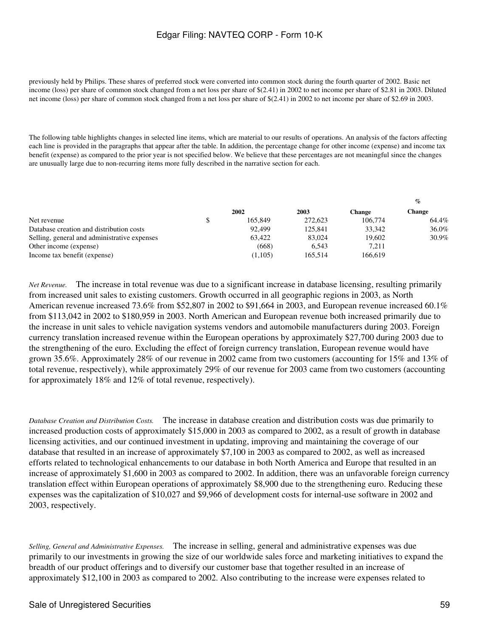previously held by Philips. These shares of preferred stock were converted into common stock during the fourth quarter of 2002. Basic net income (loss) per share of common stock changed from a net loss per share of \$(2.41) in 2002 to net income per share of \$2.81 in 2003. Diluted net income (loss) per share of common stock changed from a net loss per share of \$(2.41) in 2002 to net income per share of \$2.69 in 2003.

The following table highlights changes in selected line items, which are material to our results of operations. An analysis of the factors affecting each line is provided in the paragraphs that appear after the table. In addition, the percentage change for other income (expense) and income tax benefit (expense) as compared to the prior year is not specified below. We believe that these percentages are not meaningful since the changes are unusually large due to non-recurring items more fully described in the narrative section for each.

|         |         |         | $\prime\prime$ |
|---------|---------|---------|----------------|
| 2002    | 2003    | Change  | Change         |
| 165.849 | 272,623 | 106,774 | 64.4%          |
| 92.499  | 125,841 | 33.342  | 36.0%          |
| 63.422  | 83,024  | 19.602  | 30.9%          |
| (668)   | 6.543   | 7.211   |                |
| (1,105) | 165.514 | 166,619 |                |
|         |         |         |                |

*Net Revenue.* The increase in total revenue was due to a significant increase in database licensing, resulting primarily from increased unit sales to existing customers. Growth occurred in all geographic regions in 2003, as North American revenue increased 73.6% from \$52,807 in 2002 to \$91,664 in 2003, and European revenue increased 60.1% from \$113,042 in 2002 to \$180,959 in 2003. North American and European revenue both increased primarily due to the increase in unit sales to vehicle navigation systems vendors and automobile manufacturers during 2003. Foreign currency translation increased revenue within the European operations by approximately \$27,700 during 2003 due to the strengthening of the euro. Excluding the effect of foreign currency translation, European revenue would have grown 35.6%. Approximately 28% of our revenue in 2002 came from two customers (accounting for 15% and 13% of total revenue, respectively), while approximately 29% of our revenue for 2003 came from two customers (accounting for approximately 18% and 12% of total revenue, respectively).

*Database Creation and Distribution Costs.* The increase in database creation and distribution costs was due primarily to increased production costs of approximately \$15,000 in 2003 as compared to 2002, as a result of growth in database licensing activities, and our continued investment in updating, improving and maintaining the coverage of our database that resulted in an increase of approximately \$7,100 in 2003 as compared to 2002, as well as increased efforts related to technological enhancements to our database in both North America and Europe that resulted in an increase of approximately \$1,600 in 2003 as compared to 2002. In addition, there was an unfavorable foreign currency translation effect within European operations of approximately \$8,900 due to the strengthening euro. Reducing these expenses was the capitalization of \$10,027 and \$9,966 of development costs for internal-use software in 2002 and 2003, respectively.

*Selling, General and Administrative Expenses.* The increase in selling, general and administrative expenses was due primarily to our investments in growing the size of our worldwide sales force and marketing initiatives to expand the breadth of our product offerings and to diversify our customer base that together resulted in an increase of approximately \$12,100 in 2003 as compared to 2002. Also contributing to the increase were expenses related to

**%**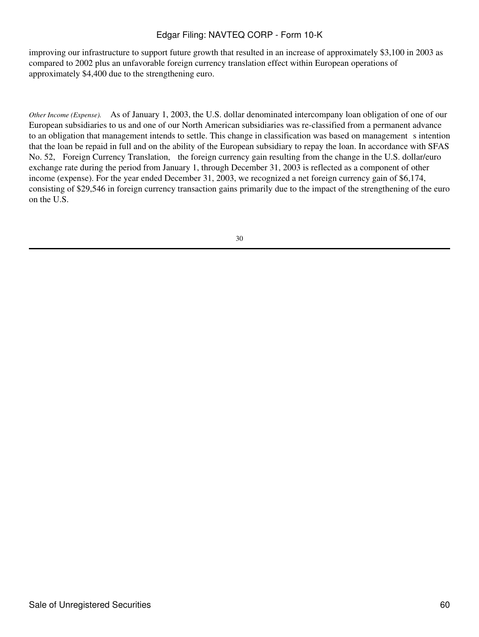improving our infrastructure to support future growth that resulted in an increase of approximately \$3,100 in 2003 as compared to 2002 plus an unfavorable foreign currency translation effect within European operations of approximately \$4,400 due to the strengthening euro.

*Other Income (Expense).* As of January 1, 2003, the U.S. dollar denominated intercompany loan obligation of one of our European subsidiaries to us and one of our North American subsidiaries was re-classified from a permanent advance to an obligation that management intends to settle. This change in classification was based on management s intention that the loan be repaid in full and on the ability of the European subsidiary to repay the loan. In accordance with SFAS No. 52, Foreign Currency Translation, the foreign currency gain resulting from the change in the U.S. dollar/euro exchange rate during the period from January 1, through December 31, 2003 is reflected as a component of other income (expense). For the year ended December 31, 2003, we recognized a net foreign currency gain of \$6,174, consisting of \$29,546 in foreign currency transaction gains primarily due to the impact of the strengthening of the euro on the U.S.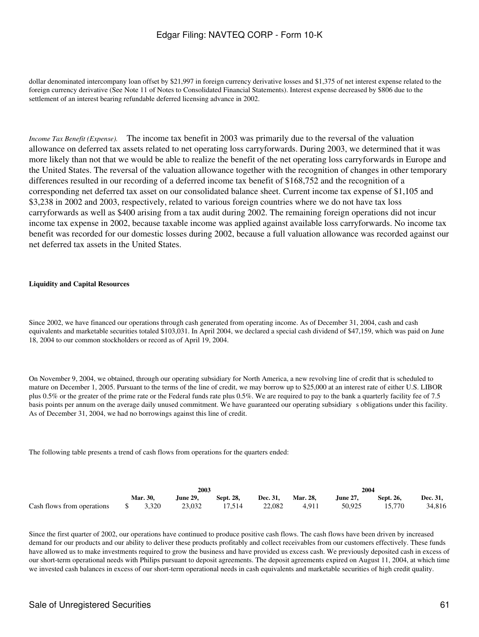dollar denominated intercompany loan offset by \$21,997 in foreign currency derivative losses and \$1,375 of net interest expense related to the foreign currency derivative (See Note 11 of Notes to Consolidated Financial Statements). Interest expense decreased by \$806 due to the settlement of an interest bearing refundable deferred licensing advance in 2002.

*Income Tax Benefit (Expense).* The income tax benefit in 2003 was primarily due to the reversal of the valuation allowance on deferred tax assets related to net operating loss carryforwards. During 2003, we determined that it was more likely than not that we would be able to realize the benefit of the net operating loss carryforwards in Europe and the United States. The reversal of the valuation allowance together with the recognition of changes in other temporary differences resulted in our recording of a deferred income tax benefit of \$168,752 and the recognition of a corresponding net deferred tax asset on our consolidated balance sheet. Current income tax expense of \$1,105 and \$3,238 in 2002 and 2003, respectively, related to various foreign countries where we do not have tax loss carryforwards as well as \$400 arising from a tax audit during 2002. The remaining foreign operations did not incur income tax expense in 2002, because taxable income was applied against available loss carryforwards. No income tax benefit was recorded for our domestic losses during 2002, because a full valuation allowance was recorded against our net deferred tax assets in the United States.

### **Liquidity and Capital Resources**

Since 2002, we have financed our operations through cash generated from operating income. As of December 31, 2004, cash and cash equivalents and marketable securities totaled \$103,031. In April 2004, we declared a special cash dividend of \$47,159, which was paid on June 18, 2004 to our common stockholders or record as of April 19, 2004.

On November 9, 2004, we obtained, through our operating subsidiary for North America, a new revolving line of credit that is scheduled to mature on December 1, 2005. Pursuant to the terms of the line of credit, we may borrow up to \$25,000 at an interest rate of either U.S. LIBOR plus 0.5% or the greater of the prime rate or the Federal funds rate plus 0.5%. We are required to pay to the bank a quarterly facility fee of 7.5 basis points per annum on the average daily unused commitment. We have guaranteed our operating subsidiary s obligations under this facility. As of December 31, 2004, we had no borrowings against this line of credit.

The following table presents a trend of cash flows from operations for the quarters ended:

|                                              | 2003 |                 |                 |           |                 |                 | 2004            |           |                 |
|----------------------------------------------|------|-----------------|-----------------|-----------|-----------------|-----------------|-----------------|-----------|-----------------|
|                                              |      | <b>Mar. 30.</b> | <b>June 29.</b> | Sept. 28. | <b>Dec. 31.</b> | <b>Mar. 28,</b> | <b>June 27.</b> | Sept. 26. | <b>Dec. 31.</b> |
| Cash flows from operations $\qquad$ \$ 3,320 |      |                 | 23.032          | 17.514    | 22.082          | 4.911           | 50.925          | 15.770    | 34.816          |

Since the first quarter of 2002, our operations have continued to produce positive cash flows. The cash flows have been driven by increased demand for our products and our ability to deliver these products profitably and collect receivables from our customers effectively. These funds have allowed us to make investments required to grow the business and have provided us excess cash. We previously deposited cash in excess of our short-term operational needs with Philips pursuant to deposit agreements. The deposit agreements expired on August 11, 2004, at which time we invested cash balances in excess of our short-term operational needs in cash equivalents and marketable securities of high credit quality.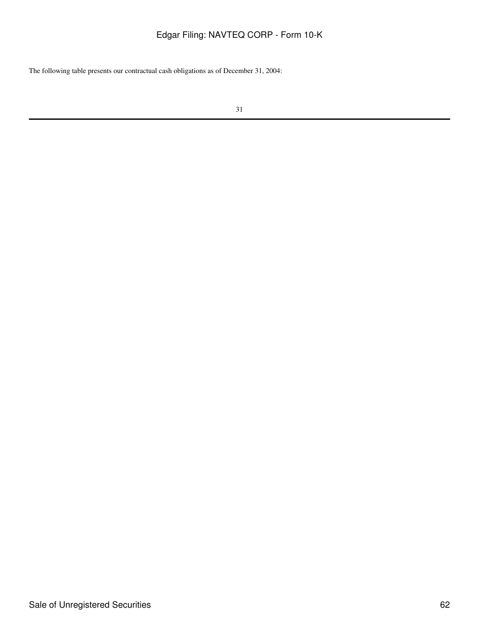The following table presents our contractual cash obligations as of December 31, 2004: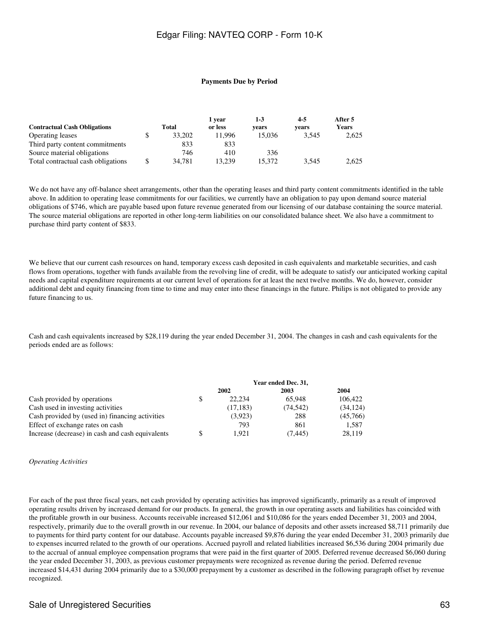#### **Payments Due by Period**

|                                     |              | 1 vear  | $1-3$  | $4-5$ | After 5 |
|-------------------------------------|--------------|---------|--------|-------|---------|
| <b>Contractual Cash Obligations</b> | Total        | or less | vears  | vears | Years   |
| Operating leases                    | \$<br>33,202 | 11.996  | 15.036 | 3.545 | 2,625   |
| Third party content commitments     | 833          | 833     |        |       |         |
| Source material obligations         | 746          | 410     | 336    |       |         |
| Total contractual cash obligations  | \$<br>34.781 | 13.239  | 15.372 | 3.545 | 2,625   |

We do not have any off-balance sheet arrangements, other than the operating leases and third party content commitments identified in the table above. In addition to operating lease commitments for our facilities, we currently have an obligation to pay upon demand source material obligations of \$746, which are payable based upon future revenue generated from our licensing of our database containing the source material. The source material obligations are reported in other long-term liabilities on our consolidated balance sheet. We also have a commitment to purchase third party content of \$833.

We believe that our current cash resources on hand, temporary excess cash deposited in cash equivalents and marketable securities, and cash flows from operations, together with funds available from the revolving line of credit, will be adequate to satisfy our anticipated working capital needs and capital expenditure requirements at our current level of operations for at least the next twelve months. We do, however, consider additional debt and equity financing from time to time and may enter into these financings in the future. Philips is not obligated to provide any future financing to us.

Cash and cash equivalents increased by \$28,119 during the year ended December 31, 2004. The changes in cash and cash equivalents for the periods ended are as follows:

|                                                  | Year ended Dec. 31, |           |           |           |  |
|--------------------------------------------------|---------------------|-----------|-----------|-----------|--|
|                                                  |                     | 2002      | 2003      | 2004      |  |
| Cash provided by operations                      | \$                  | 22.234    | 65.948    | 106.422   |  |
| Cash used in investing activities                |                     | (17, 183) | (74, 542) | (34, 124) |  |
| Cash provided by (used in) financing activities  |                     | (3.923)   | 288       | (45,766)  |  |
| Effect of exchange rates on cash                 |                     | 793       | 861       | 1.587     |  |
| Increase (decrease) in cash and cash equivalents | \$                  | 1.921     | (7.445)   | 28,119    |  |

#### *Operating Activities*

For each of the past three fiscal years, net cash provided by operating activities has improved significantly, primarily as a result of improved operating results driven by increased demand for our products. In general, the growth in our operating assets and liabilities has coincided with the profitable growth in our business. Accounts receivable increased \$12,061 and \$10,086 for the years ended December 31, 2003 and 2004, respectively, primarily due to the overall growth in our revenue. In 2004, our balance of deposits and other assets increased \$8,711 primarily due to payments for third party content for our database. Accounts payable increased \$9,876 during the year ended December 31, 2003 primarily due to expenses incurred related to the growth of our operations. Accrued payroll and related liabilities increased \$6,536 during 2004 primarily due to the accrual of annual employee compensation programs that were paid in the first quarter of 2005. Deferred revenue decreased \$6,060 during the year ended December 31, 2003, as previous customer prepayments were recognized as revenue during the period. Deferred revenue increased \$14,431 during 2004 primarily due to a \$30,000 prepayment by a customer as described in the following paragraph offset by revenue recognized.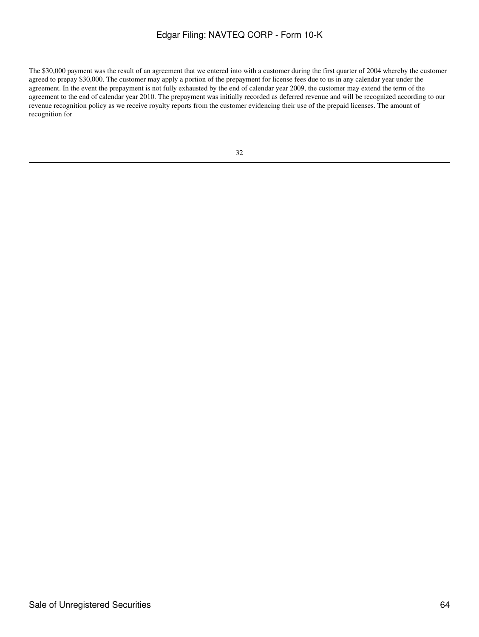The \$30,000 payment was the result of an agreement that we entered into with a customer during the first quarter of 2004 whereby the customer agreed to prepay \$30,000. The customer may apply a portion of the prepayment for license fees due to us in any calendar year under the agreement. In the event the prepayment is not fully exhausted by the end of calendar year 2009, the customer may extend the term of the agreement to the end of calendar year 2010. The prepayment was initially recorded as deferred revenue and will be recognized according to our revenue recognition policy as we receive royalty reports from the customer evidencing their use of the prepaid licenses. The amount of recognition for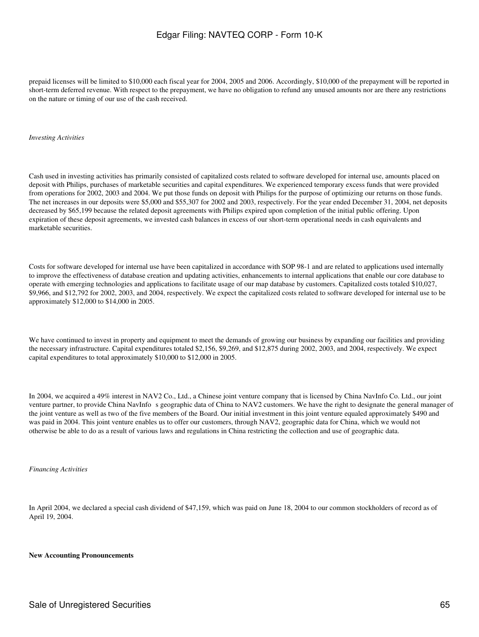prepaid licenses will be limited to \$10,000 each fiscal year for 2004, 2005 and 2006. Accordingly, \$10,000 of the prepayment will be reported in short-term deferred revenue. With respect to the prepayment, we have no obligation to refund any unused amounts nor are there any restrictions on the nature or timing of our use of the cash received.

#### *Investing Activities*

Cash used in investing activities has primarily consisted of capitalized costs related to software developed for internal use, amounts placed on deposit with Philips, purchases of marketable securities and capital expenditures. We experienced temporary excess funds that were provided from operations for 2002, 2003 and 2004. We put those funds on deposit with Philips for the purpose of optimizing our returns on those funds. The net increases in our deposits were \$5,000 and \$55,307 for 2002 and 2003, respectively. For the year ended December 31, 2004, net deposits decreased by \$65,199 because the related deposit agreements with Philips expired upon completion of the initial public offering. Upon expiration of these deposit agreements, we invested cash balances in excess of our short-term operational needs in cash equivalents and marketable securities.

Costs for software developed for internal use have been capitalized in accordance with SOP 98-1 and are related to applications used internally to improve the effectiveness of database creation and updating activities, enhancements to internal applications that enable our core database to operate with emerging technologies and applications to facilitate usage of our map database by customers. Capitalized costs totaled \$10,027, \$9,966, and \$12,792 for 2002, 2003, and 2004, respectively. We expect the capitalized costs related to software developed for internal use to be approximately \$12,000 to \$14,000 in 2005.

We have continued to invest in property and equipment to meet the demands of growing our business by expanding our facilities and providing the necessary infrastructure. Capital expenditures totaled \$2,156, \$9,269, and \$12,875 during 2002, 2003, and 2004, respectively. We expect capital expenditures to total approximately \$10,000 to \$12,000 in 2005.

In 2004, we acquired a 49% interest in NAV2 Co., Ltd., a Chinese joint venture company that is licensed by China NavInfo Co. Ltd., our joint venture partner, to provide China NavInfo s geographic data of China to NAV2 customers. We have the right to designate the general manager of the joint venture as well as two of the five members of the Board. Our initial investment in this joint venture equaled approximately \$490 and was paid in 2004. This joint venture enables us to offer our customers, through NAV2, geographic data for China, which we would not otherwise be able to do as a result of various laws and regulations in China restricting the collection and use of geographic data.

#### *Financing Activities*

In April 2004, we declared a special cash dividend of \$47,159, which was paid on June 18, 2004 to our common stockholders of record as of April 19, 2004.

#### **New Accounting Pronouncements**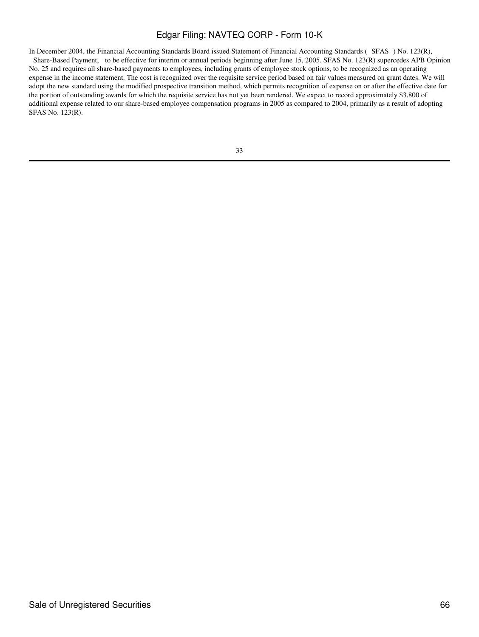In December 2004, the Financial Accounting Standards Board issued Statement of Financial Accounting Standards (SFAS) No. 123(R), Share-Based Payment, to be effective for interim or annual periods beginning after June 15, 2005. SFAS No. 123(R) supercedes APB Opinion No. 25 and requires all share-based payments to employees, including grants of employee stock options, to be recognized as an operating expense in the income statement. The cost is recognized over the requisite service period based on fair values measured on grant dates. We will adopt the new standard using the modified prospective transition method, which permits recognition of expense on or after the effective date for the portion of outstanding awards for which the requisite service has not yet been rendered. We expect to record approximately \$3,800 of additional expense related to our share-based employee compensation programs in 2005 as compared to 2004, primarily as a result of adopting SFAS No. 123(R).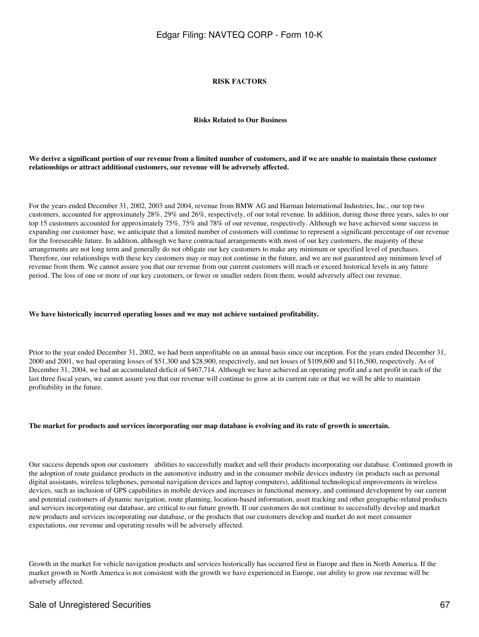#### **RISK FACTORS**

#### **Risks Related to Our Business**

#### **We derive a significant portion of our revenue from a limited number of customers, and if we are unable to maintain these customer relationships or attract additional customers, our revenue will be adversely affected.**

For the years ended December 31, 2002, 2003 and 2004, revenue from BMW AG and Harman International Industries, Inc., our top two customers, accounted for approximately 28%, 29% and 26%, respectively, of our total revenue. In addition, during those three years, sales to our top 15 customers accounted for approximately 75%, 75% and 78% of our revenue, respectively. Although we have achieved some success in expanding our customer base, we anticipate that a limited number of customers will continue to represent a significant percentage of our revenue for the foreseeable future. In addition, although we have contractual arrangements with most of our key customers, the majority of these arrangements are not long term and generally do not obligate our key customers to make any minimum or specified level of purchases. Therefore, our relationships with these key customers may or may not continue in the future, and we are not guaranteed any minimum level of revenue from them. We cannot assure you that our revenue from our current customers will reach or exceed historical levels in any future period. The loss of one or more of our key customers, or fewer or smaller orders from them, would adversely affect our revenue.

#### **We have historically incurred operating losses and we may not achieve sustained profitability.**

Prior to the year ended December 31, 2002, we had been unprofitable on an annual basis since our inception. For the years ended December 31, 2000 and 2001, we had operating losses of \$51,300 and \$28,900, respectively, and net losses of \$109,600 and \$116,500, respectively. As of December 31, 2004, we had an accumulated deficit of \$467,714. Although we have achieved an operating profit and a net profit in each of the last three fiscal years, we cannot assure you that our revenue will continue to grow at its current rate or that we will be able to maintain profitability in the future.

#### **The market for products and services incorporating our map database is evolving and its rate of growth is uncertain.**

Our success depends upon our customers abilities to successfully market and sell their products incorporating our database. Continued growth in the adoption of route guidance products in the automotive industry and in the consumer mobile devices industry (in products such as personal digital assistants, wireless telephones, personal navigation devices and laptop computers), additional technological improvements in wireless devices, such as inclusion of GPS capabilities in mobile devices and increases in functional memory, and continued development by our current and potential customers of dynamic navigation, route planning, location-based information, asset tracking and other geographic-related products and services incorporating our database, are critical to our future growth. If our customers do not continue to successfully develop and market new products and services incorporating our database, or the products that our customers develop and market do not meet consumer expectations, our revenue and operating results will be adversely affected.

Growth in the market for vehicle navigation products and services historically has occurred first in Europe and then in North America. If the market growth in North America is not consistent with the growth we have experienced in Europe, our ability to grow our revenue will be adversely affected.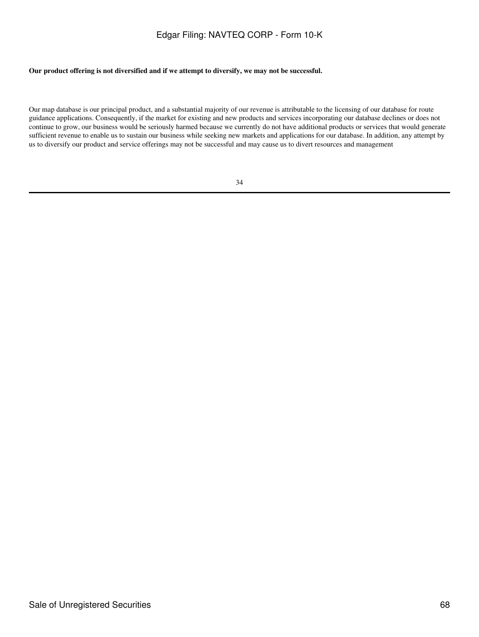### **Our product offering is not diversified and if we attempt to diversify, we may not be successful.**

Our map database is our principal product, and a substantial majority of our revenue is attributable to the licensing of our database for route guidance applications. Consequently, if the market for existing and new products and services incorporating our database declines or does not continue to grow, our business would be seriously harmed because we currently do not have additional products or services that would generate sufficient revenue to enable us to sustain our business while seeking new markets and applications for our database. In addition, any attempt by us to diversify our product and service offerings may not be successful and may cause us to divert resources and management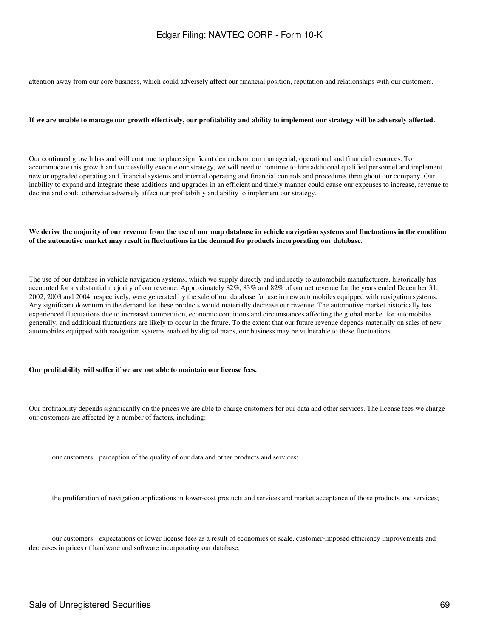attention away from our core business, which could adversely affect our financial position, reputation and relationships with our customers.

#### **If we are unable to manage our growth effectively, our profitability and ability to implement our strategy will be adversely affected.**

Our continued growth has and will continue to place significant demands on our managerial, operational and financial resources. To accommodate this growth and successfully execute our strategy, we will need to continue to hire additional qualified personnel and implement new or upgraded operating and financial systems and internal operating and financial controls and procedures throughout our company. Our inability to expand and integrate these additions and upgrades in an efficient and timely manner could cause our expenses to increase, revenue to decline and could otherwise adversely affect our profitability and ability to implement our strategy.

#### **We derive the majority of our revenue from the use of our map database in vehicle navigation systems and fluctuations in the condition of the automotive market may result in fluctuations in the demand for products incorporating our database.**

The use of our database in vehicle navigation systems, which we supply directly and indirectly to automobile manufacturers, historically has accounted for a substantial majority of our revenue. Approximately 82%, 83% and 82% of our net revenue for the years ended December 31, 2002, 2003 and 2004, respectively, were generated by the sale of our database for use in new automobiles equipped with navigation systems. Any significant downturn in the demand for these products would materially decrease our revenue. The automotive market historically has experienced fluctuations due to increased competition, economic conditions and circumstances affecting the global market for automobiles generally, and additional fluctuations are likely to occur in the future. To the extent that our future revenue depends materially on sales of new automobiles equipped with navigation systems enabled by digital maps, our business may be vulnerable to these fluctuations.

#### **Our profitability will suffer if we are not able to maintain our license fees.**

Our profitability depends significantly on the prices we are able to charge customers for our data and other services. The license fees we charge our customers are affected by a number of factors, including:

our customers perception of the quality of our data and other products and services;

the proliferation of navigation applications in lower-cost products and services and market acceptance of those products and services;

our customers expectations of lower license fees as a result of economies of scale, customer-imposed efficiency improvements and decreases in prices of hardware and software incorporating our database;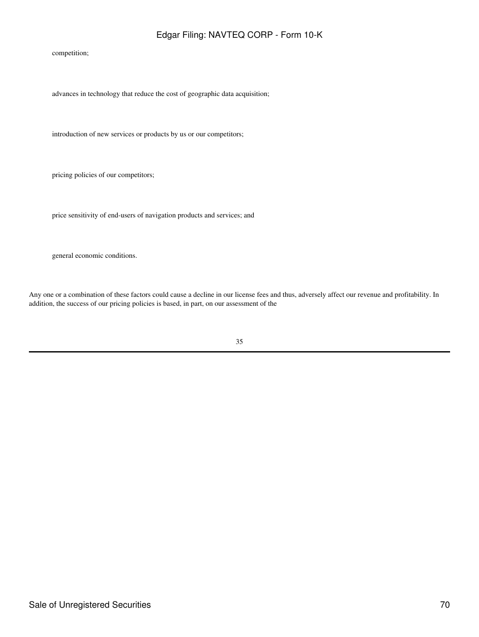competition;

advances in technology that reduce the cost of geographic data acquisition;

introduction of new services or products by us or our competitors;

pricing policies of our competitors;

price sensitivity of end-users of navigation products and services; and

general economic conditions.

Any one or a combination of these factors could cause a decline in our license fees and thus, adversely affect our revenue and profitability. In addition, the success of our pricing policies is based, in part, on our assessment of the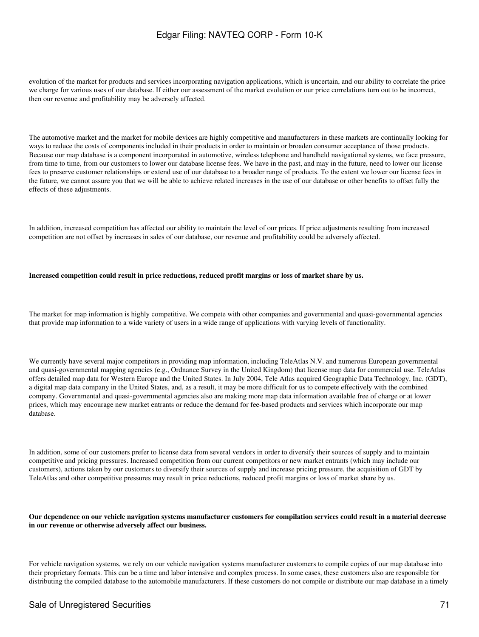evolution of the market for products and services incorporating navigation applications, which is uncertain, and our ability to correlate the price we charge for various uses of our database. If either our assessment of the market evolution or our price correlations turn out to be incorrect, then our revenue and profitability may be adversely affected.

The automotive market and the market for mobile devices are highly competitive and manufacturers in these markets are continually looking for ways to reduce the costs of components included in their products in order to maintain or broaden consumer acceptance of those products. Because our map database is a component incorporated in automotive, wireless telephone and handheld navigational systems, we face pressure, from time to time, from our customers to lower our database license fees. We have in the past, and may in the future, need to lower our license fees to preserve customer relationships or extend use of our database to a broader range of products. To the extent we lower our license fees in the future, we cannot assure you that we will be able to achieve related increases in the use of our database or other benefits to offset fully the effects of these adjustments.

In addition, increased competition has affected our ability to maintain the level of our prices. If price adjustments resulting from increased competition are not offset by increases in sales of our database, our revenue and profitability could be adversely affected.

#### **Increased competition could result in price reductions, reduced profit margins or loss of market share by us.**

The market for map information is highly competitive. We compete with other companies and governmental and quasi-governmental agencies that provide map information to a wide variety of users in a wide range of applications with varying levels of functionality.

We currently have several major competitors in providing map information, including TeleAtlas N.V. and numerous European governmental and quasi-governmental mapping agencies (e.g., Ordnance Survey in the United Kingdom) that license map data for commercial use. TeleAtlas offers detailed map data for Western Europe and the United States. In July 2004, Tele Atlas acquired Geographic Data Technology, Inc. (GDT), a digital map data company in the United States, and, as a result, it may be more difficult for us to compete effectively with the combined company. Governmental and quasi-governmental agencies also are making more map data information available free of charge or at lower prices, which may encourage new market entrants or reduce the demand for fee-based products and services which incorporate our map database.

In addition, some of our customers prefer to license data from several vendors in order to diversify their sources of supply and to maintain competitive and pricing pressures. Increased competition from our current competitors or new market entrants (which may include our customers), actions taken by our customers to diversify their sources of supply and increase pricing pressure, the acquisition of GDT by TeleAtlas and other competitive pressures may result in price reductions, reduced profit margins or loss of market share by us.

#### **Our dependence on our vehicle navigation systems manufacturer customers for compilation services could result in a material decrease in our revenue or otherwise adversely affect our business.**

For vehicle navigation systems, we rely on our vehicle navigation systems manufacturer customers to compile copies of our map database into their proprietary formats. This can be a time and labor intensive and complex process. In some cases, these customers also are responsible for distributing the compiled database to the automobile manufacturers. If these customers do not compile or distribute our map database in a timely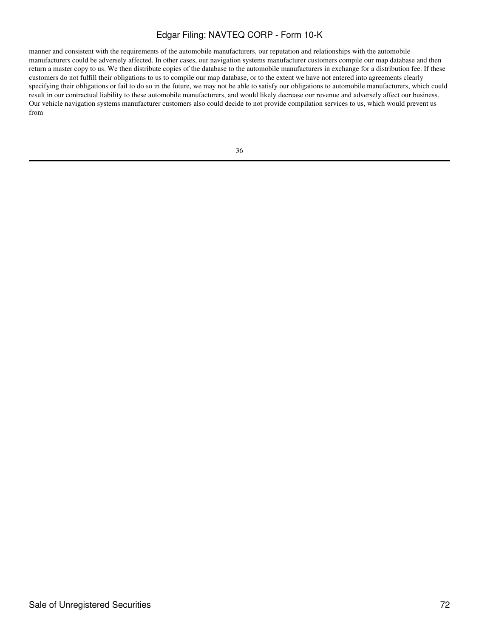manner and consistent with the requirements of the automobile manufacturers, our reputation and relationships with the automobile manufacturers could be adversely affected. In other cases, our navigation systems manufacturer customers compile our map database and then return a master copy to us. We then distribute copies of the database to the automobile manufacturers in exchange for a distribution fee. If these customers do not fulfill their obligations to us to compile our map database, or to the extent we have not entered into agreements clearly specifying their obligations or fail to do so in the future, we may not be able to satisfy our obligations to automobile manufacturers, which could result in our contractual liability to these automobile manufacturers, and would likely decrease our revenue and adversely affect our business. Our vehicle navigation systems manufacturer customers also could decide to not provide compilation services to us, which would prevent us from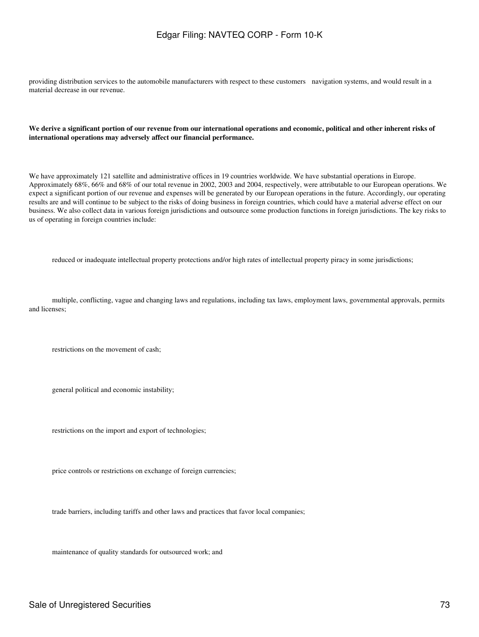providing distribution services to the automobile manufacturers with respect to these customers navigation systems, and would result in a material decrease in our revenue.

#### **We derive a significant portion of our revenue from our international operations and economic, political and other inherent risks of international operations may adversely affect our financial performance.**

We have approximately 121 satellite and administrative offices in 19 countries worldwide. We have substantial operations in Europe. Approximately 68%, 66% and 68% of our total revenue in 2002, 2003 and 2004, respectively, were attributable to our European operations. We expect a significant portion of our revenue and expenses will be generated by our European operations in the future. Accordingly, our operating results are and will continue to be subject to the risks of doing business in foreign countries, which could have a material adverse effect on our business. We also collect data in various foreign jurisdictions and outsource some production functions in foreign jurisdictions. The key risks to us of operating in foreign countries include:

reduced or inadequate intellectual property protections and/or high rates of intellectual property piracy in some jurisdictions;

multiple, conflicting, vague and changing laws and regulations, including tax laws, employment laws, governmental approvals, permits and licenses;

restrictions on the movement of cash;

general political and economic instability;

restrictions on the import and export of technologies;

price controls or restrictions on exchange of foreign currencies;

trade barriers, including tariffs and other laws and practices that favor local companies;

maintenance of quality standards for outsourced work; and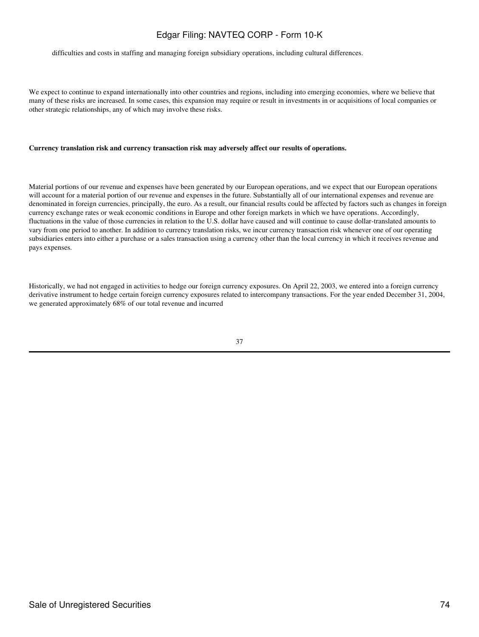difficulties and costs in staffing and managing foreign subsidiary operations, including cultural differences.

We expect to continue to expand internationally into other countries and regions, including into emerging economies, where we believe that many of these risks are increased. In some cases, this expansion may require or result in investments in or acquisitions of local companies or other strategic relationships, any of which may involve these risks.

#### **Currency translation risk and currency transaction risk may adversely affect our results of operations.**

Material portions of our revenue and expenses have been generated by our European operations, and we expect that our European operations will account for a material portion of our revenue and expenses in the future. Substantially all of our international expenses and revenue are denominated in foreign currencies, principally, the euro. As a result, our financial results could be affected by factors such as changes in foreign currency exchange rates or weak economic conditions in Europe and other foreign markets in which we have operations. Accordingly, fluctuations in the value of those currencies in relation to the U.S. dollar have caused and will continue to cause dollar-translated amounts to vary from one period to another. In addition to currency translation risks, we incur currency transaction risk whenever one of our operating subsidiaries enters into either a purchase or a sales transaction using a currency other than the local currency in which it receives revenue and pays expenses.

Historically, we had not engaged in activities to hedge our foreign currency exposures. On April 22, 2003, we entered into a foreign currency derivative instrument to hedge certain foreign currency exposures related to intercompany transactions. For the year ended December 31, 2004, we generated approximately 68% of our total revenue and incurred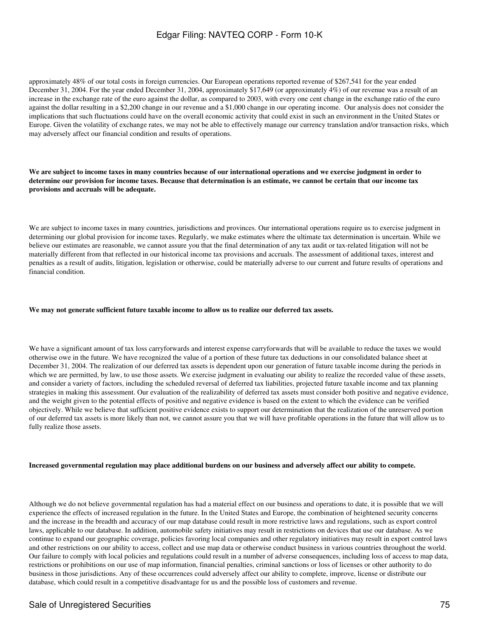approximately 48% of our total costs in foreign currencies. Our European operations reported revenue of \$267,541 for the year ended December 31, 2004. For the year ended December 31, 2004, approximately \$17,649 (or approximately 4%) of our revenue was a result of an increase in the exchange rate of the euro against the dollar, as compared to 2003, with every one cent change in the exchange ratio of the euro against the dollar resulting in a \$2,200 change in our revenue and a \$1,000 change in our operating income. Our analysis does not consider the implications that such fluctuations could have on the overall economic activity that could exist in such an environment in the United States or Europe. Given the volatility of exchange rates, we may not be able to effectively manage our currency translation and/or transaction risks, which may adversely affect our financial condition and results of operations.

### **We are subject to income taxes in many countries because of our international operations and we exercise judgment in order to determine our provision for income taxes. Because that determination is an estimate, we cannot be certain that our income tax provisions and accruals will be adequate.**

We are subject to income taxes in many countries, jurisdictions and provinces. Our international operations require us to exercise judgment in determining our global provision for income taxes. Regularly, we make estimates where the ultimate tax determination is uncertain. While we believe our estimates are reasonable, we cannot assure you that the final determination of any tax audit or tax-related litigation will not be materially different from that reflected in our historical income tax provisions and accruals. The assessment of additional taxes, interest and penalties as a result of audits, litigation, legislation or otherwise, could be materially adverse to our current and future results of operations and financial condition.

### **We may not generate sufficient future taxable income to allow us to realize our deferred tax assets.**

We have a significant amount of tax loss carryforwards and interest expense carryforwards that will be available to reduce the taxes we would otherwise owe in the future. We have recognized the value of a portion of these future tax deductions in our consolidated balance sheet at December 31, 2004. The realization of our deferred tax assets is dependent upon our generation of future taxable income during the periods in which we are permitted, by law, to use those assets. We exercise judgment in evaluating our ability to realize the recorded value of these assets, and consider a variety of factors, including the scheduled reversal of deferred tax liabilities, projected future taxable income and tax planning strategies in making this assessment. Our evaluation of the realizability of deferred tax assets must consider both positive and negative evidence, and the weight given to the potential effects of positive and negative evidence is based on the extent to which the evidence can be verified objectively. While we believe that sufficient positive evidence exists to support our determination that the realization of the unreserved portion of our deferred tax assets is more likely than not, we cannot assure you that we will have profitable operations in the future that will allow us to fully realize those assets.

#### **Increased governmental regulation may place additional burdens on our business and adversely affect our ability to compete.**

Although we do not believe governmental regulation has had a material effect on our business and operations to date, it is possible that we will experience the effects of increased regulation in the future. In the United States and Europe, the combination of heightened security concerns and the increase in the breadth and accuracy of our map database could result in more restrictive laws and regulations, such as export control laws, applicable to our database. In addition, automobile safety initiatives may result in restrictions on devices that use our database. As we continue to expand our geographic coverage, policies favoring local companies and other regulatory initiatives may result in export control laws and other restrictions on our ability to access, collect and use map data or otherwise conduct business in various countries throughout the world. Our failure to comply with local policies and regulations could result in a number of adverse consequences, including loss of access to map data, restrictions or prohibitions on our use of map information, financial penalties, criminal sanctions or loss of licenses or other authority to do business in those jurisdictions. Any of these occurrences could adversely affect our ability to complete, improve, license or distribute our database, which could result in a competitive disadvantage for us and the possible loss of customers and revenue.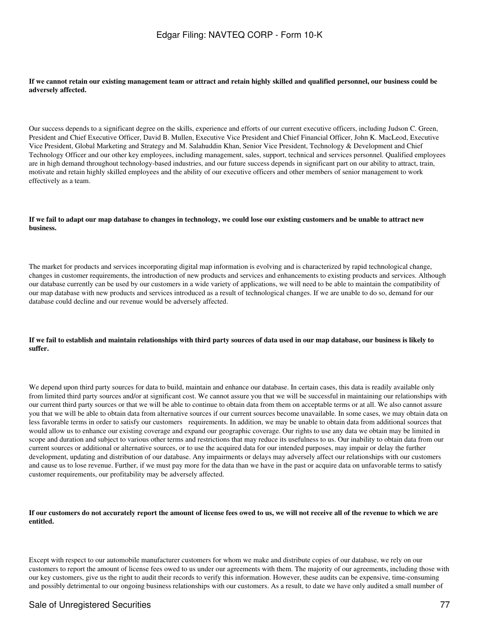#### **If we cannot retain our existing management team or attract and retain highly skilled and qualified personnel, our business could be adversely affected.**

Our success depends to a significant degree on the skills, experience and efforts of our current executive officers, including Judson C. Green, President and Chief Executive Officer, David B. Mullen, Executive Vice President and Chief Financial Officer, John K. MacLeod, Executive Vice President, Global Marketing and Strategy and M. Salahuddin Khan, Senior Vice President, Technology & Development and Chief Technology Officer and our other key employees, including management, sales, support, technical and services personnel. Qualified employees are in high demand throughout technology-based industries, and our future success depends in significant part on our ability to attract, train, motivate and retain highly skilled employees and the ability of our executive officers and other members of senior management to work effectively as a team.

#### **If we fail to adapt our map database to changes in technology, we could lose our existing customers and be unable to attract new business.**

The market for products and services incorporating digital map information is evolving and is characterized by rapid technological change, changes in customer requirements, the introduction of new products and services and enhancements to existing products and services. Although our database currently can be used by our customers in a wide variety of applications, we will need to be able to maintain the compatibility of our map database with new products and services introduced as a result of technological changes. If we are unable to do so, demand for our database could decline and our revenue would be adversely affected.

#### **If we fail to establish and maintain relationships with third party sources of data used in our map database, our business is likely to suffer.**

We depend upon third party sources for data to build, maintain and enhance our database. In certain cases, this data is readily available only from limited third party sources and/or at significant cost. We cannot assure you that we will be successful in maintaining our relationships with our current third party sources or that we will be able to continue to obtain data from them on acceptable terms or at all. We also cannot assure you that we will be able to obtain data from alternative sources if our current sources become unavailable. In some cases, we may obtain data on less favorable terms in order to satisfy our customers requirements. In addition, we may be unable to obtain data from additional sources that would allow us to enhance our existing coverage and expand our geographic coverage. Our rights to use any data we obtain may be limited in scope and duration and subject to various other terms and restrictions that may reduce its usefulness to us. Our inability to obtain data from our current sources or additional or alternative sources, or to use the acquired data for our intended purposes, may impair or delay the further development, updating and distribution of our database. Any impairments or delays may adversely affect our relationships with our customers and cause us to lose revenue. Further, if we must pay more for the data than we have in the past or acquire data on unfavorable terms to satisfy customer requirements, our profitability may be adversely affected.

### **If our customers do not accurately report the amount of license fees owed to us, we will not receive all of the revenue to which we are entitled.**

Except with respect to our automobile manufacturer customers for whom we make and distribute copies of our database, we rely on our customers to report the amount of license fees owed to us under our agreements with them. The majority of our agreements, including those with our key customers, give us the right to audit their records to verify this information. However, these audits can be expensive, time-consuming and possibly detrimental to our ongoing business relationships with our customers. As a result, to date we have only audited a small number of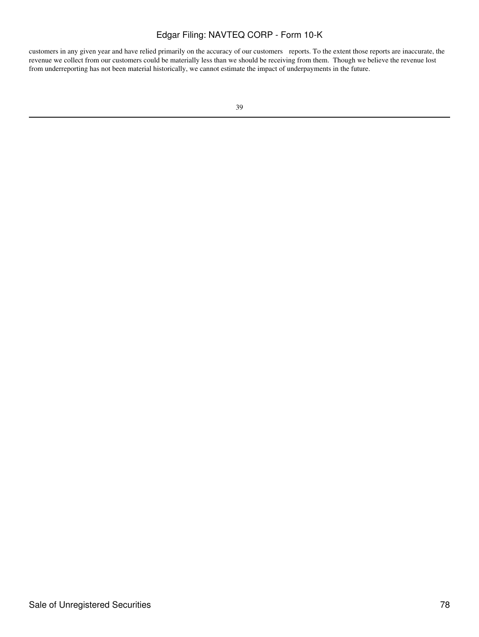customers in any given year and have relied primarily on the accuracy of our customers reports. To the extent those reports are inaccurate, the revenue we collect from our customers could be materially less than we should be receiving from them. Though we believe the revenue lost from underreporting has not been material historically, we cannot estimate the impact of underpayments in the future.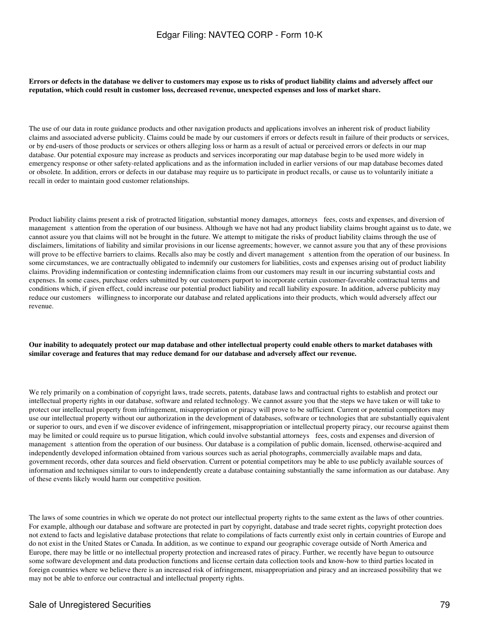**Errors or defects in the database we deliver to customers may expose us to risks of product liability claims and adversely affect our reputation, which could result in customer loss, decreased revenue, unexpected expenses and loss of market share.**

The use of our data in route guidance products and other navigation products and applications involves an inherent risk of product liability claims and associated adverse publicity. Claims could be made by our customers if errors or defects result in failure of their products or services, or by end-users of those products or services or others alleging loss or harm as a result of actual or perceived errors or defects in our map database. Our potential exposure may increase as products and services incorporating our map database begin to be used more widely in emergency response or other safety-related applications and as the information included in earlier versions of our map database becomes dated or obsolete. In addition, errors or defects in our database may require us to participate in product recalls, or cause us to voluntarily initiate a recall in order to maintain good customer relationships.

Product liability claims present a risk of protracted litigation, substantial money damages, attorneys fees, costs and expenses, and diversion of management s attention from the operation of our business. Although we have not had any product liability claims brought against us to date, we cannot assure you that claims will not be brought in the future. We attempt to mitigate the risks of product liability claims through the use of disclaimers, limitations of liability and similar provisions in our license agreements; however, we cannot assure you that any of these provisions will prove to be effective barriers to claims. Recalls also may be costly and divert management s attention from the operation of our business. In some circumstances, we are contractually obligated to indemnify our customers for liabilities, costs and expenses arising out of product liability claims. Providing indemnification or contesting indemnification claims from our customers may result in our incurring substantial costs and expenses. In some cases, purchase orders submitted by our customers purport to incorporate certain customer-favorable contractual terms and conditions which, if given effect, could increase our potential product liability and recall liability exposure. In addition, adverse publicity may reduce our customers willingness to incorporate our database and related applications into their products, which would adversely affect our revenue.

#### **Our inability to adequately protect our map database and other intellectual property could enable others to market databases with similar coverage and features that may reduce demand for our database and adversely affect our revenue.**

We rely primarily on a combination of copyright laws, trade secrets, patents, database laws and contractual rights to establish and protect our intellectual property rights in our database, software and related technology. We cannot assure you that the steps we have taken or will take to protect our intellectual property from infringement, misappropriation or piracy will prove to be sufficient. Current or potential competitors may use our intellectual property without our authorization in the development of databases, software or technologies that are substantially equivalent or superior to ours, and even if we discover evidence of infringement, misappropriation or intellectual property piracy, our recourse against them may be limited or could require us to pursue litigation, which could involve substantial attorneys fees, costs and expenses and diversion of management s attention from the operation of our business. Our database is a compilation of public domain, licensed, otherwise-acquired and independently developed information obtained from various sources such as aerial photographs, commercially available maps and data, government records, other data sources and field observation. Current or potential competitors may be able to use publicly available sources of information and techniques similar to ours to independently create a database containing substantially the same information as our database. Any of these events likely would harm our competitive position.

The laws of some countries in which we operate do not protect our intellectual property rights to the same extent as the laws of other countries. For example, although our database and software are protected in part by copyright, database and trade secret rights, copyright protection does not extend to facts and legislative database protections that relate to compilations of facts currently exist only in certain countries of Europe and do not exist in the United States or Canada. In addition, as we continue to expand our geographic coverage outside of North America and Europe, there may be little or no intellectual property protection and increased rates of piracy. Further, we recently have begun to outsource some software development and data production functions and license certain data collection tools and know-how to third parties located in foreign countries where we believe there is an increased risk of infringement, misappropriation and piracy and an increased possibility that we may not be able to enforce our contractual and intellectual property rights.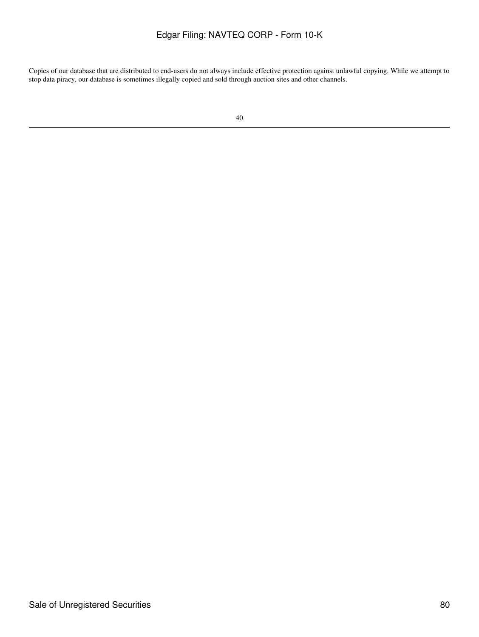Copies of our database that are distributed to end-users do not always include effective protection against unlawful copying. While we attempt to stop data piracy, our database is sometimes illegally copied and sold through auction sites and other channels.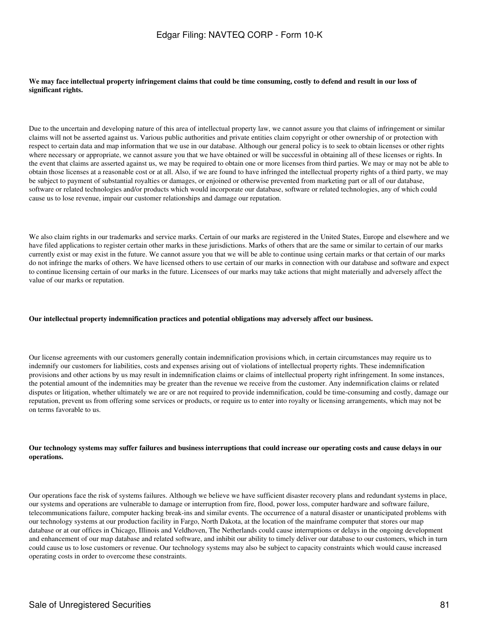#### **We may face intellectual property infringement claims that could be time consuming, costly to defend and result in our loss of significant rights.**

Due to the uncertain and developing nature of this area of intellectual property law, we cannot assure you that claims of infringement or similar claims will not be asserted against us. Various public authorities and private entities claim copyright or other ownership of or protection with respect to certain data and map information that we use in our database. Although our general policy is to seek to obtain licenses or other rights where necessary or appropriate, we cannot assure you that we have obtained or will be successful in obtaining all of these licenses or rights. In the event that claims are asserted against us, we may be required to obtain one or more licenses from third parties. We may or may not be able to obtain those licenses at a reasonable cost or at all. Also, if we are found to have infringed the intellectual property rights of a third party, we may be subject to payment of substantial royalties or damages, or enjoined or otherwise prevented from marketing part or all of our database, software or related technologies and/or products which would incorporate our database, software or related technologies, any of which could cause us to lose revenue, impair our customer relationships and damage our reputation.

We also claim rights in our trademarks and service marks. Certain of our marks are registered in the United States, Europe and elsewhere and we have filed applications to register certain other marks in these jurisdictions. Marks of others that are the same or similar to certain of our marks currently exist or may exist in the future. We cannot assure you that we will be able to continue using certain marks or that certain of our marks do not infringe the marks of others. We have licensed others to use certain of our marks in connection with our database and software and expect to continue licensing certain of our marks in the future. Licensees of our marks may take actions that might materially and adversely affect the value of our marks or reputation.

#### **Our intellectual property indemnification practices and potential obligations may adversely affect our business.**

Our license agreements with our customers generally contain indemnification provisions which, in certain circumstances may require us to indemnify our customers for liabilities, costs and expenses arising out of violations of intellectual property rights. These indemnification provisions and other actions by us may result in indemnification claims or claims of intellectual property right infringement. In some instances, the potential amount of the indemnities may be greater than the revenue we receive from the customer. Any indemnification claims or related disputes or litigation, whether ultimately we are or are not required to provide indemnification, could be time-consuming and costly, damage our reputation, prevent us from offering some services or products, or require us to enter into royalty or licensing arrangements, which may not be on terms favorable to us.

### **Our technology systems may suffer failures and business interruptions that could increase our operating costs and cause delays in our operations.**

Our operations face the risk of systems failures. Although we believe we have sufficient disaster recovery plans and redundant systems in place, our systems and operations are vulnerable to damage or interruption from fire, flood, power loss, computer hardware and software failure, telecommunications failure, computer hacking break-ins and similar events. The occurrence of a natural disaster or unanticipated problems with our technology systems at our production facility in Fargo, North Dakota, at the location of the mainframe computer that stores our map database or at our offices in Chicago, Illinois and Veldhoven, The Netherlands could cause interruptions or delays in the ongoing development and enhancement of our map database and related software, and inhibit our ability to timely deliver our database to our customers, which in turn could cause us to lose customers or revenue. Our technology systems may also be subject to capacity constraints which would cause increased operating costs in order to overcome these constraints.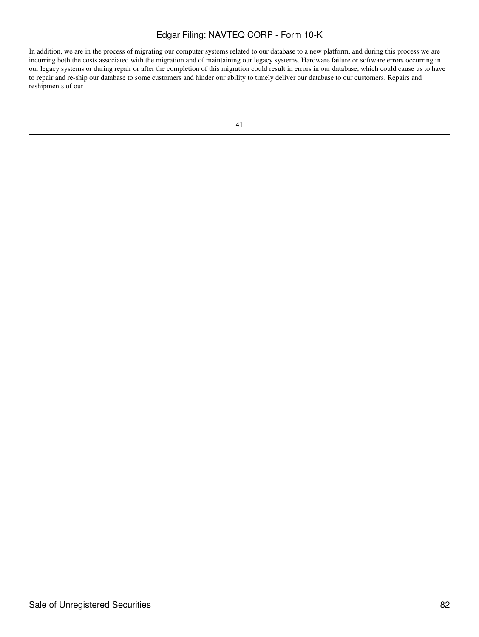In addition, we are in the process of migrating our computer systems related to our database to a new platform, and during this process we are incurring both the costs associated with the migration and of maintaining our legacy systems. Hardware failure or software errors occurring in our legacy systems or during repair or after the completion of this migration could result in errors in our database, which could cause us to have to repair and re-ship our database to some customers and hinder our ability to timely deliver our database to our customers. Repairs and reshipments of our

| e. |  |
|----|--|
|    |  |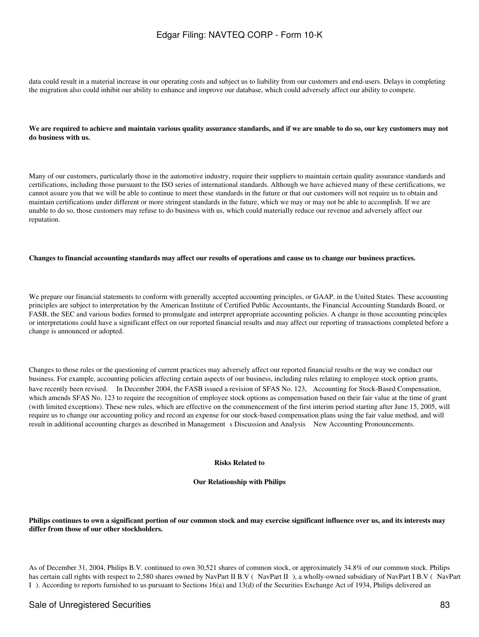data could result in a material increase in our operating costs and subject us to liability from our customers and end-users. Delays in completing the migration also could inhibit our ability to enhance and improve our database, which could adversely affect our ability to compete.

#### **We are required to achieve and maintain various quality assurance standards, and if we are unable to do so, our key customers may not do business with us.**

Many of our customers, particularly those in the automotive industry, require their suppliers to maintain certain quality assurance standards and certifications, including those pursuant to the ISO series of international standards. Although we have achieved many of these certifications, we cannot assure you that we will be able to continue to meet these standards in the future or that our customers will not require us to obtain and maintain certifications under different or more stringent standards in the future, which we may or may not be able to accomplish. If we are unable to do so, those customers may refuse to do business with us, which could materially reduce our revenue and adversely affect our reputation.

#### **Changes to financial accounting standards may affect our results of operations and cause us to change our business practices.**

We prepare our financial statements to conform with generally accepted accounting principles, or GAAP, in the United States. These accounting principles are subject to interpretation by the American Institute of Certified Public Accountants, the Financial Accounting Standards Board, or FASB, the SEC and various bodies formed to promulgate and interpret appropriate accounting policies. A change in those accounting principles or interpretations could have a significant effect on our reported financial results and may affect our reporting of transactions completed before a change is announced or adopted.

Changes to those rules or the questioning of current practices may adversely affect our reported financial results or the way we conduct our business. For example, accounting policies affecting certain aspects of our business, including rules relating to employee stock option grants, have recently been revised. In December 2004, the FASB issued a revision of SFAS No. 123, Accounting for Stock-Based Compensation, which amends SFAS No. 123 to require the recognition of employee stock options as compensation based on their fair value at the time of grant (with limited exceptions). These new rules, which are effective on the commencement of the first interim period starting after June 15, 2005, will require us to change our accounting policy and record an expense for our stock-based compensation plans using the fair value method, and will result in additional accounting charges as described in Management s Discussion and Analysis New Accounting Pronouncements.

#### **Risks Related to**

#### **Our Relationship with Philips**

#### **Philips continues to own a significant portion of our common stock and may exercise significant influence over us, and its interests may differ from those of our other stockholders.**

As of December 31, 2004, Philips B.V. continued to own 30,521 shares of common stock, or approximately 34.8% of our common stock. Philips has certain call rights with respect to 2,580 shares owned by NavPart II B.V (NavPart II), a wholly-owned subsidiary of NavPart I B.V (NavPart I). According to reports furnished to us pursuant to Sections 16(a) and 13(d) of the Securities Exchange Act of 1934, Philips delivered an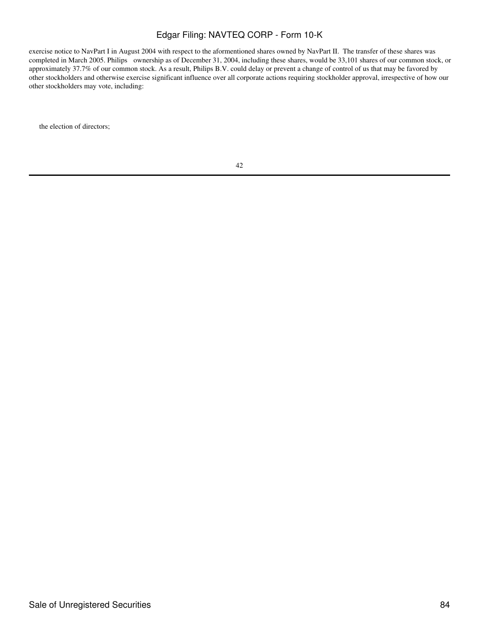exercise notice to NavPart I in August 2004 with respect to the aformentioned shares owned by NavPart II. The transfer of these shares was completed in March 2005. Philips ownership as of December 31, 2004, including these shares, would be 33,101 shares of our common stock, or approximately 37.7% of our common stock. As a result, Philips B.V. could delay or prevent a change of control of us that may be favored by other stockholders and otherwise exercise significant influence over all corporate actions requiring stockholder approval, irrespective of how our other stockholders may vote, including:

the election of directors;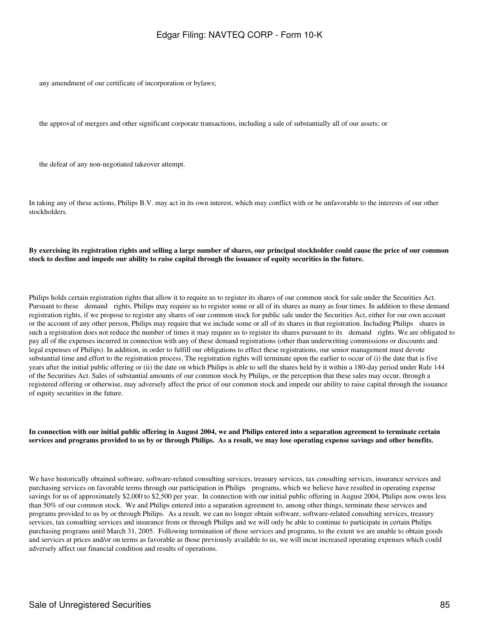any amendment of our certificate of incorporation or bylaws;

the approval of mergers and other significant corporate transactions, including a sale of substantially all of our assets; or

the defeat of any non-negotiated takeover attempt.

In taking any of these actions, Philips B.V. may act in its own interest, which may conflict with or be unfavorable to the interests of our other stockholders.

### **By exercising its registration rights and selling a large number of shares, our principal stockholder could cause the price of our common stock to decline and impede our ability to raise capital through the issuance of equity securities in the future.**

Philips holds certain registration rights that allow it to require us to register its shares of our common stock for sale under the Securities Act. Pursuant to these demand rights, Philips may require us to register some or all of its shares as many as four times. In addition to these demand registration rights, if we propose to register any shares of our common stock for public sale under the Securities Act, either for our own account or the account of any other person, Philips may require that we include some or all of its shares in that registration. Including Philips shares in such a registration does not reduce the number of times it may require us to register its shares pursuant to its demand rights. We are obligated to pay all of the expenses incurred in connection with any of these demand registrations (other than underwriting commissions or discounts and legal expenses of Philips). In addition, in order to fulfill our obligations to effect these registrations, our senior management must devote substantial time and effort to the registration process. The registration rights will terminate upon the earlier to occur of (i) the date that is five years after the initial public offering or (ii) the date on which Philips is able to sell the shares held by it within a 180-day period under Rule 144 of the Securities Act. Sales of substantial amounts of our common stock by Philips, or the perception that these sales may occur, through a registered offering or otherwise, may adversely affect the price of our common stock and impede our ability to raise capital through the issuance of equity securities in the future.

#### **In connection with our initial public offering in August 2004, we and Philips entered into a separation agreement to terminate certain services and programs provided to us by or through Philips. As a result, we may lose operating expense savings and other benefits.**

We have historically obtained software, software-related consulting services, treasury services, tax consulting services, insurance services and purchasing services on favorable terms through our participation in Philips programs, which we believe have resulted in operating expense savings for us of approximately \$2,000 to \$2,500 per year. In connection with our initial public offering in August 2004, Philips now owns less than 50% of our common stock. We and Philips entered into a separation agreement to, among other things, terminate these services and programs provided to us by or through Philips. As a result, we can no longer obtain software, software-related consulting services, treasury services, tax consulting services and insurance from or through Philips and we will only be able to continue to participate in certain Philips purchasing programs until March 31, 2005. Following termination of those services and programs, to the extent we are unable to obtain goods and services at prices and/or on terms as favorable as those previously available to us, we will incur increased operating expenses which could adversely affect our financial condition and results of operations.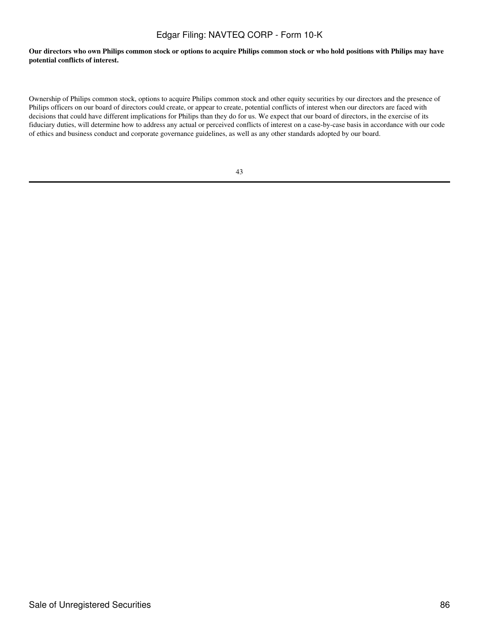**Our directors who own Philips common stock or options to acquire Philips common stock or who hold positions with Philips may have potential conflicts of interest.**

Ownership of Philips common stock, options to acquire Philips common stock and other equity securities by our directors and the presence of Philips officers on our board of directors could create, or appear to create, potential conflicts of interest when our directors are faced with decisions that could have different implications for Philips than they do for us. We expect that our board of directors, in the exercise of its fiduciary duties, will determine how to address any actual or perceived conflicts of interest on a case-by-case basis in accordance with our code of ethics and business conduct and corporate governance guidelines, as well as any other standards adopted by our board.

|    | ٠<br>v        |
|----|---------------|
| ۰. | I             |
|    | ۰.<br>۰,<br>٠ |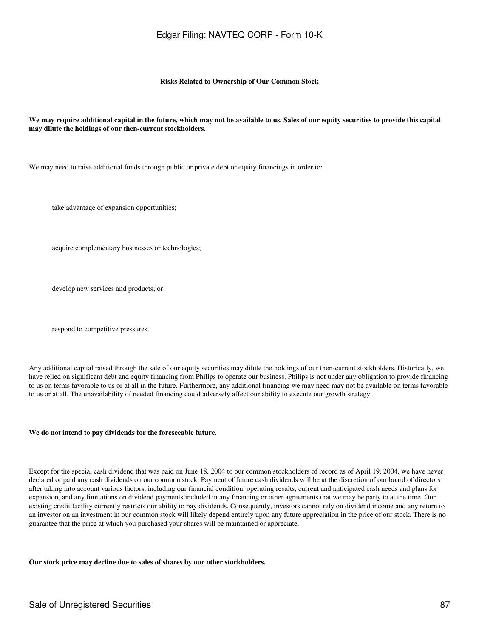#### **Risks Related to Ownership of Our Common Stock**

#### **We may require additional capital in the future, which may not be available to us. Sales of our equity securities to provide this capital may dilute the holdings of our then-current stockholders.**

We may need to raise additional funds through public or private debt or equity financings in order to:

take advantage of expansion opportunities;

acquire complementary businesses or technologies;

develop new services and products; or

respond to competitive pressures.

Any additional capital raised through the sale of our equity securities may dilute the holdings of our then-current stockholders. Historically, we have relied on significant debt and equity financing from Philips to operate our business. Philips is not under any obligation to provide financing to us on terms favorable to us or at all in the future. Furthermore, any additional financing we may need may not be available on terms favorable to us or at all. The unavailability of needed financing could adversely affect our ability to execute our growth strategy.

#### **We do not intend to pay dividends for the foreseeable future.**

Except for the special cash dividend that was paid on June 18, 2004 to our common stockholders of record as of April 19, 2004, we have never declared or paid any cash dividends on our common stock. Payment of future cash dividends will be at the discretion of our board of directors after taking into account various factors, including our financial condition, operating results, current and anticipated cash needs and plans for expansion, and any limitations on dividend payments included in any financing or other agreements that we may be party to at the time. Our existing credit facility currently restricts our ability to pay dividends. Consequently, investors cannot rely on dividend income and any return to an investor on an investment in our common stock will likely depend entirely upon any future appreciation in the price of our stock. There is no guarantee that the price at which you purchased your shares will be maintained or appreciate.

**Our stock price may decline due to sales of shares by our other stockholders.**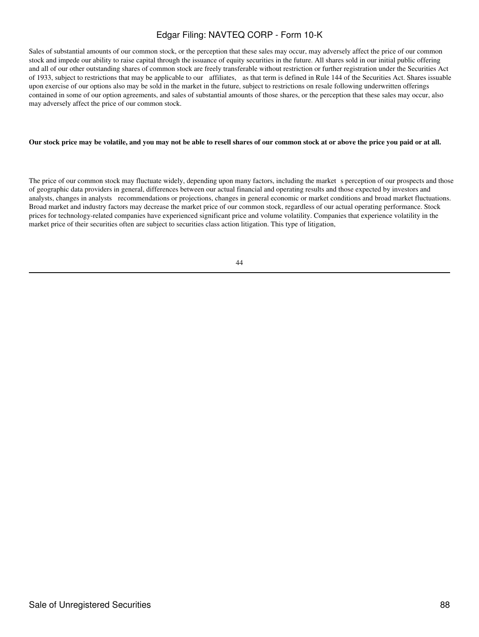Sales of substantial amounts of our common stock, or the perception that these sales may occur, may adversely affect the price of our common stock and impede our ability to raise capital through the issuance of equity securities in the future. All shares sold in our initial public offering and all of our other outstanding shares of common stock are freely transferable without restriction or further registration under the Securities Act of 1933, subject to restrictions that may be applicable to our affiliates, as that term is defined in Rule 144 of the Securities Act. Shares issuable upon exercise of our options also may be sold in the market in the future, subject to restrictions on resale following underwritten offerings contained in some of our option agreements, and sales of substantial amounts of those shares, or the perception that these sales may occur, also may adversely affect the price of our common stock.

### **Our stock price may be volatile, and you may not be able to resell shares of our common stock at or above the price you paid or at all.**

The price of our common stock may fluctuate widely, depending upon many factors, including the market s perception of our prospects and those of geographic data providers in general, differences between our actual financial and operating results and those expected by investors and analysts, changes in analysts recommendations or projections, changes in general economic or market conditions and broad market fluctuations. Broad market and industry factors may decrease the market price of our common stock, regardless of our actual operating performance. Stock prices for technology-related companies have experienced significant price and volume volatility. Companies that experience volatility in the market price of their securities often are subject to securities class action litigation. This type of litigation,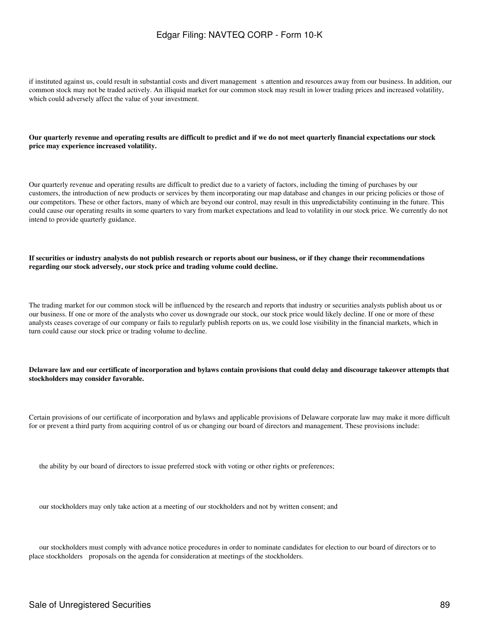if instituted against us, could result in substantial costs and divert managements attention and resources away from our business. In addition, our common stock may not be traded actively. An illiquid market for our common stock may result in lower trading prices and increased volatility, which could adversely affect the value of your investment.

#### **Our quarterly revenue and operating results are difficult to predict and if we do not meet quarterly financial expectations our stock price may experience increased volatility.**

Our quarterly revenue and operating results are difficult to predict due to a variety of factors, including the timing of purchases by our customers, the introduction of new products or services by them incorporating our map database and changes in our pricing policies or those of our competitors. These or other factors, many of which are beyond our control, may result in this unpredictability continuing in the future. This could cause our operating results in some quarters to vary from market expectations and lead to volatility in our stock price. We currently do not intend to provide quarterly guidance.

**If securities or industry analysts do not publish research or reports about our business, or if they change their recommendations regarding our stock adversely, our stock price and trading volume could decline.**

The trading market for our common stock will be influenced by the research and reports that industry or securities analysts publish about us or our business. If one or more of the analysts who cover us downgrade our stock, our stock price would likely decline. If one or more of these analysts ceases coverage of our company or fails to regularly publish reports on us, we could lose visibility in the financial markets, which in turn could cause our stock price or trading volume to decline.

**Delaware law and our certificate of incorporation and bylaws contain provisions that could delay and discourage takeover attempts that stockholders may consider favorable.**

Certain provisions of our certificate of incorporation and bylaws and applicable provisions of Delaware corporate law may make it more difficult for or prevent a third party from acquiring control of us or changing our board of directors and management. These provisions include:

the ability by our board of directors to issue preferred stock with voting or other rights or preferences;

our stockholders may only take action at a meeting of our stockholders and not by written consent; and

our stockholders must comply with advance notice procedures in order to nominate candidates for election to our board of directors or to place stockholders proposals on the agenda for consideration at meetings of the stockholders.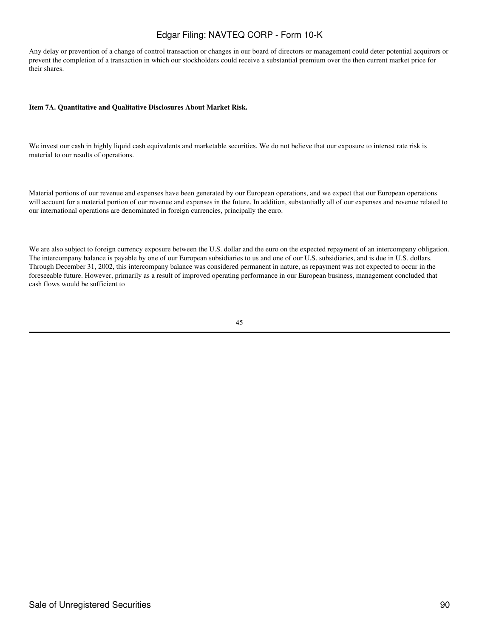Any delay or prevention of a change of control transaction or changes in our board of directors or management could deter potential acquirors or prevent the completion of a transaction in which our stockholders could receive a substantial premium over the then current market price for their shares.

### **Item 7A. Quantitative and Qualitative Disclosures About Market Risk.**

We invest our cash in highly liquid cash equivalents and marketable securities. We do not believe that our exposure to interest rate risk is material to our results of operations.

Material portions of our revenue and expenses have been generated by our European operations, and we expect that our European operations will account for a material portion of our revenue and expenses in the future. In addition, substantially all of our expenses and revenue related to our international operations are denominated in foreign currencies, principally the euro.

We are also subject to foreign currency exposure between the U.S. dollar and the euro on the expected repayment of an intercompany obligation. The intercompany balance is payable by one of our European subsidiaries to us and one of our U.S. subsidiaries, and is due in U.S. dollars. Through December 31, 2002, this intercompany balance was considered permanent in nature, as repayment was not expected to occur in the foreseeable future. However, primarily as a result of improved operating performance in our European business, management concluded that cash flows would be sufficient to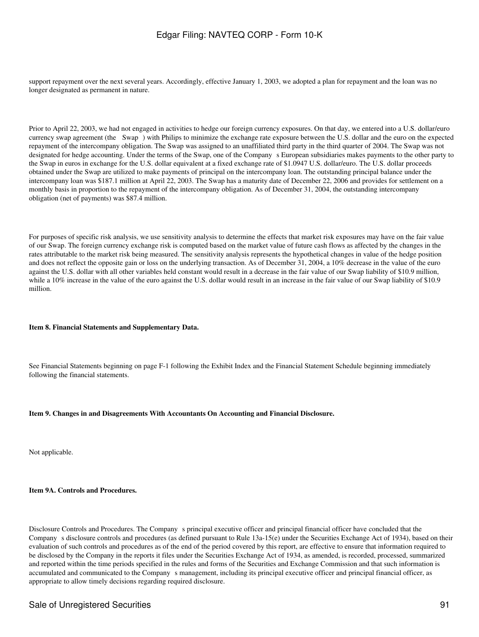support repayment over the next several years. Accordingly, effective January 1, 2003, we adopted a plan for repayment and the loan was no longer designated as permanent in nature.

Prior to April 22, 2003, we had not engaged in activities to hedge our foreign currency exposures. On that day, we entered into a U.S. dollar/euro currency swap agreement (the Swap) with Philips to minimize the exchange rate exposure between the U.S. dollar and the euro on the expected repayment of the intercompany obligation. The Swap was assigned to an unaffiliated third party in the third quarter of 2004. The Swap was not designated for hedge accounting. Under the terms of the Swap, one of the Company s European subsidiaries makes payments to the other party to the Swap in euros in exchange for the U.S. dollar equivalent at a fixed exchange rate of \$1.0947 U.S. dollar/euro. The U.S. dollar proceeds obtained under the Swap are utilized to make payments of principal on the intercompany loan. The outstanding principal balance under the intercompany loan was \$187.1 million at April 22, 2003. The Swap has a maturity date of December 22, 2006 and provides for settlement on a monthly basis in proportion to the repayment of the intercompany obligation. As of December 31, 2004, the outstanding intercompany obligation (net of payments) was \$87.4 million.

For purposes of specific risk analysis, we use sensitivity analysis to determine the effects that market risk exposures may have on the fair value of our Swap. The foreign currency exchange risk is computed based on the market value of future cash flows as affected by the changes in the rates attributable to the market risk being measured. The sensitivity analysis represents the hypothetical changes in value of the hedge position and does not reflect the opposite gain or loss on the underlying transaction. As of December 31, 2004, a 10% decrease in the value of the euro against the U.S. dollar with all other variables held constant would result in a decrease in the fair value of our Swap liability of \$10.9 million, while a 10% increase in the value of the euro against the U.S. dollar would result in an increase in the fair value of our Swap liability of \$10.9 million.

### **Item 8. Financial Statements and Supplementary Data.**

See Financial Statements beginning on page F-1 following the Exhibit Index and the Financial Statement Schedule beginning immediately following the financial statements.

### **Item 9. Changes in and Disagreements With Accountants On Accounting and Financial Disclosure.**

Not applicable.

#### **Item 9A. Controls and Procedures.**

Disclosure Controls and Procedures. The Company s principal executive officer and principal financial officer have concluded that the Company s disclosure controls and procedures (as defined pursuant to Rule 13a-15(e) under the Securities Exchange Act of 1934), based on their evaluation of such controls and procedures as of the end of the period covered by this report, are effective to ensure that information required to be disclosed by the Company in the reports it files under the Securities Exchange Act of 1934, as amended, is recorded, processed, summarized and reported within the time periods specified in the rules and forms of the Securities and Exchange Commission and that such information is accumulated and communicated to the Companys management, including its principal executive officer and principal financial officer, as appropriate to allow timely decisions regarding required disclosure.

### Sale of Unregistered Securities 61 and 2012 12:30 and 2012 12:30 and 2012 12:30 and 2013 12:30 and 2013 12:30 and 2013 12:30 and 2013 12:30 and 2013 12:30 and 2013 12:30 and 2013 12:30 and 2013 12:30 and 2013 12:30 and 201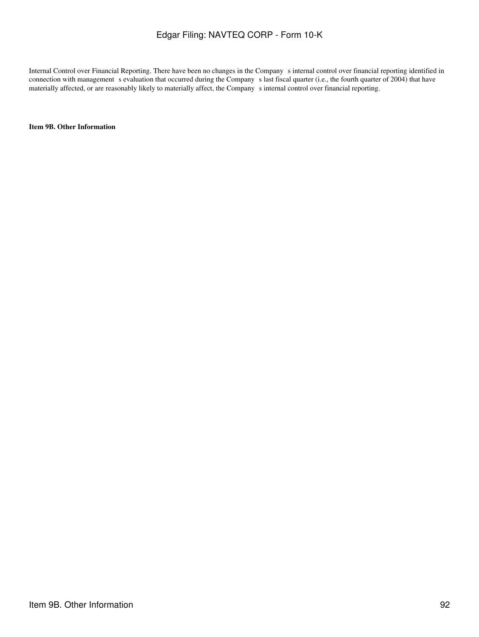Internal Control over Financial Reporting. There have been no changes in the Company s internal control over financial reporting identified in connection with management s evaluation that occurred during the Company s last fiscal quarter (i.e., the fourth quarter of 2004) that have materially affected, or are reasonably likely to materially affect, the Company s internal control over financial reporting.

**Item 9B. Other Information**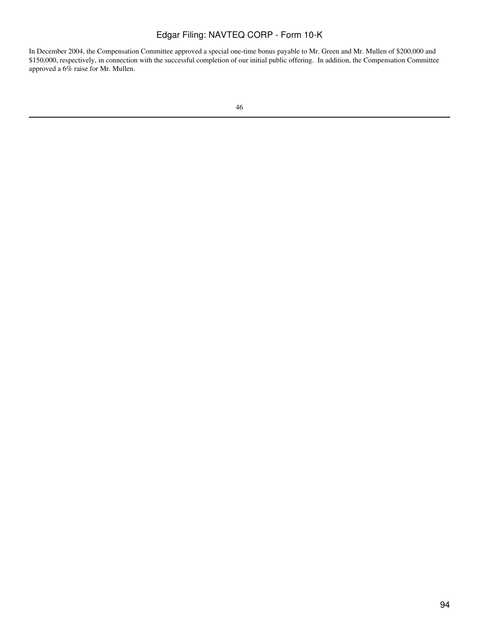In December 2004, the Compensation Committee approved a special one-time bonus payable to Mr. Green and Mr. Mullen of \$200,000 and \$150,000, respectively, in connection with the successful completion of our initial public offering. In addition, the Compensation Committee approved a 6% raise for Mr. Mullen.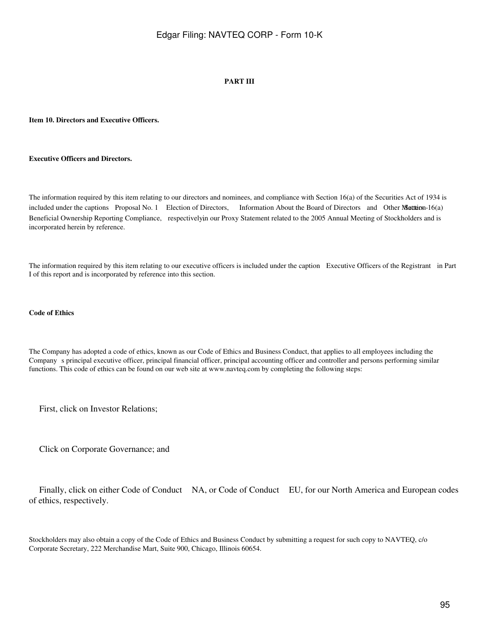### **PART III**

### **Item 10. Directors and Executive Officers.**

#### **Executive Officers and Directors.**

The information required by this item relating to our directors and nominees, and compliance with Section 16(a) of the Securities Act of 1934 is included under the captions Proposal No. 1 Election of Directors, Information About the Board of Directors and Other Matters - 16(a) Beneficial Ownership Reporting Compliance, respectively in our Proxy Statement related to the 2005 Annual Meeting of Stockholders and is incorporated herein by reference.

The information required by this item relating to our executive officers is included under the caption Executive Officers of the Registrant in Part I of this report and is incorporated by reference into this section.

#### **Code of Ethics**

The Company has adopted a code of ethics, known as our Code of Ethics and Business Conduct, that applies to all employees including the Companys principal executive officer, principal financial officer, principal accounting officer and controller and persons performing similar functions. This code of ethics can be found on our web site at www.navteq.com by completing the following steps:

First, click on Investor Relations;

Click on Corporate Governance; and

 Finally, click on either Code of Conduct NA, or Code of Conduct EU, for our North America and European codes of ethics, respectively.

Stockholders may also obtain a copy of the Code of Ethics and Business Conduct by submitting a request for such copy to NAVTEQ, c/o Corporate Secretary, 222 Merchandise Mart, Suite 900, Chicago, Illinois 60654.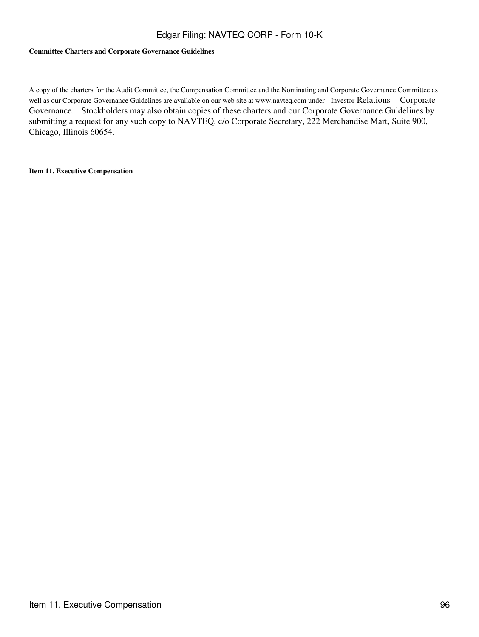### **Committee Charters and Corporate Governance Guidelines**

A copy of the charters for the Audit Committee, the Compensation Committee and the Nominating and Corporate Governance Committee as well as our Corporate Governance Guidelines are available on our web site at www.navteq.com under Investor Relations Corporate Governance. Stockholders may also obtain copies of these charters and our Corporate Governance Guidelines by submitting a request for any such copy to NAVTEQ, c/o Corporate Secretary, 222 Merchandise Mart, Suite 900, Chicago, Illinois 60654.

**Item 11. Executive Compensation**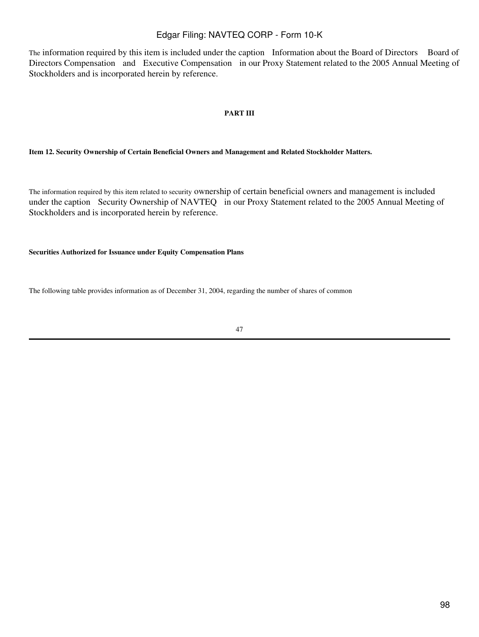The information required by this item is included under the caption Information about the Board of Directors Board of Directors Compensation and Executive Compensation in our Proxy Statement related to the 2005 Annual Meeting of Stockholders and is incorporated herein by reference.

### **PART III**

### **Item 12. Security Ownership of Certain Beneficial Owners and Management and Related Stockholder Matters.**

The information required by this item related to security ownership of certain beneficial owners and management is included under the caption Security Ownership of NAVTEQ in our Proxy Statement related to the 2005 Annual Meeting of Stockholders and is incorporated herein by reference.

### **Securities Authorized for Issuance under Equity Compensation Plans**

The following table provides information as of December 31, 2004, regarding the number of shares of common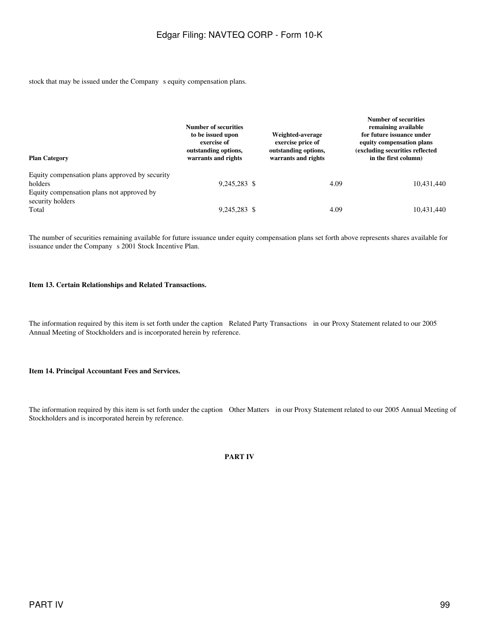stock that may be issued under the Company s equity compensation plans.

| <b>Plan Category</b>                                                                                   | Number of securities<br>to be issued upon<br>exercise of<br>outstanding options,<br>warrants and rights | Weighted-average<br>exercise price of<br>outstanding options,<br>warrants and rights |      | <b>Number of securities</b><br>remaining available<br>for future issuance under<br>equity compensation plans<br>(excluding securities reflected<br>in the first column) |
|--------------------------------------------------------------------------------------------------------|---------------------------------------------------------------------------------------------------------|--------------------------------------------------------------------------------------|------|-------------------------------------------------------------------------------------------------------------------------------------------------------------------------|
| Equity compensation plans approved by security<br>holders<br>Equity compensation plans not approved by | 9.245.283 \$                                                                                            |                                                                                      | 4.09 | 10,431,440                                                                                                                                                              |
| security holders<br>Total                                                                              | 9,245,283 \$                                                                                            |                                                                                      | 4.09 | 10.431.440                                                                                                                                                              |

The number of securities remaining available for future issuance under equity compensation plans set forth above represents shares available for issuance under the Company s 2001 Stock Incentive Plan.

#### **Item 13. Certain Relationships and Related Transactions.**

The information required by this item is set forth under the caption Related Party Transactions in our Proxy Statement related to our 2005 Annual Meeting of Stockholders and is incorporated herein by reference.

#### **Item 14. Principal Accountant Fees and Services.**

The information required by this item is set forth under the caption Other Matters in our Proxy Statement related to our 2005 Annual Meeting of Stockholders and is incorporated herein by reference.

**PART IV**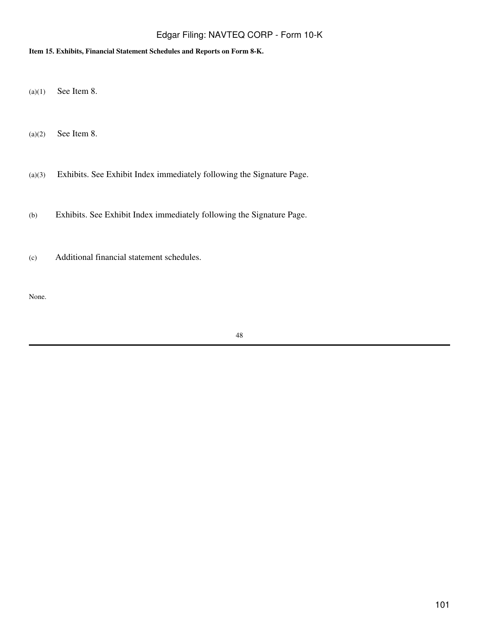### **Item 15. Exhibits, Financial Statement Schedules and Reports on Form 8-K.**

(a)(1) See Item 8.

 $(a)(2)$  See Item 8.

(a)(3) Exhibits. See Exhibit Index immediately following the Signature Page.

(b) Exhibits. See Exhibit Index immediately following the Signature Page.

(c) Additional financial statement schedules.

None.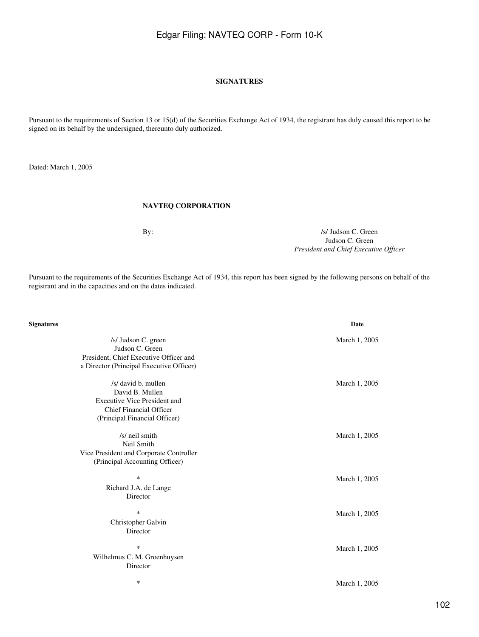### **SIGNATURES**

Pursuant to the requirements of Section 13 or 15(d) of the Securities Exchange Act of 1934, the registrant has duly caused this report to be signed on its behalf by the undersigned, thereunto duly authorized.

Dated: March 1, 2005

### **NAVTEQ CORPORATION**

By:  $\frac{1}{s}$  Judson C. Green Judson C. Green *President and Chief Executive Officer*

Pursuant to the requirements of the Securities Exchange Act of 1934, this report has been signed by the following persons on behalf of the registrant and in the capacities and on the dates indicated.

| Signatures                                                                                                                                       | Date          |
|--------------------------------------------------------------------------------------------------------------------------------------------------|---------------|
| /s/ Judson C. green<br>Judson C. Green<br>President, Chief Executive Officer and<br>a Director (Principal Executive Officer)                     | March 1, 2005 |
| /s/ david b. mullen<br>David B. Mullen<br><b>Executive Vice President and</b><br><b>Chief Financial Officer</b><br>(Principal Financial Officer) | March 1, 2005 |
| /s/ neil smith<br>Neil Smith<br>Vice President and Corporate Controller<br>(Principal Accounting Officer)                                        | March 1, 2005 |
| $\ast$<br>Richard J.A. de Lange<br>Director                                                                                                      | March 1, 2005 |
| $\ast$<br>Christopher Galvin<br>Director                                                                                                         | March 1, 2005 |
| $\ast$<br>Wilhelmus C. M. Groenhuysen<br>Director                                                                                                | March 1, 2005 |
| ∗                                                                                                                                                | March 1, 2005 |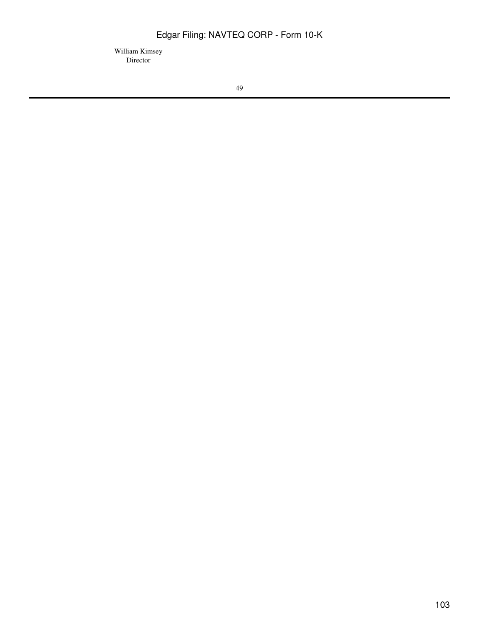William Kimsey Director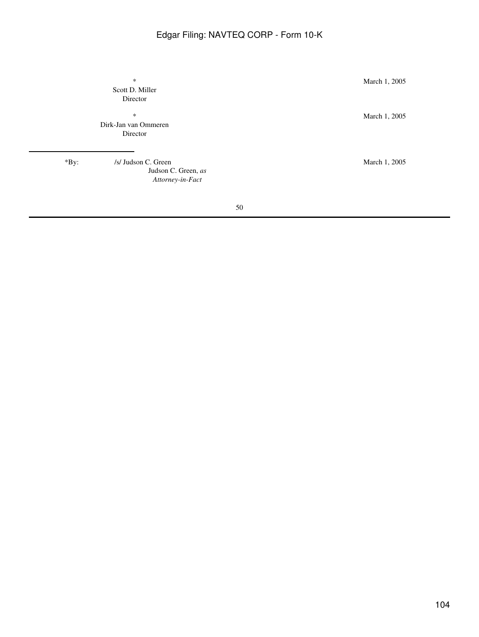Scott D. Miller Director

Dirk-Jan van Ommeren Director

\*By: /s/ Judson C. Green March 1, 2005 Judson C. Green, *as Attorney-in-Fact*

\* March 1, 2005

\* March 1, 2005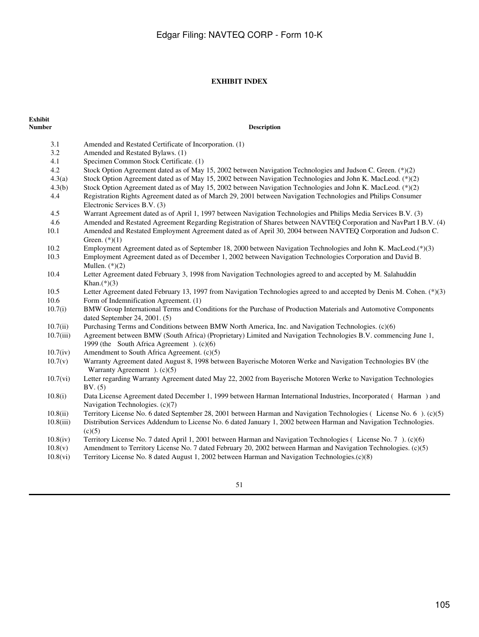### **EXHIBIT INDEX**

# **Exhibit**

3.1 Amended and Restated Certificate of Incorporation. (1) 3.2 Amended and Restated Bylaws. (1) 4.1 Specimen Common Stock Certificate. (1) 4.2 Stock Option Agreement dated as of May 15, 2002 between Navigation Technologies and Judson C. Green. (\*)(2)<br>4.3(a) Stock Option Agreement dated as of May 15, 2002 between Navigation Technologies and John K. MacLeod. (\* Stock Option Agreement dated as of May 15, 2002 between Navigation Technologies and John K. MacLeod. (\*)(2) 4.3(b) Stock Option Agreement dated as of May 15, 2002 between Navigation Technologies and John K. MacLeod. (\*)(2) 4.4 Registration Rights Agreement dated as of March 29, 2001 between Navigation Technologies and Philips Consumer

**Description** 

- 4.5 Warrant Agreement dated as of April 1, 1997 between Navigation Technologies and Philips Media Services B.V. (3)
- 4.6 Amended and Restated Agreement Regarding Registration of Shares between NAVTEQ Corporation and NavPart I B.V. (4)
- 10.1 Amended and Restated Employment Agreement dated as of April 30, 2004 between NAVTEQ Corporation and Judson C. Green.  $(*)(1)$
- 10.2 Employment Agreement dated as of September 18, 2000 between Navigation Technologies and John K. MacLeod.(\*)(3)
- 10.3 Employment Agreement dated as of December 1, 2002 between Navigation Technologies Corporation and David B. Mullen.  $(*)(2)$
- 10.4 Letter Agreement dated February 3, 1998 from Navigation Technologies agreed to and accepted by M. Salahuddin Khan. $(*)$ (3)
- 10.5 Letter Agreement dated February 13, 1997 from Navigation Technologies agreed to and accepted by Denis M. Cohen. (\*)(3) 10.6 Form of Indemnification Agreement. (1)
- 10.7(i) BMW Group International Terms and Conditions for the Purchase of Production Materials and Automotive Components dated September 24, 2001. (5)
- 10.7(ii) Purchasing Terms and Conditions between BMW North America, Inc. and Navigation Technologies. (c)(6)
- 10.7(iii) Agreement between BMW (South Africa) (Proprietary) Limited and Navigation Technologies B.V. commencing June 1, 1999 (the South Africa Agreement). (c)(6)
- 10.7(iv) Amendment to South Africa Agreement. (c)(5)

Electronic Services B.V. (3)

- 10.7(v) Warranty Agreement dated August 8, 1998 between Bayerische Motoren Werke and Navigation Technologies BV (the Warranty Agreement  $(c)(5)$
- 10.7(vi) Letter regarding Warranty Agreement dated May 22, 2002 from Bayerische Motoren Werke to Navigation Technologies BV. (5)

10.8(i) Data License Agreement dated December 1, 1999 between Harman International Industries, Incorporated (Harman) and Navigation Technologies. (c)(7)

- 10.8(ii) Territory License No. 6 dated September 28, 2001 between Harman and Navigation Technologies (License No. 6). (c)(5)
- 10.8(iii) Distribution Services Addendum to License No. 6 dated January 1, 2002 between Harman and Navigation Technologies.  $(c)(5)$
- 10.8(iv) Territory License No. 7 dated April 1, 2001 between Harman and Navigation Technologies (License No. 7). (c)(6)
- 10.8(v) Amendment to Territory License No. 7 dated February 20, 2002 between Harman and Navigation Technologies. (c)(5)
- 10.8(vi) Territory License No. 8 dated August 1, 2002 between Harman and Navigation Technologies.(c)(8)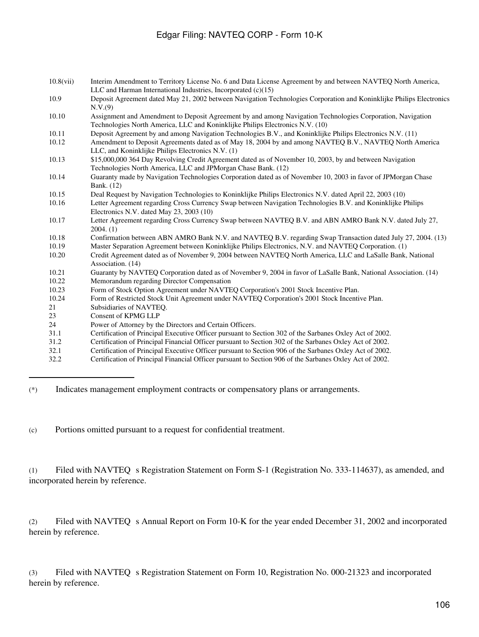| 10.8(vii) | Interim Amendment to Territory License No. 6 and Data License Agreement by and between NAVTEQ North America,         |
|-----------|----------------------------------------------------------------------------------------------------------------------|
|           | LLC and Harman International Industries, Incorporated $(c)(15)$                                                      |
| 10.9      | Deposit Agreement dated May 21, 2002 between Navigation Technologies Corporation and Koninklijke Philips Electronics |
|           | N.V.(9)                                                                                                              |
| 10.10     | Assignment and Amendment to Deposit Agreement by and among Navigation Technologies Corporation, Navigation           |
|           | Technologies North America, LLC and Koninklijke Philips Electronics N.V. (10)                                        |
| 10.11     | Deposit Agreement by and among Navigation Technologies B.V., and Koninklijke Philips Electronics N.V. (11)           |
| 10.12     | Amendment to Deposit Agreements dated as of May 18, 2004 by and among NAVTEQ B.V., NAVTEQ North America              |
|           | LLC, and Koninklijke Philips Electronics N.V. (1)                                                                    |
| 10.13     | \$15,000,000 364 Day Revolving Credit Agreement dated as of November 10, 2003, by and between Navigation             |
|           | Technologies North America, LLC and JPMorgan Chase Bank. (12)                                                        |
| 10.14     | Guaranty made by Navigation Technologies Corporation dated as of November 10, 2003 in favor of JPMorgan Chase        |
|           | Bank. (12)                                                                                                           |
| 10.15     | Deal Request by Navigation Technologies to Koninklijke Philips Electronics N.V. dated April 22, 2003 (10)            |
| 10.16     | Letter Agreement regarding Cross Currency Swap between Navigation Technologies B.V. and Koninklijke Philips          |
|           | Electronics N.V. dated May 23, 2003 (10)                                                                             |
| 10.17     | Letter Agreement regarding Cross Currency Swap between NAVTEQ B.V. and ABN AMRO Bank N.V. dated July 27,             |
|           | 2004. (1)                                                                                                            |
| 10.18     | Confirmation between ABN AMRO Bank N.V. and NAVTEQ B.V. regarding Swap Transaction dated July 27, 2004. (13)         |
| 10.19     | Master Separation Agreement between Koninklijke Philips Electronics, N.V. and NAVTEQ Corporation. (1)                |
| 10.20     | Credit Agreement dated as of November 9, 2004 between NAVTEQ North America, LLC and LaSalle Bank, National           |
|           | Association. (14)                                                                                                    |
| 10.21     | Guaranty by NAVTEQ Corporation dated as of November 9, 2004 in favor of LaSalle Bank, National Association. (14)     |
| 10.22     | Memorandum regarding Director Compensation                                                                           |
| 10.23     | Form of Stock Option Agreement under NAVTEQ Corporation's 2001 Stock Incentive Plan.                                 |
| 10.24     | Form of Restricted Stock Unit Agreement under NAVTEQ Corporation's 2001 Stock Incentive Plan.                        |
| 21        | Subsidiaries of NAVTEQ.                                                                                              |
| 23        | Consent of KPMG LLP                                                                                                  |
| 24        | Power of Attorney by the Directors and Certain Officers.                                                             |
| 31.1      | Certification of Principal Executive Officer pursuant to Section 302 of the Sarbanes Oxley Act of 2002.              |
| 31.2      | Certification of Principal Financial Officer pursuant to Section 302 of the Sarbanes Oxley Act of 2002.              |
| 32.1      | Certification of Principal Executive Officer pursuant to Section 906 of the Sarbanes Oxley Act of 2002.              |
| 32.2      | Certification of Principal Financial Officer pursuant to Section 906 of the Sarbanes Oxley Act of 2002.              |

(\*) Indicates management employment contracts or compensatory plans or arrangements.

(c) Portions omitted pursuant to a request for confidential treatment.

(1) Filed with NAVTEQ s Registration Statement on Form S-1 (Registration No. 333-114637), as amended, and incorporated herein by reference.

(2) Filed with NAVTEQ s Annual Report on Form 10-K for the year ended December 31, 2002 and incorporated herein by reference.

(3) Filed with NAVTEQ s Registration Statement on Form 10, Registration No. 000-21323 and incorporated herein by reference.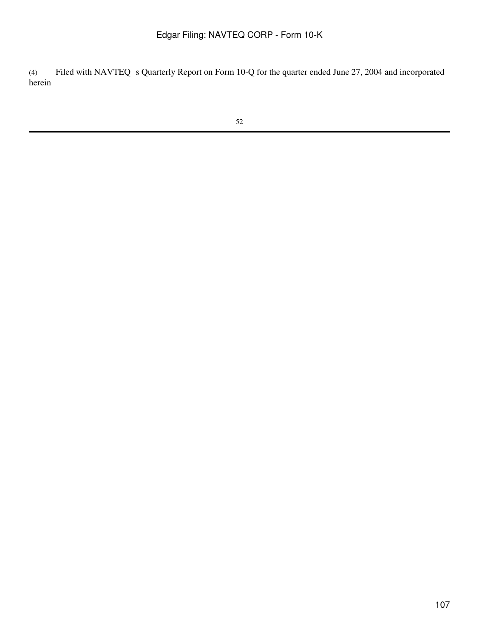(4) Filed with NAVTEQ s Quarterly Report on Form 10-Q for the quarter ended June 27, 2004 and incorporated herein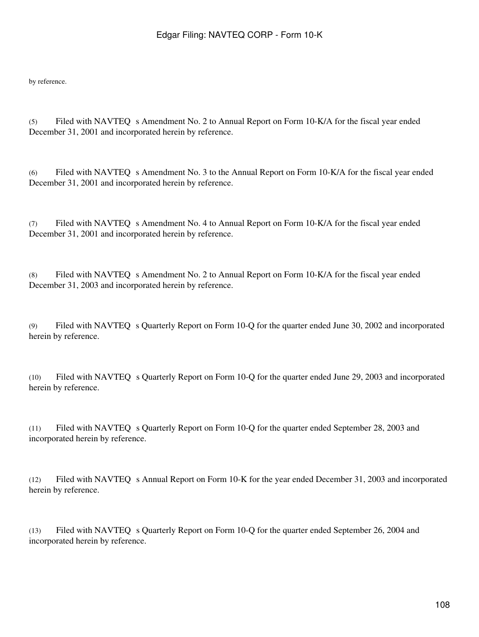by reference.

(5) Filed with NAVTEQ s Amendment No. 2 to Annual Report on Form 10-K/A for the fiscal year ended December 31, 2001 and incorporated herein by reference.

(6) Filed with NAVTEQ s Amendment No. 3 to the Annual Report on Form 10-K/A for the fiscal year ended December 31, 2001 and incorporated herein by reference.

(7) Filed with NAVTEQ s Amendment No. 4 to Annual Report on Form 10-K/A for the fiscal year ended December 31, 2001 and incorporated herein by reference.

(8) Filed with NAVTEQ s Amendment No. 2 to Annual Report on Form 10-K/A for the fiscal year ended December 31, 2003 and incorporated herein by reference.

(9) Filed with NAVTEQ s Quarterly Report on Form 10-Q for the quarter ended June 30, 2002 and incorporated herein by reference.

(10) Filed with NAVTEQ s Quarterly Report on Form 10-Q for the quarter ended June 29, 2003 and incorporated herein by reference.

(11) Filed with NAVTEQ s Quarterly Report on Form 10-Q for the quarter ended September 28, 2003 and incorporated herein by reference.

(12) Filed with NAVTEQ s Annual Report on Form 10-K for the year ended December 31, 2003 and incorporated herein by reference.

(13) Filed with NAVTEQ s Quarterly Report on Form 10-Q for the quarter ended September 26, 2004 and incorporated herein by reference.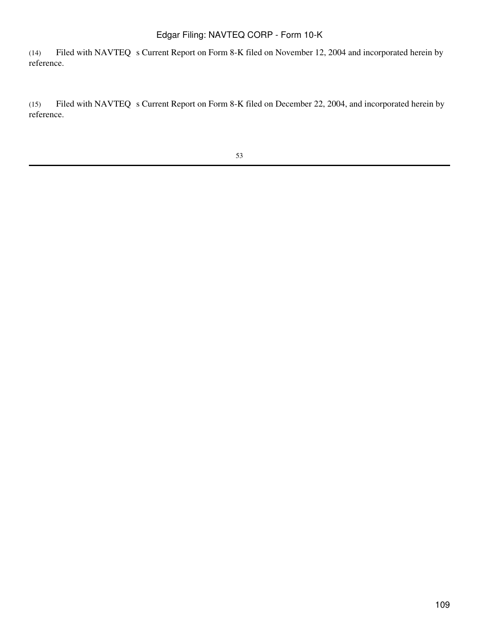(14) Filed with NAVTEQ s Current Report on Form 8-K filed on November 12, 2004 and incorporated herein by reference.

(15) Filed with NAVTEQ s Current Report on Form 8-K filed on December 22, 2004, and incorporated herein by reference.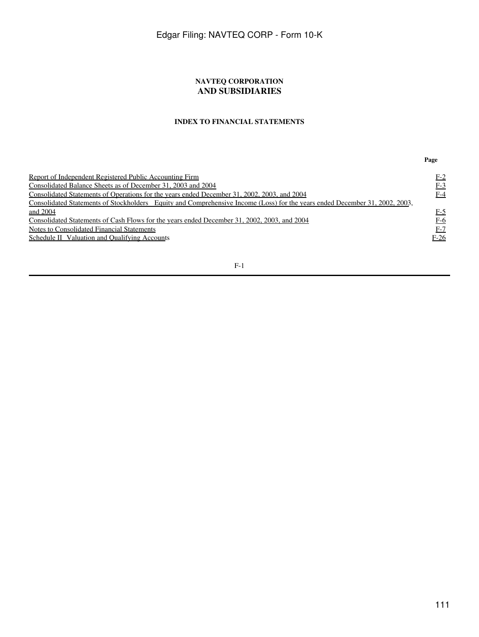### **NAVTEQ CORPORATION AND SUBSIDIARIES**

### **INDEX TO FINANCIAL STATEMENTS**

**Page**

| Report of Independent Registered Public Accounting Firm                                                                     | <u>F-2</u> |
|-----------------------------------------------------------------------------------------------------------------------------|------------|
| Consolidated Balance Sheets as of December 31, 2003 and 2004                                                                | $F-3$      |
| Consolidated Statements of Operations for the years ended December 31, 2002, 2003, and 2004                                 |            |
|                                                                                                                             | F-4        |
| Consolidated Statements of Stockholders Equity and Comprehensive Income (Loss) for the years ended December 31, 2002, 2003, |            |
| and 2004                                                                                                                    | $F-5$      |
| Consolidated Statements of Cash Flows for the years ended December 31, 2002, 2003, and 2004                                 | F-6        |
| Notes to Consolidated Financial Statements                                                                                  | F-7        |
| Schedule II Valuation and Qualifying Accounts                                                                               | $F-26$     |
|                                                                                                                             |            |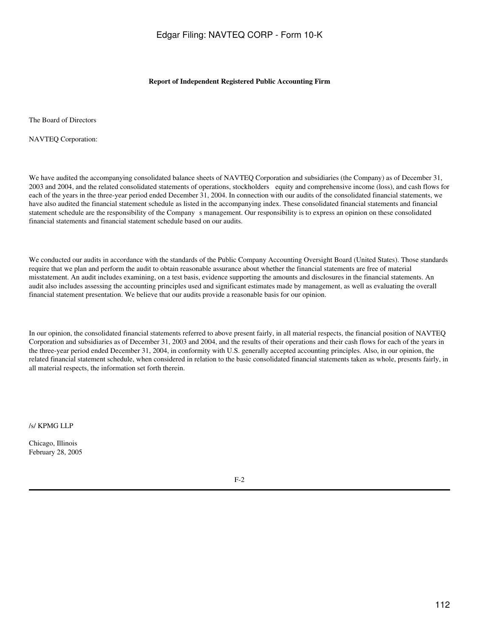### **Report of Independent Registered Public Accounting Firm**

<span id="page-111-0"></span>The Board of Directors

NAVTEQ Corporation:

We have audited the accompanying consolidated balance sheets of NAVTEQ Corporation and subsidiaries (the Company) as of December 31, 2003 and 2004, and the related consolidated statements of operations, stockholders equity and comprehensive income (loss), and cash flows for each of the years in the three-year period ended December 31, 2004. In connection with our audits of the consolidated financial statements, we have also audited the financial statement schedule as listed in the accompanying index. These consolidated financial statements and financial statement schedule are the responsibility of the Companys management. Our responsibility is to express an opinion on these consolidated financial statements and financial statement schedule based on our audits.

We conducted our audits in accordance with the standards of the Public Company Accounting Oversight Board (United States). Those standards require that we plan and perform the audit to obtain reasonable assurance about whether the financial statements are free of material misstatement. An audit includes examining, on a test basis, evidence supporting the amounts and disclosures in the financial statements. An audit also includes assessing the accounting principles used and significant estimates made by management, as well as evaluating the overall financial statement presentation. We believe that our audits provide a reasonable basis for our opinion.

In our opinion, the consolidated financial statements referred to above present fairly, in all material respects, the financial position of NAVTEQ Corporation and subsidiaries as of December 31, 2003 and 2004, and the results of their operations and their cash flows for each of the years in the three-year period ended December 31, 2004, in conformity with U.S. generally accepted accounting principles. Also, in our opinion, the related financial statement schedule, when considered in relation to the basic consolidated financial statements taken as whole, presents fairly, in all material respects, the information set forth therein.

/s/ KPMG LLP

Chicago, Illinois February 28, 2005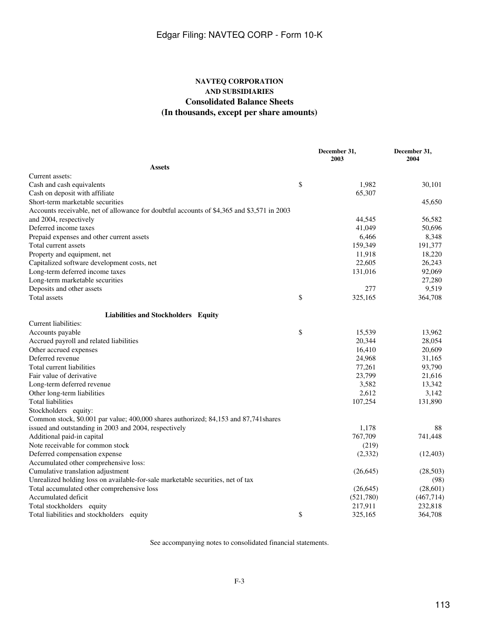### **NAVTEQ CORPORATION AND SUBSIDIARIES Consolidated Balance Sheets (In thousands, except per share amounts)**

<span id="page-112-0"></span>

|                                                                                            | December 31,<br>2003 | December 31,<br>2004 |
|--------------------------------------------------------------------------------------------|----------------------|----------------------|
| <b>Assets</b>                                                                              |                      |                      |
| Current assets:                                                                            |                      |                      |
| Cash and cash equivalents                                                                  | \$<br>1,982          | 30,101               |
| Cash on deposit with affiliate                                                             | 65,307               |                      |
| Short-term marketable securities                                                           |                      | 45,650               |
| Accounts receivable, net of allowance for doubtful accounts of \$4,365 and \$3,571 in 2003 |                      |                      |
| and 2004, respectively                                                                     | 44,545               | 56,582               |
| Deferred income taxes                                                                      | 41,049               | 50,696               |
| Prepaid expenses and other current assets                                                  | 6,466                | 8,348                |
| Total current assets                                                                       | 159,349              | 191,377              |
| Property and equipment, net                                                                | 11,918               | 18,220               |
| Capitalized software development costs, net                                                | 22,605               | 26,243               |
| Long-term deferred income taxes                                                            | 131,016              | 92,069               |
| Long-term marketable securities                                                            |                      | 27,280               |
| Deposits and other assets                                                                  | 277                  | 9,519                |
| Total assets                                                                               | \$<br>325,165        | 364,708              |
| Liabilities and Stockholders Equity                                                        |                      |                      |
| Current liabilities:                                                                       |                      |                      |
| Accounts payable                                                                           | \$<br>15,539         | 13,962               |
| Accrued payroll and related liabilities                                                    | 20,344               | 28,054               |
| Other accrued expenses                                                                     | 16,410               | 20,609               |
| Deferred revenue                                                                           | 24,968               | 31,165               |
| Total current liabilities                                                                  | 77,261               | 93,790               |
| Fair value of derivative                                                                   | 23,799               | 21,616               |
| Long-term deferred revenue                                                                 | 3,582                | 13,342               |
| Other long-term liabilities                                                                | 2,612                | 3,142                |
| <b>Total liabilities</b>                                                                   | 107,254              | 131,890              |
| Stockholders equity:                                                                       |                      |                      |
| Common stock, \$0.001 par value; 400,000 shares authorized; 84,153 and 87,741 shares       |                      |                      |
| issued and outstanding in 2003 and 2004, respectively                                      | 1,178                | 88                   |
| Additional paid-in capital                                                                 | 767,709              | 741,448              |
| Note receivable for common stock                                                           | (219)                |                      |
| Deferred compensation expense                                                              | (2,332)              | (12, 403)            |
| Accumulated other comprehensive loss:                                                      |                      |                      |
| Cumulative translation adjustment                                                          | (26, 645)            | (28, 503)            |
| Unrealized holding loss on available-for-sale marketable securities, net of tax            |                      | (98)                 |
| Total accumulated other comprehensive loss                                                 | (26, 645)            | (28,601)             |
| Accumulated deficit                                                                        | (521,780)            | (467, 714)           |
| Total stockholders equity                                                                  | 217,911              | 232,818              |
| Total liabilities and stockholders equity                                                  | \$<br>325,165        | 364,708              |

See accompanying notes to consolidated financial statements.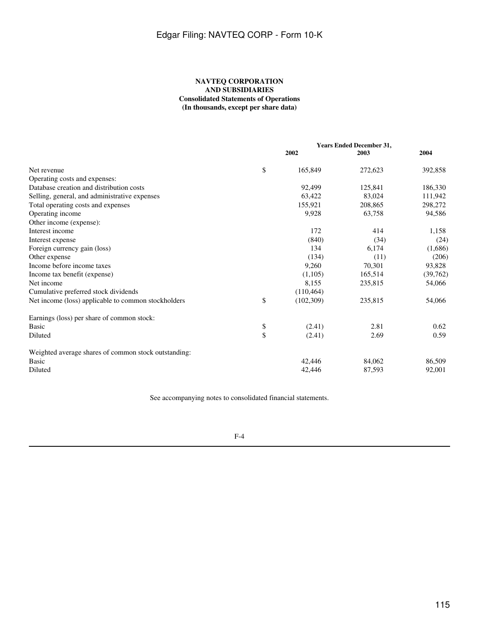### **NAVTEQ CORPORATION AND SUBSIDIARIES Consolidated Statements of Operations (In thousands, except per share data)**

<span id="page-114-0"></span>

|                                                      | <b>Years Ended December 31,</b> |         |          |
|------------------------------------------------------|---------------------------------|---------|----------|
|                                                      | 2002                            | 2003    | 2004     |
| Net revenue                                          | \$<br>165,849                   | 272,623 | 392,858  |
| Operating costs and expenses:                        |                                 |         |          |
| Database creation and distribution costs             | 92,499                          | 125,841 | 186,330  |
| Selling, general, and administrative expenses        | 63.422                          | 83.024  | 111,942  |
| Total operating costs and expenses                   | 155,921                         | 208,865 | 298,272  |
| Operating income                                     | 9,928                           | 63,758  | 94,586   |
| Other income (expense):                              |                                 |         |          |
| Interest income                                      | 172                             | 414     | 1,158    |
| Interest expense                                     | (840)                           | (34)    | (24)     |
| Foreign currency gain (loss)                         | 134                             | 6,174   | (1,686)  |
| Other expense                                        | (134)                           | (11)    | (206)    |
| Income before income taxes                           | 9,260                           | 70,301  | 93,828   |
| Income tax benefit (expense)                         | (1,105)                         | 165,514 | (39,762) |
| Net income                                           | 8,155                           | 235,815 | 54,066   |
| Cumulative preferred stock dividends                 | (110, 464)                      |         |          |
| Net income (loss) applicable to common stockholders  | \$<br>(102, 309)                | 235,815 | 54,066   |
| Earnings (loss) per share of common stock:           |                                 |         |          |
| <b>Basic</b>                                         | \$<br>(2.41)                    | 2.81    | 0.62     |
| Diluted                                              | \$<br>(2.41)                    | 2.69    | 0.59     |
| Weighted average shares of common stock outstanding: |                                 |         |          |
| <b>Basic</b>                                         | 42,446                          | 84,062  | 86,509   |
| Diluted                                              | 42,446                          | 87,593  | 92,001   |

See accompanying notes to consolidated financial statements.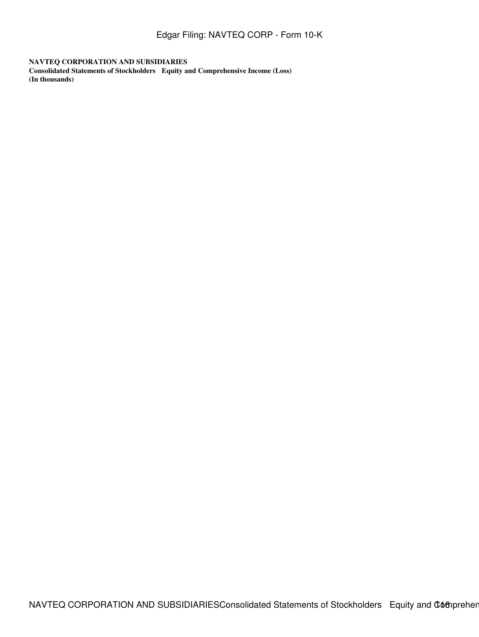<span id="page-115-0"></span>**NAVTEQ CORPORATION AND SUBSIDIARIES Consolidated Statements of Stockholders Equity and Comprehensive Income (Loss) (In thousands)**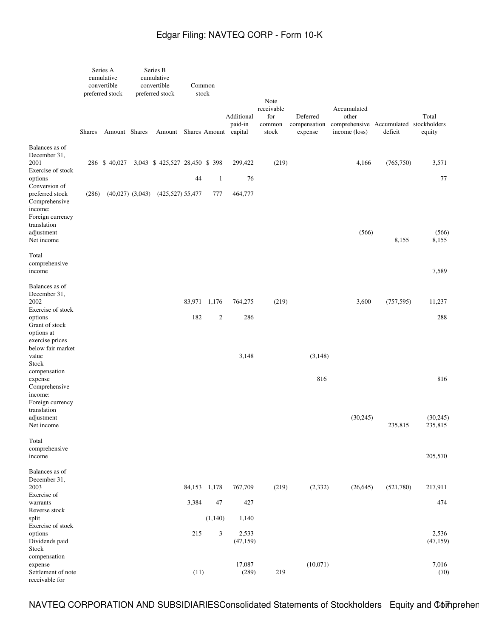|                                                                                                 |               | Series A<br>cumulative<br>convertible<br>preferred stock | Series B<br>cumulative<br>convertible<br>preferred stock |       | Common<br>stock  |                       | Note<br>receivable     |                                     | Accumulated                                                      |            |                      |
|-------------------------------------------------------------------------------------------------|---------------|----------------------------------------------------------|----------------------------------------------------------|-------|------------------|-----------------------|------------------------|-------------------------------------|------------------------------------------------------------------|------------|----------------------|
|                                                                                                 | <b>Shares</b> | Amount Shares                                            | Amount Shares Amount capital                             |       |                  | Additional<br>paid-in | for<br>common<br>stock | Deferred<br>compensation<br>expense | other<br>comprehensive Accumulated stockholders<br>income (loss) | deficit    | Total<br>equity      |
| Balances as of<br>December 31,<br>2001                                                          |               | 286 \$40,027                                             | 3,043 \$425,527 28,450 \$398                             |       |                  | 299,422               | (219)                  |                                     | 4,166                                                            | (765, 750) | 3,571                |
| Exercise of stock<br>options                                                                    |               |                                                          |                                                          | 44    | $\mathbf{1}$     | 76                    |                        |                                     |                                                                  |            | 77                   |
| Conversion of<br>preferred stock<br>Comprehensive<br>income:<br>Foreign currency<br>translation | (286)         | $(40,027)$ $(3,043)$                                     | $(425,527)$ 55,477                                       |       | 777              | 464,777               |                        |                                     |                                                                  |            |                      |
| adjustment<br>Net income                                                                        |               |                                                          |                                                          |       |                  |                       |                        |                                     | (566)                                                            | 8,155      | (566)<br>8,155       |
| Total<br>comprehensive<br>income                                                                |               |                                                          |                                                          |       |                  |                       |                        |                                     |                                                                  |            | 7,589                |
| Balances as of<br>December 31,<br>2002                                                          |               |                                                          |                                                          |       | 83,971 1,176     | 764,275               | (219)                  |                                     | 3,600                                                            | (757, 595) | 11,237               |
| Exercise of stock<br>options<br>Grant of stock<br>options at                                    |               |                                                          |                                                          | 182   | $\boldsymbol{2}$ | 286                   |                        |                                     |                                                                  |            | 288                  |
| exercise prices<br>below fair market<br>value<br>Stock                                          |               |                                                          |                                                          |       |                  | 3,148                 |                        | (3,148)                             |                                                                  |            |                      |
| compensation<br>expense<br>Comprehensive<br>income:<br>Foreign currency                         |               |                                                          |                                                          |       |                  |                       |                        | 816                                 |                                                                  |            | 816                  |
| translation<br>adjustment<br>Net income                                                         |               |                                                          |                                                          |       |                  |                       |                        |                                     | (30, 245)                                                        | 235,815    | (30, 245)<br>235,815 |
| Total<br>comprehensive<br>income                                                                |               |                                                          |                                                          |       |                  |                       |                        |                                     |                                                                  |            | 205,570              |
| Balances as of<br>December 31,<br>2003<br>Exercise of                                           |               |                                                          |                                                          |       | 84,153 1,178     | 767,709               | (219)                  | (2, 332)                            | (26, 645)                                                        | (521,780)  | 217,911              |
| warrants<br>Reverse stock                                                                       |               |                                                          |                                                          | 3,384 | 47               | 427                   |                        |                                     |                                                                  |            | 474                  |
| split<br>Exercise of stock                                                                      |               |                                                          |                                                          |       | (1,140)          | 1,140                 |                        |                                     |                                                                  |            |                      |
| options<br>Dividends paid<br>Stock                                                              |               |                                                          |                                                          | 215   | 3                | 2,533<br>(47, 159)    |                        |                                     |                                                                  |            | 2,536<br>(47, 159)   |
| compensation<br>expense<br>Settlement of note<br>receivable for                                 |               |                                                          |                                                          | (11)  |                  | 17,087<br>(289)       | 219                    | (10,071)                            |                                                                  |            | 7,016<br>(70)        |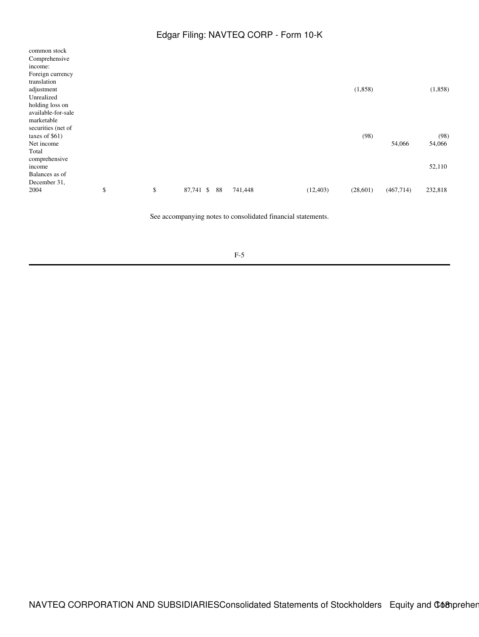| common stock       |          |           |    |         |           |          |           |         |
|--------------------|----------|-----------|----|---------|-----------|----------|-----------|---------|
| Comprehensive      |          |           |    |         |           |          |           |         |
| income:            |          |           |    |         |           |          |           |         |
| Foreign currency   |          |           |    |         |           |          |           |         |
| translation        |          |           |    |         |           |          |           |         |
| adjustment         |          |           |    |         |           | (1,858)  |           | (1,858) |
| Unrealized         |          |           |    |         |           |          |           |         |
| holding loss on    |          |           |    |         |           |          |           |         |
| available-for-sale |          |           |    |         |           |          |           |         |
| marketable         |          |           |    |         |           |          |           |         |
| securities (net of |          |           |    |         |           |          |           |         |
| taxes of $$61)$    |          |           |    |         |           | (98)     |           | (98)    |
| Net income         |          |           |    |         |           |          | 54,066    | 54,066  |
| Total              |          |           |    |         |           |          |           |         |
| comprehensive      |          |           |    |         |           |          |           |         |
| income             |          |           |    |         |           |          |           | 52,110  |
| Balances as of     |          |           |    |         |           |          |           |         |
| December 31,       |          |           |    |         |           |          |           |         |
| 2004               | \$<br>\$ | 87,741 \$ | 88 | 741,448 | (12, 403) | (28,601) | (467,714) | 232,818 |
|                    |          |           |    |         |           |          |           |         |

See accompanying notes to consolidated financial statements.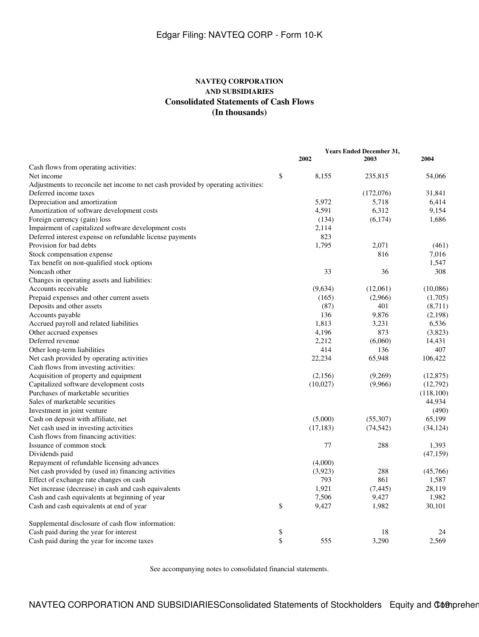### **NAVTEQ CORPORATION AND SUBSIDIARIES Consolidated Statements of Cash Flows (In thousands)**

<span id="page-118-0"></span>

|                                                                                   | <b>Years Ended December 31,</b> |           |           |           |  |  |
|-----------------------------------------------------------------------------------|---------------------------------|-----------|-----------|-----------|--|--|
|                                                                                   |                                 | 2002      | 2003      | 2004      |  |  |
| Cash flows from operating activities:                                             |                                 |           |           |           |  |  |
| Net income                                                                        | \$                              | 8,155     | 235,815   | 54,066    |  |  |
| Adjustments to reconcile net income to net cash provided by operating activities: |                                 |           |           |           |  |  |
| Deferred income taxes                                                             |                                 |           | (172,076) | 31,841    |  |  |
| Depreciation and amortization                                                     |                                 | 5,972     | 5,718     | 6,414     |  |  |
| Amortization of software development costs                                        |                                 | 4,591     | 6,312     | 9,154     |  |  |
| Foreign currency (gain) loss                                                      |                                 | (134)     | (6,174)   | 1,686     |  |  |
| Impairment of capitalized software development costs                              |                                 | 2,114     |           |           |  |  |
| Deferred interest expense on refundable license payments                          |                                 | 823       |           |           |  |  |
| Provision for bad debts                                                           |                                 | 1,795     | 2,071     | (461)     |  |  |
| Stock compensation expense                                                        |                                 |           | 816       | 7,016     |  |  |
| Tax benefit on non-qualified stock options                                        |                                 |           |           | 1,547     |  |  |
| Noncash other                                                                     |                                 | 33        | 36        | 308       |  |  |
| Changes in operating assets and liabilities:                                      |                                 |           |           |           |  |  |
| Accounts receivable                                                               |                                 | (9,634)   | (12,061)  | (10,086)  |  |  |
| Prepaid expenses and other current assets                                         |                                 | (165)     | (2,966)   | (1,705)   |  |  |
| Deposits and other assets                                                         |                                 | (87)      | 401       | (8,711)   |  |  |
| Accounts payable                                                                  |                                 | 136       | 9,876     | (2,198)   |  |  |
| Accrued payroll and related liabilities                                           |                                 | 1,813     | 3,231     | 6,536     |  |  |
| Other accrued expenses                                                            |                                 | 4,196     | 873       | (3,823)   |  |  |
| Deferred revenue                                                                  |                                 | 2,212     | (6,060)   | 14,431    |  |  |
| Other long-term liabilities                                                       |                                 | 414       | 136       | 407       |  |  |
| Net cash provided by operating activities                                         |                                 | 22,234    | 65,948    | 106,422   |  |  |
| Cash flows from investing activities:                                             |                                 |           |           |           |  |  |
| Acquisition of property and equipment                                             |                                 | (2,156)   | (9,269)   | (12, 875) |  |  |
| Capitalized software development costs                                            |                                 | (10,027)  | (9,966)   | (12,792)  |  |  |
| Purchases of marketable securities                                                |                                 |           |           | (118,100) |  |  |
| Sales of marketable securities                                                    |                                 |           |           | 44,934    |  |  |
| Investment in joint venture                                                       |                                 |           |           | (490)     |  |  |
| Cash on deposit with affiliate, net                                               |                                 | (5,000)   | (55,307)  | 65,199    |  |  |
| Net cash used in investing activities                                             |                                 | (17, 183) | (74, 542) | (34, 124) |  |  |
| Cash flows from financing activities:                                             |                                 |           |           |           |  |  |
| Issuance of common stock                                                          |                                 | 77        | 288       | 1,393     |  |  |
| Dividends paid                                                                    |                                 |           |           | (47, 159) |  |  |
| Repayment of refundable licensing advances                                        |                                 | (4,000)   |           |           |  |  |
| Net cash provided by (used in) financing activities                               |                                 | (3,923)   | 288       | (45,766)  |  |  |
| Effect of exchange rate changes on cash                                           |                                 | 793       | 861       | 1,587     |  |  |
| Net increase (decrease) in cash and cash equivalents                              |                                 | 1,921     | (7, 445)  | 28,119    |  |  |
| Cash and cash equivalents at beginning of year                                    |                                 | 7,506     | 9,427     | 1,982     |  |  |
| Cash and cash equivalents at end of year                                          | \$                              | 9,427     | 1,982     | 30,101    |  |  |
|                                                                                   |                                 |           |           |           |  |  |
| Supplemental disclosure of cash flow information:                                 |                                 |           |           |           |  |  |
| Cash paid during the year for interest                                            | \$                              |           | 18        | 24        |  |  |
| Cash paid during the year for income taxes                                        | \$                              | 555       | 3,290     | 2,569     |  |  |

See accompanying notes to consolidated financial statements.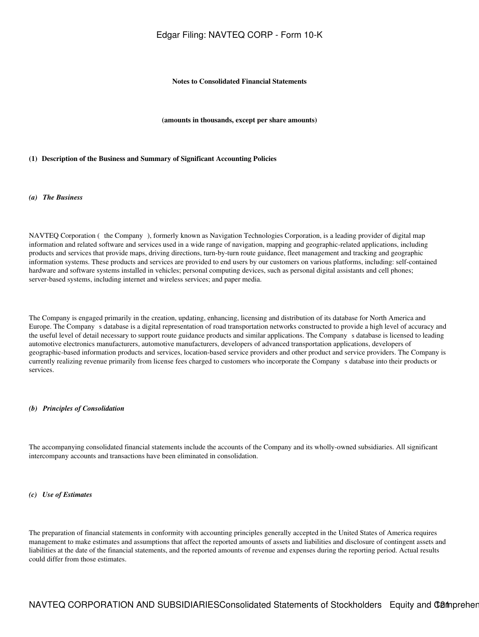### **Notes to Consolidated Financial Statements**

**(amounts in thousands, except per share amounts)**

#### <span id="page-120-0"></span>**(1)Description of the Business and Summary of Significant Accounting Policies**

### *(a) The Business*

NAVTEQ Corporation (the Company), formerly known as Navigation Technologies Corporation, is a leading provider of digital map information and related software and services used in a wide range of navigation, mapping and geographic-related applications, including products and services that provide maps, driving directions, turn-by-turn route guidance, fleet management and tracking and geographic information systems. These products and services are provided to end users by our customers on various platforms, including: self-contained hardware and software systems installed in vehicles; personal computing devices, such as personal digital assistants and cell phones; server-based systems, including internet and wireless services; and paper media.

The Company is engaged primarily in the creation, updating, enhancing, licensing and distribution of its database for North America and Europe. The Companys database is a digital representation of road transportation networks constructed to provide a high level of accuracy and the useful level of detail necessary to support route guidance products and similar applications. The Companys database is licensed to leading automotive electronics manufacturers, automotive manufacturers, developers of advanced transportation applications, developers of geographic-based information products and services, location-based service providers and other product and service providers. The Company is currently realizing revenue primarily from license fees charged to customers who incorporate the Companys database into their products or services.

#### *(b) Principles of Consolidation*

The accompanying consolidated financial statements include the accounts of the Company and its wholly-owned subsidiaries. All significant intercompany accounts and transactions have been eliminated in consolidation.

#### *(c) Use of Estimates*

The preparation of financial statements in conformity with accounting principles generally accepted in the United States of America requires management to make estimates and assumptions that affect the reported amounts of assets and liabilities and disclosure of contingent assets and liabilities at the date of the financial statements, and the reported amounts of revenue and expenses during the reporting period. Actual results could differ from those estimates.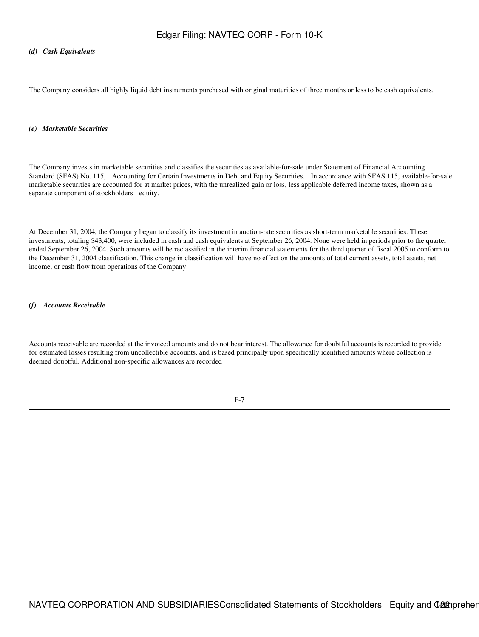### *(d) Cash Equivalents*

The Company considers all highly liquid debt instruments purchased with original maturities of three months or less to be cash equivalents.

### *(e) Marketable Securities*

The Company invests in marketable securities and classifies the securities as available-for-sale under Statement of Financial Accounting Standard (SFAS) No. 115, Accounting for Certain Investments in Debt and Equity Securities. In accordance with SFAS 115, available-for-sale marketable securities are accounted for at market prices, with the unrealized gain or loss, less applicable deferred income taxes, shown as a separate component of stockholders equity.

At December 31, 2004, the Company began to classify its investment in auction-rate securities as short-term marketable securities. These investments, totaling \$43,400, were included in cash and cash equivalents at September 26, 2004. None were held in periods prior to the quarter ended September 26, 2004. Such amounts will be reclassified in the interim financial statements for the third quarter of fiscal 2005 to conform to the December 31, 2004 classification. This change in classification will have no effect on the amounts of total current assets, total assets, net income, or cash flow from operations of the Company.

### *(f) Accounts Receivable*

Accounts receivable are recorded at the invoiced amounts and do not bear interest. The allowance for doubtful accounts is recorded to provide for estimated losses resulting from uncollectible accounts, and is based principally upon specifically identified amounts where collection is deemed doubtful. Additional non-specific allowances are recorded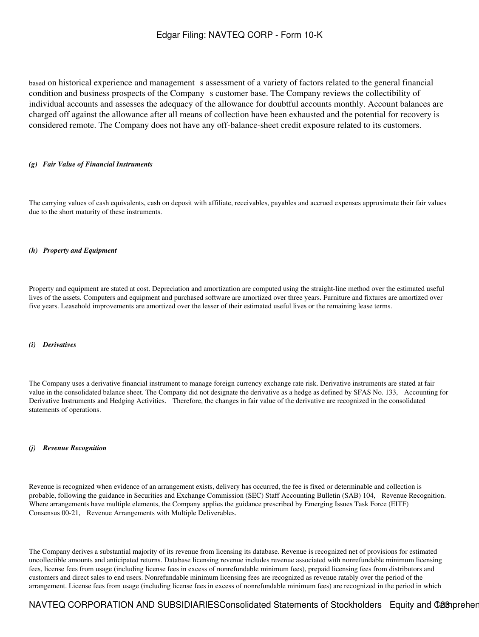based on historical experience and management s assessment of a variety of factors related to the general financial condition and business prospects of the Company s customer base. The Company reviews the collectibility of individual accounts and assesses the adequacy of the allowance for doubtful accounts monthly. Account balances are charged off against the allowance after all means of collection have been exhausted and the potential for recovery is considered remote. The Company does not have any off-balance-sheet credit exposure related to its customers.

### *(g) Fair Value of Financial Instruments*

The carrying values of cash equivalents, cash on deposit with affiliate, receivables, payables and accrued expenses approximate their fair values due to the short maturity of these instruments.

### *(h) Property and Equipment*

Property and equipment are stated at cost. Depreciation and amortization are computed using the straight-line method over the estimated useful lives of the assets. Computers and equipment and purchased software are amortized over three years. Furniture and fixtures are amortized over five years. Leasehold improvements are amortized over the lesser of their estimated useful lives or the remaining lease terms.

#### *(i) Derivatives*

The Company uses a derivative financial instrument to manage foreign currency exchange rate risk. Derivative instruments are stated at fair value in the consolidated balance sheet. The Company did not designate the derivative as a hedge as defined by SFAS No. 133, Accounting for Derivative Instruments and Hedging Activities. Therefore, the changes in fair value of the derivative are recognized in the consolidated statements of operations.

#### *(j) Revenue Recognition*

Revenue is recognized when evidence of an arrangement exists, delivery has occurred, the fee is fixed or determinable and collection is probable, following the guidance in Securities and Exchange Commission (SEC) Staff Accounting Bulletin (SAB) 104, Revenue Recognition. Where arrangements have multiple elements, the Company applies the guidance prescribed by Emerging Issues Task Force (EITF) Consensus 00-21, Revenue Arrangements with Multiple Deliverables.

The Company derives a substantial majority of its revenue from licensing its database. Revenue is recognized net of provisions for estimated uncollectible amounts and anticipated returns. Database licensing revenue includes revenue associated with nonrefundable minimum licensing fees, license fees from usage (including license fees in excess of nonrefundable minimum fees), prepaid licensing fees from distributors and customers and direct sales to end users. Nonrefundable minimum licensing fees are recognized as revenue ratably over the period of the arrangement. License fees from usage (including license fees in excess of nonrefundable minimum fees) are recognized in the period in which

## NAVTEQ CORPORATION AND SUBSIDIARIESConsolidated Statements of Stockholders Equity and Camprehen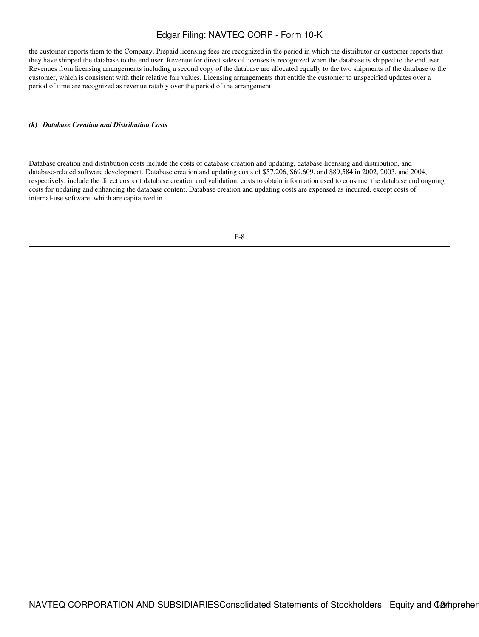the customer reports them to the Company. Prepaid licensing fees are recognized in the period in which the distributor or customer reports that they have shipped the database to the end user. Revenue for direct sales of licenses is recognized when the database is shipped to the end user. Revenues from licensing arrangements including a second copy of the database are allocated equally to the two shipments of the database to the customer, which is consistent with their relative fair values. Licensing arrangements that entitle the customer to unspecified updates over a period of time are recognized as revenue ratably over the period of the arrangement.

### *(k) Database Creation and Distribution Costs*

Database creation and distribution costs include the costs of database creation and updating, database licensing and distribution, and database-related software development. Database creation and updating costs of \$57,206, \$69,609, and \$89,584 in 2002, 2003, and 2004, respectively, include the direct costs of database creation and validation, costs to obtain information used to construct the database and ongoing costs for updating and enhancing the database content. Database creation and updating costs are expensed as incurred, except costs of internal-use software, which are capitalized in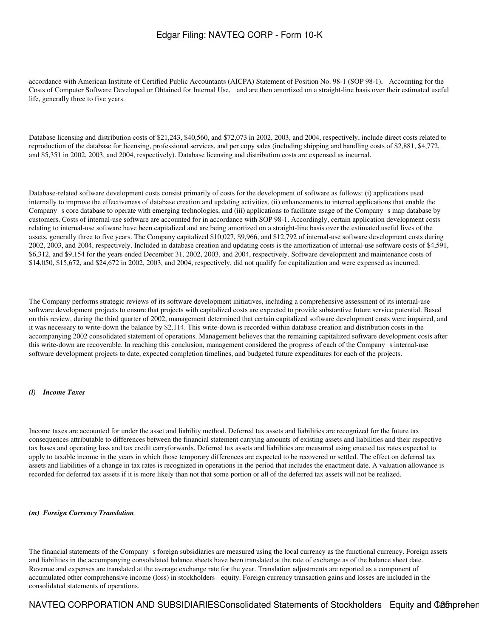accordance with American Institute of Certified Public Accountants (AICPA) Statement of Position No. 98-1 (SOP 98-1), Accounting for the Costs of Computer Software Developed or Obtained for Internal Use, and are then amortized on a straight-line basis over their estimated useful life, generally three to five years.

Database licensing and distribution costs of \$21,243, \$40,560, and \$72,073 in 2002, 2003, and 2004, respectively, include direct costs related to reproduction of the database for licensing, professional services, and per copy sales (including shipping and handling costs of \$2,881, \$4,772, and \$5,351 in 2002, 2003, and 2004, respectively). Database licensing and distribution costs are expensed as incurred.

Database-related software development costs consist primarily of costs for the development of software as follows: (i) applications used internally to improve the effectiveness of database creation and updating activities, (ii) enhancements to internal applications that enable the Company s core database to operate with emerging technologies, and (iii) applications to facilitate usage of the Company s map database by customers. Costs of internal-use software are accounted for in accordance with SOP 98-1. Accordingly, certain application development costs relating to internal-use software have been capitalized and are being amortized on a straight-line basis over the estimated useful lives of the assets, generally three to five years. The Company capitalized \$10,027, \$9,966, and \$12,792 of internal-use software development costs during 2002, 2003, and 2004, respectively. Included in database creation and updating costs is the amortization of internal-use software costs of \$4,591, \$6,312, and \$9,154 for the years ended December 31, 2002, 2003, and 2004, respectively. Software development and maintenance costs of \$14,050, \$15,672, and \$24,672 in 2002, 2003, and 2004, respectively, did not qualify for capitalization and were expensed as incurred.

The Company performs strategic reviews of its software development initiatives, including a comprehensive assessment of its internal-use software development projects to ensure that projects with capitalized costs are expected to provide substantive future service potential. Based on this review, during the third quarter of 2002, management determined that certain capitalized software development costs were impaired, and it was necessary to write-down the balance by \$2,114. This write-down is recorded within database creation and distribution costs in the accompanying 2002 consolidated statement of operations. Management believes that the remaining capitalized software development costs after this write-down are recoverable. In reaching this conclusion, management considered the progress of each of the Company s internal-use software development projects to date, expected completion timelines, and budgeted future expenditures for each of the projects.

### *(l) Income Taxes*

Income taxes are accounted for under the asset and liability method. Deferred tax assets and liabilities are recognized for the future tax consequences attributable to differences between the financial statement carrying amounts of existing assets and liabilities and their respective tax bases and operating loss and tax credit carryforwards. Deferred tax assets and liabilities are measured using enacted tax rates expected to apply to taxable income in the years in which those temporary differences are expected to be recovered or settled. The effect on deferred tax assets and liabilities of a change in tax rates is recognized in operations in the period that includes the enactment date. A valuation allowance is recorded for deferred tax assets if it is more likely than not that some portion or all of the deferred tax assets will not be realized.

### *(m) Foreign Currency Translation*

The financial statements of the Company s foreign subsidiaries are measured using the local currency as the functional currency. Foreign assets and liabilities in the accompanying consolidated balance sheets have been translated at the rate of exchange as of the balance sheet date. Revenue and expenses are translated at the average exchange rate for the year. Translation adjustments are reported as a component of accumulated other comprehensive income (loss) in stockholders equity. Foreign currency transaction gains and losses are included in the consolidated statements of operations.

NAVTEQ CORPORATION AND SUBSIDIARIESConsolidated Statements of Stockholders Equity and COB prehen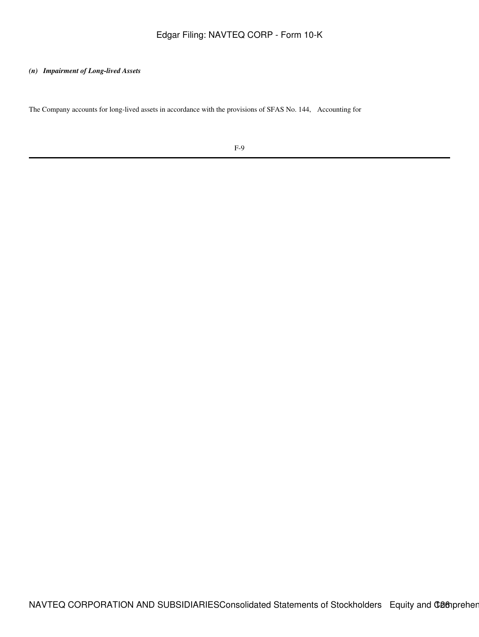### *(n) Impairment of Long-lived Assets*

The Company accounts for long-lived assets in accordance with the provisions of SFAS No. 144, Accounting for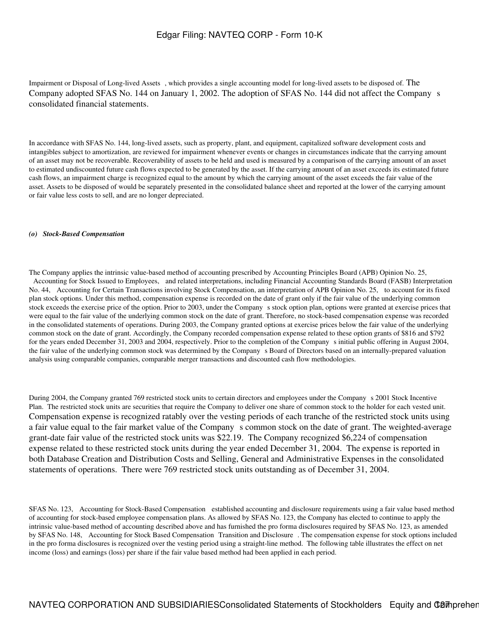Impairment or Disposal of Long-lived Assets, which provides a single accounting model for long-lived assets to be disposed of. The Company adopted SFAS No. 144 on January 1, 2002. The adoption of SFAS No. 144 did not affect the Company s consolidated financial statements.

In accordance with SFAS No. 144, long-lived assets, such as property, plant, and equipment, capitalized software development costs and intangibles subject to amortization, are reviewed for impairment whenever events or changes in circumstances indicate that the carrying amount of an asset may not be recoverable. Recoverability of assets to be held and used is measured by a comparison of the carrying amount of an asset to estimated undiscounted future cash flows expected to be generated by the asset. If the carrying amount of an asset exceeds its estimated future cash flows, an impairment charge is recognized equal to the amount by which the carrying amount of the asset exceeds the fair value of the asset. Assets to be disposed of would be separately presented in the consolidated balance sheet and reported at the lower of the carrying amount or fair value less costs to sell, and are no longer depreciated.

### *(o) Stock-Based Compensation*

The Company applies the intrinsic value-based method of accounting prescribed by Accounting Principles Board (APB) Opinion No. 25, Accounting for Stock Issued to Employees, and related interpretations, including Financial Accounting Standards Board (FASB) Interpretation No. 44, Accounting for Certain Transactions involving Stock Compensation, an interpretation of APB Opinion No. 25, to account for its fixed plan stock options. Under this method, compensation expense is recorded on the date of grant only if the fair value of the underlying common stock exceeds the exercise price of the option. Prior to 2003, under the Company s stock option plan, options were granted at exercise prices that were equal to the fair value of the underlying common stock on the date of grant. Therefore, no stock-based compensation expense was recorded in the consolidated statements of operations. During 2003, the Company granted options at exercise prices below the fair value of the underlying common stock on the date of grant. Accordingly, the Company recorded compensation expense related to these option grants of \$816 and \$792 for the years ended December 31, 2003 and 2004, respectively. Prior to the completion of the Companys initial public offering in August 2004, the fair value of the underlying common stock was determined by the Company s Board of Directors based on an internally-prepared valuation analysis using comparable companies, comparable merger transactions and discounted cash flow methodologies.

During 2004, the Company granted 769 restricted stock units to certain directors and employees under the Companys 2001 Stock Incentive Plan. The restricted stock units are securities that require the Company to deliver one share of common stock to the holder for each vested unit. Compensation expense is recognized ratably over the vesting periods of each tranche of the restricted stock units using a fair value equal to the fair market value of the Company s common stock on the date of grant. The weighted-average grant-date fair value of the restricted stock units was \$22.19. The Company recognized \$6,224 of compensation expense related to these restricted stock units during the year ended December 31, 2004. The expense is reported in both Database Creation and Distribution Costs and Selling, General and Administrative Expenses in the consolidated statements of operations. There were 769 restricted stock units outstanding as of December 31, 2004.

SFAS No. 123, Accounting for Stock-Based Compensation established accounting and disclosure requirements using a fair value based method of accounting for stock-based employee compensation plans. As allowed by SFAS No. 123, the Company has elected to continue to apply the intrinsic value-based method of accounting described above and has furnished the pro forma disclosures required by SFAS No. 123, as amended by SFAS No. 148, Accounting for Stock Based Compensation Transition and Disclosure. The compensation expense for stock options included in the pro forma disclosures is recognized over the vesting period using a straight-line method. The following table illustrates the effect on net income (loss) and earnings (loss) per share if the fair value based method had been applied in each period.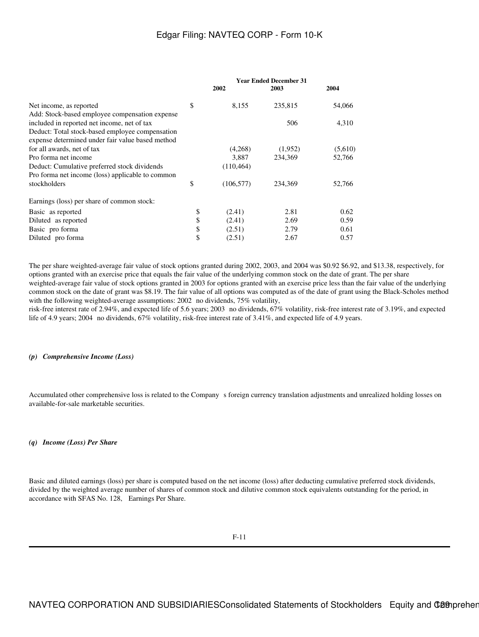| 2002             | 2003    | 2004                          |
|------------------|---------|-------------------------------|
| \$<br>8,155      | 235,815 | 54,066                        |
|                  |         |                               |
|                  | 506     | 4,310                         |
|                  |         |                               |
|                  |         |                               |
| (4,268)          | (1,952) | (5,610)                       |
| 3,887            | 234,369 | 52,766                        |
| (110, 464)       |         |                               |
|                  |         |                               |
| \$<br>(106, 577) | 234.369 | 52,766                        |
|                  |         |                               |
| (2.41)           | 2.81    | 0.62                          |
| (2.41)           | 2.69    | 0.59                          |
| (2.51)           | 2.79    | 0.61                          |
| \$<br>(2.51)     | 2.67    | 0.57                          |
| \$<br>\$<br>\$   |         | <b>Year Ended December 31</b> |

The per share weighted-average fair value of stock options granted during 2002, 2003, and 2004 was \$0.92 \$6.92, and \$13.38, respectively, for options granted with an exercise price that equals the fair value of the underlying common stock on the date of grant. The per share weighted-average fair value of stock options granted in 2003 for options granted with an exercise price less than the fair value of the underlying common stock on the date of grant was \$8.19. The fair value of all options was computed as of the date of grant using the Black-Scholes method with the following weighted-average assumptions:  $2002$  no dividends,  $75\%$  volatility,

risk-free interest rate of 2.94%, and expected life of 5.6 years; 2003 no dividends, 67% volatility, risk-free interest rate of 3.19%, and expected life of 4.9 years; 2004 no dividends,  $67\%$  volatility, risk-free interest rate of 3.41%, and expected life of 4.9 years.

### *(p) Comprehensive Income (Loss)*

Accumulated other comprehensive loss is related to the Company s foreign currency translation adjustments and unrealized holding losses on available-for-sale marketable securities.

### *(q) Income (Loss) Per Share*

Basic and diluted earnings (loss) per share is computed based on the net income (loss) after deducting cumulative preferred stock dividends, divided by the weighted average number of shares of common stock and dilutive common stock equivalents outstanding for the period, in accordance with SFAS No. 128, Earnings Per Share.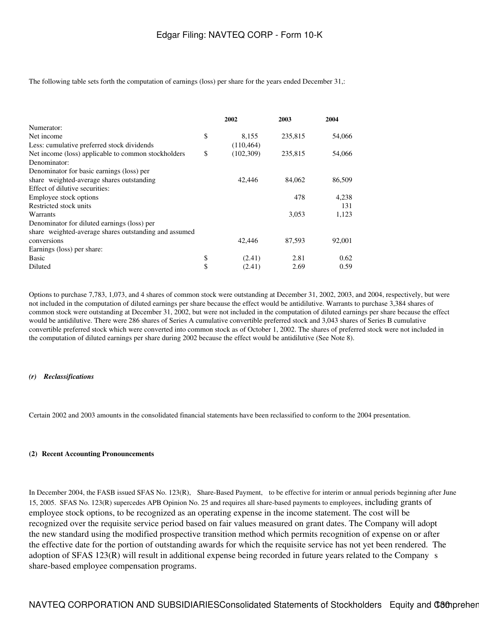The following table sets forth the computation of earnings (loss) per share for the years ended December 31,:

|                                                       | 2002             | 2003    | 2004   |
|-------------------------------------------------------|------------------|---------|--------|
| Numerator:                                            |                  |         |        |
| Net income                                            | \$<br>8,155      | 235,815 | 54,066 |
| Less: cumulative preferred stock dividends            | (110, 464)       |         |        |
| Net income (loss) applicable to common stockholders   | \$<br>(102, 309) | 235,815 | 54,066 |
| Denominator:                                          |                  |         |        |
| Denominator for basic earnings (loss) per             |                  |         |        |
| share weighted-average shares outstanding             | 42,446           | 84,062  | 86,509 |
| Effect of dilutive securities:                        |                  |         |        |
| Employee stock options                                |                  | 478     | 4,238  |
| Restricted stock units                                |                  |         | 131    |
| Warrants                                              |                  | 3,053   | 1,123  |
| Denominator for diluted earnings (loss) per           |                  |         |        |
| share weighted-average shares outstanding and assumed |                  |         |        |
| conversions                                           | 42,446           | 87,593  | 92,001 |
| Earnings (loss) per share:                            |                  |         |        |
| Basic                                                 | \$<br>(2.41)     | 2.81    | 0.62   |
| Diluted                                               | \$<br>(2.41)     | 2.69    | 0.59   |

Options to purchase 7,783, 1,073, and 4 shares of common stock were outstanding at December 31, 2002, 2003, and 2004, respectively, but were not included in the computation of diluted earnings per share because the effect would be antidilutive. Warrants to purchase 3,384 shares of common stock were outstanding at December 31, 2002, but were not included in the computation of diluted earnings per share because the effect would be antidilutive. There were 286 shares of Series A cumulative convertible preferred stock and 3,043 shares of Series B cumulative convertible preferred stock which were converted into common stock as of October 1, 2002. The shares of preferred stock were not included in the computation of diluted earnings per share during 2002 because the effect would be antidilutive (See Note 8).

### *(r) Reclassifications*

Certain 2002 and 2003 amounts in the consolidated financial statements have been reclassified to conform to the 2004 presentation.

#### **(2)Recent Accounting Pronouncements**

In December 2004, the FASB issued SFAS No. 123(R), Share-Based Payment, to be effective for interim or annual periods beginning after June 15, 2005. SFAS No. 123(R) supercedes APB Opinion No. 25 and requires all share-based payments to employees, including grants of employee stock options, to be recognized as an operating expense in the income statement. The cost will be recognized over the requisite service period based on fair values measured on grant dates. The Company will adopt the new standard using the modified prospective transition method which permits recognition of expense on or after the effective date for the portion of outstanding awards for which the requisite service has not yet been rendered. The adoption of SFAS 123(R) will result in additional expense being recorded in future years related to the Company s share-based employee compensation programs.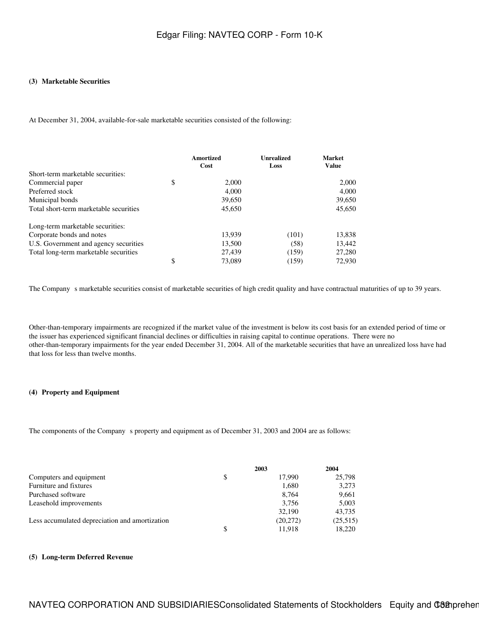### **(3)Marketable Securities**

At December 31, 2004, available-for-sale marketable securities consisted of the following:

|                                        | Amortized<br>Cost | <b>Unrealized</b><br>Loss | <b>Market</b><br><b>Value</b> |
|----------------------------------------|-------------------|---------------------------|-------------------------------|
| Short-term marketable securities:      |                   |                           |                               |
| Commercial paper                       | \$<br>2,000       |                           | 2,000                         |
| Preferred stock                        | 4.000             |                           | 4,000                         |
| Municipal bonds                        | 39,650            |                           | 39,650                        |
| Total short-term marketable securities | 45,650            |                           | 45,650                        |
| Long-term marketable securities:       |                   |                           |                               |
| Corporate bonds and notes              | 13,939            | (101)                     | 13,838                        |
| U.S. Government and agency securities  | 13,500            | (58)                      | 13,442                        |
| Total long-term marketable securities  | 27,439            | (159)                     | 27,280                        |
|                                        | \$<br>73,089      | (159)                     | 72,930                        |

The Company s marketable securities consist of marketable securities of high credit quality and have contractual maturities of up to 39 years.

Other-than-temporary impairments are recognized if the market value of the investment is below its cost basis for an extended period of time or the issuer has experienced significant financial declines or difficulties in raising capital to continue operations. There were no other-than-temporary impairments for the year ended December 31, 2004. All of the marketable securities that have an unrealized loss have had that loss for less than twelve months.

### **(4) Property and Equipment**

The components of the Company s property and equipment as of December 31, 2003 and 2004 are as follows:

|                                                | 2003         | 2004     |
|------------------------------------------------|--------------|----------|
| Computers and equipment                        | \$<br>17.990 | 25,798   |
| Furniture and fixtures                         | 1.680        | 3,273    |
| Purchased software                             | 8.764        | 9,661    |
| Leasehold improvements                         | 3.756        | 5,003    |
|                                                | 32,190       | 43,735   |
| Less accumulated depreciation and amortization | (20,272)     | (25,515) |
|                                                | \$<br>11.918 | 18.220   |

### **(5)Long-term Deferred Revenue**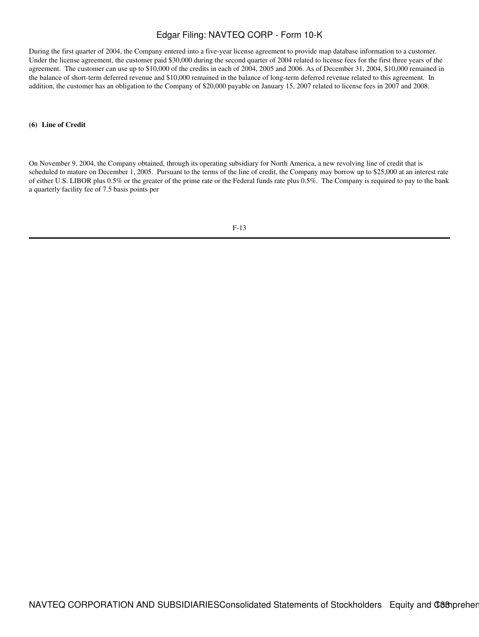During the first quarter of 2004, the Company entered into a five-year license agreement to provide map database information to a customer. Under the license agreement, the customer paid \$30,000 during the second quarter of 2004 related to license fees for the first three years of the agreement. The customer can use up to \$10,000 of the credits in each of 2004, 2005 and 2006. As of December 31, 2004, \$10,000 remained in the balance of short-term deferred revenue and \$10,000 remained in the balance of long-term deferred revenue related to this agreement. In addition, the customer has an obligation to the Company of \$20,000 payable on January 15, 2007 related to license fees in 2007 and 2008.

### **(6)Line of Credit**

On November 9, 2004, the Company obtained, through its operating subsidiary for North America, a new revolving line of credit that is scheduled to mature on December 1, 2005. Pursuant to the terms of the line of credit, the Company may borrow up to \$25,000 at an interest rate of either U.S. LIBOR plus 0.5% or the greater of the prime rate or the Federal funds rate plus 0.5%. The Company is required to pay to the bank a quarterly facility fee of 7.5 basis points per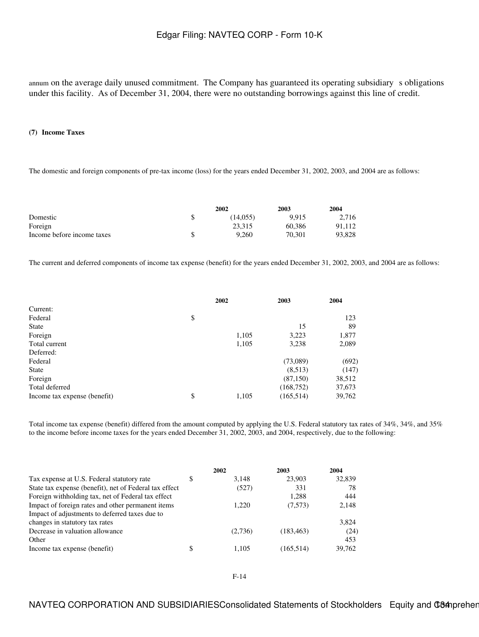annum on the average daily unused commitment. The Company has guaranteed its operating subsidiary s obligations under this facility. As of December 31, 2004, there were no outstanding borrowings against this line of credit.

### **(7)Income Taxes**

The domestic and foreign components of pre-tax income (loss) for the years ended December 31, 2002, 2003, and 2004 are as follows:

|                            | 2002     |        | 2004   |
|----------------------------|----------|--------|--------|
| Domestic                   | (14.055) | 9.915  | 2.716  |
| Foreign                    | 23.315   | 60.386 | 91.112 |
| Income before income taxes | 9.260    | 70.301 | 93,828 |

The current and deferred components of income tax expense (benefit) for the years ended December 31, 2002, 2003, and 2004 are as follows:

|                              | 2002 |       | 2003       | 2004   |
|------------------------------|------|-------|------------|--------|
| Current:                     |      |       |            |        |
| Federal                      | \$   |       |            | 123    |
| State                        |      |       | 15         | 89     |
| Foreign                      |      | 1,105 | 3,223      | 1,877  |
| Total current                |      | 1,105 | 3,238      | 2,089  |
| Deferred:                    |      |       |            |        |
| Federal                      |      |       | (73,089)   | (692)  |
| State                        |      |       | (8,513)    | (147)  |
| Foreign                      |      |       | (87, 150)  | 38,512 |
| Total deferred               |      |       | (168, 752) | 37,673 |
| Income tax expense (benefit) | \$   | 1,105 | (165, 514) | 39,762 |

Total income tax expense (benefit) differed from the amount computed by applying the U.S. Federal statutory tax rates of 34%, 34%, and 35% to the income before income taxes for the years ended December 31, 2002, 2003, and 2004, respectively, due to the following:

|                                                        | 2002        | 2003       | 2004   |
|--------------------------------------------------------|-------------|------------|--------|
| Tax expense at U.S. Federal statutory rate             | \$<br>3.148 | 23,903     | 32,839 |
| State tax expense (benefit), net of Federal tax effect | (527)       | 331        | 78     |
| Foreign withholding tax, net of Federal tax effect     |             | 1,288      | 444    |
| Impact of foreign rates and other permanent items      | 1.220       | (7,573)    | 2,148  |
| Impact of adjustments to deferred taxes due to         |             |            |        |
| changes in statutory tax rates                         |             |            | 3,824  |
| Decrease in valuation allowance                        | (2,736)     | (183, 463) | (24)   |
| Other                                                  |             |            | 453    |
| Income tax expense (benefit)                           | \$<br>1.105 | (165, 514) | 39,762 |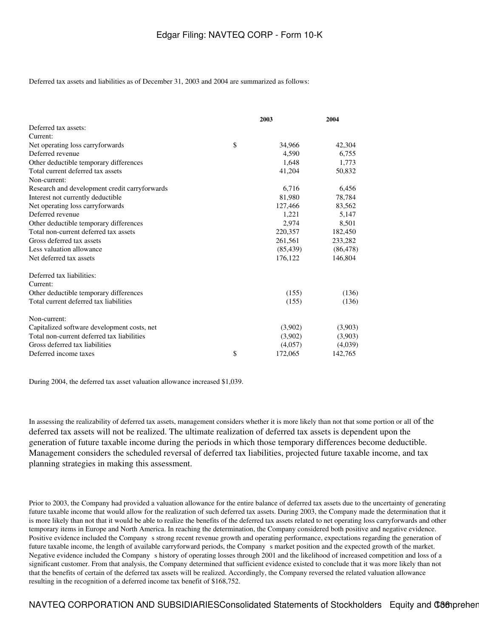Deferred tax assets and liabilities as of December 31, 2003 and 2004 are summarized as follows:

|                                               | 2003 |           | 2004      |
|-----------------------------------------------|------|-----------|-----------|
| Deferred tax assets:                          |      |           |           |
| Current:                                      |      |           |           |
| Net operating loss carryforwards              | \$   | 34,966    | 42,304    |
| Deferred revenue                              |      | 4,590     | 6,755     |
| Other deductible temporary differences        |      | 1,648     | 1,773     |
| Total current deferred tax assets             |      | 41,204    | 50,832    |
| Non-current:                                  |      |           |           |
| Research and development credit carryforwards |      | 6,716     | 6,456     |
| Interest not currently deductible             |      | 81,980    | 78,784    |
| Net operating loss carryforwards              |      | 127,466   | 83,562    |
| Deferred revenue                              |      | 1,221     | 5,147     |
| Other deductible temporary differences        |      | 2,974     | 8,501     |
| Total non-current deferred tax assets         |      | 220,357   | 182,450   |
| Gross deferred tax assets                     |      | 261,561   | 233,282   |
| Less valuation allowance                      |      | (85, 439) | (86, 478) |
| Net deferred tax assets                       |      | 176,122   | 146,804   |
| Deferred tax liabilities:                     |      |           |           |
| Current:                                      |      |           |           |
| Other deductible temporary differences        |      | (155)     | (136)     |
| Total current deferred tax liabilities        |      | (155)     | (136)     |
| Non-current:                                  |      |           |           |
| Capitalized software development costs, net   |      | (3,902)   | (3,903)   |
| Total non-current deferred tax liabilities    |      | (3,902)   | (3,903)   |
| Gross deferred tax liabilities                |      | (4,057)   | (4,039)   |
| Deferred income taxes                         | \$   | 172,065   | 142,765   |

During 2004, the deferred tax asset valuation allowance increased \$1,039.

In assessing the realizability of deferred tax assets, management considers whether it is more likely than not that some portion or all of the deferred tax assets will not be realized. The ultimate realization of deferred tax assets is dependent upon the generation of future taxable income during the periods in which those temporary differences become deductible. Management considers the scheduled reversal of deferred tax liabilities, projected future taxable income, and tax planning strategies in making this assessment.

Prior to 2003, the Company had provided a valuation allowance for the entire balance of deferred tax assets due to the uncertainty of generating future taxable income that would allow for the realization of such deferred tax assets. During 2003, the Company made the determination that it is more likely than not that it would be able to realize the benefits of the deferred tax assets related to net operating loss carryforwards and other temporary items in Europe and North America. In reaching the determination, the Company considered both positive and negative evidence. Positive evidence included the Company s strong recent revenue growth and operating performance, expectations regarding the generation of future taxable income, the length of available carryforward periods, the Companys market position and the expected growth of the market. Negative evidence included the Companys history of operating losses through 2001 and the likelihood of increased competition and loss of a significant customer. From that analysis, the Company determined that sufficient evidence existed to conclude that it was more likely than not that the benefits of certain of the deferred tax assets will be realized. Accordingly, the Company reversed the related valuation allowance resulting in the recognition of a deferred income tax benefit of \$168,752.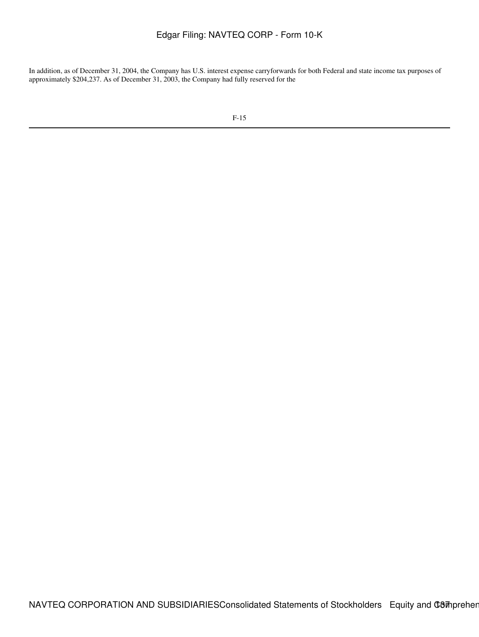In addition, as of December 31, 2004, the Company has U.S. interest expense carryforwards for both Federal and state income tax purposes of approximately \$204,237. As of December 31, 2003, the Company had fully reserved for the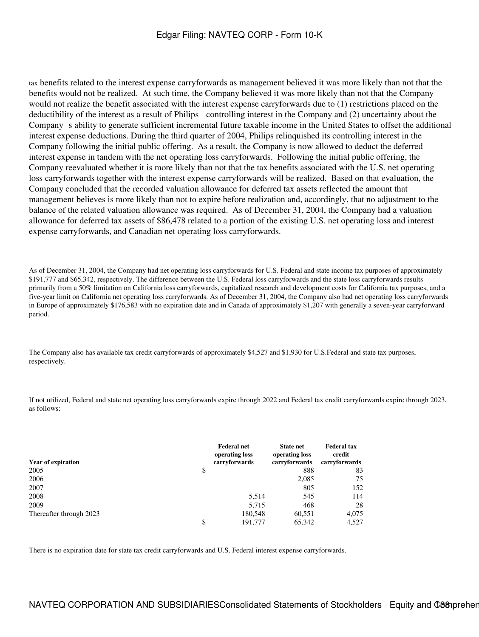tax benefits related to the interest expense carryforwards as management believed it was more likely than not that the benefits would not be realized. At such time, the Company believed it was more likely than not that the Company would not realize the benefit associated with the interest expense carryforwards due to (1) restrictions placed on the deductibility of the interest as a result of Philips controlling interest in the Company and (2) uncertainty about the Company s ability to generate sufficient incremental future taxable income in the United States to offset the additional interest expense deductions. During the third quarter of 2004, Philips relinquished its controlling interest in the Company following the initial public offering. As a result, the Company is now allowed to deduct the deferred interest expense in tandem with the net operating loss carryforwards. Following the initial public offering, the Company reevaluated whether it is more likely than not that the tax benefits associated with the U.S. net operating loss carryforwards together with the interest expense carryforwards will be realized. Based on that evaluation, the Company concluded that the recorded valuation allowance for deferred tax assets reflected the amount that management believes is more likely than not to expire before realization and, accordingly, that no adjustment to the balance of the related valuation allowance was required. As of December 31, 2004, the Company had a valuation allowance for deferred tax assets of \$86,478 related to a portion of the existing U.S. net operating loss and interest expense carryforwards, and Canadian net operating loss carryforwards.

As of December 31, 2004, the Company had net operating loss carryforwards for U.S. Federal and state income tax purposes of approximately \$191,777 and \$65,342, respectively. The difference between the U.S. Federal loss carryforwards and the state loss carryforwards results primarily from a 50% limitation on California loss carryforwards, capitalized research and development costs for California tax purposes, and a five-year limit on California net operating loss carryforwards. As of December 31, 2004, the Company also had net operating loss carryforwards in Europe of approximately \$176,583 with no expiration date and in Canada of approximately \$1,207 with generally a seven-year carryforward period.

The Company also has available tax credit carryforwards of approximately \$4,527 and \$1,930 for U.S.Federal and state tax purposes, respectively.

If not utilized, Federal and state net operating loss carryforwards expire through 2022 and Federal tax credit carryforwards expire through 2023, as follows:

| <b>Year of expiration</b> | <b>Federal net</b><br>operating loss<br>carryforwards | <b>State net</b><br>operating loss<br>carryforwards | <b>Federal tax</b><br>credit<br>carryforwards |
|---------------------------|-------------------------------------------------------|-----------------------------------------------------|-----------------------------------------------|
| 2005                      | \$                                                    | 888                                                 | 83                                            |
| 2006                      |                                                       | 2,085                                               | 75                                            |
| 2007                      |                                                       | 805                                                 | 152                                           |
| 2008                      | 5,514                                                 | 545                                                 | 114                                           |
| 2009                      | 5,715                                                 | 468                                                 | 28                                            |
| Thereafter through 2023   | 180,548                                               | 60,551                                              | 4,075                                         |
|                           | \$<br>191,777                                         | 65,342                                              | 4,527                                         |

There is no expiration date for state tax credit carryforwards and U.S. Federal interest expense carryforwards.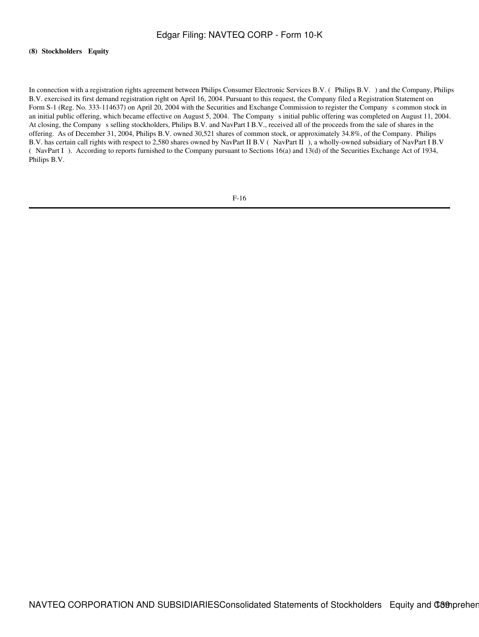### **(8) Stockholders Equity**

In connection with a registration rights agreement between Philips Consumer Electronic Services B.V. (Philips B.V.) and the Company, Philips B.V. exercised its first demand registration right on April 16, 2004. Pursuant to this request, the Company filed a Registration Statement on Form S-1 (Reg. No. 333-114637) on April 20, 2004 with the Securities and Exchange Commission to register the Companys common stock in an initial public offering, which became effective on August 5, 2004. The Companys initial public offering was completed on August 11, 2004. At closing, the Company s selling stockholders, Philips B.V. and NavPart I B.V., received all of the proceeds from the sale of shares in the offering. As of December 31, 2004, Philips B.V. owned 30,521 shares of common stock, or approximately 34.8%, of the Company. Philips B.V. has certain call rights with respect to 2,580 shares owned by NavPart II B.V (NavPart II), a wholly-owned subsidiary of NavPart I B.V (NavPart I). According to reports furnished to the Company pursuant to Sections 16(a) and 13(d) of the Securities Exchange Act of 1934, Philips B.V.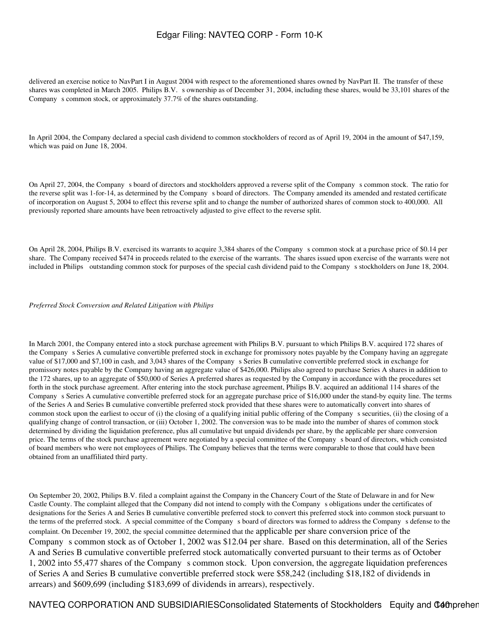delivered an exercise notice to NavPart I in August 2004 with respect to the aforementioned shares owned by NavPart II. The transfer of these shares was completed in March 2005. Philips B.V. s ownership as of December 31, 2004, including these shares, would be 33,101 shares of the Company s common stock, or approximately 37.7% of the shares outstanding.

In April 2004, the Company declared a special cash dividend to common stockholders of record as of April 19, 2004 in the amount of \$47,159, which was paid on June 18, 2004.

On April 27, 2004, the Company s board of directors and stockholders approved a reverse split of the Company s common stock. The ratio for the reverse split was 1-for-14, as determined by the Companys board of directors. The Company amended its amended and restated certificate of incorporation on August 5, 2004 to effect this reverse split and to change the number of authorized shares of common stock to 400,000. All previously reported share amounts have been retroactively adjusted to give effect to the reverse split.

On April 28, 2004, Philips B.V. exercised its warrants to acquire 3,384 shares of the Companys common stock at a purchase price of \$0.14 per share. The Company received \$474 in proceeds related to the exercise of the warrants. The shares issued upon exercise of the warrants were not included in Philips outstanding common stock for purposes of the special cash dividend paid to the Company s stockholders on June 18, 2004.

### *Preferred Stock Conversion and Related Litigation with Philips*

In March 2001, the Company entered into a stock purchase agreement with Philips B.V. pursuant to which Philips B.V. acquired 172 shares of the Company s Series A cumulative convertible preferred stock in exchange for promissory notes payable by the Company having an aggregate value of \$17,000 and \$7,100 in cash, and 3,043 shares of the Companys Series B cumulative convertible preferred stock in exchange for promissory notes payable by the Company having an aggregate value of \$426,000. Philips also agreed to purchase Series A shares in addition to the 172 shares, up to an aggregate of \$50,000 of Series A preferred shares as requested by the Company in accordance with the procedures set forth in the stock purchase agreement. After entering into the stock purchase agreement, Philips B.V. acquired an additional 114 shares of the Companys Series A cumulative convertible preferred stock for an aggregate purchase price of \$16,000 under the stand-by equity line. The terms of the Series A and Series B cumulative convertible preferred stock provided that these shares were to automatically convert into shares of common stock upon the earliest to occur of (i) the closing of a qualifying initial public offering of the Companys securities, (ii) the closing of a qualifying change of control transaction, or (iii) October 1, 2002. The conversion was to be made into the number of shares of common stock determined by dividing the liquidation preference, plus all cumulative but unpaid dividends per share, by the applicable per share conversion price. The terms of the stock purchase agreement were negotiated by a special committee of the Company s board of directors, which consisted of board members who were not employees of Philips. The Company believes that the terms were comparable to those that could have been obtained from an unaffiliated third party.

On September 20, 2002, Philips B.V. filed a complaint against the Company in the Chancery Court of the State of Delaware in and for New Castle County. The complaint alleged that the Company did not intend to comply with the Companys obligations under the certificates of designations for the Series A and Series B cumulative convertible preferred stock to convert this preferred stock into common stock pursuant to the terms of the preferred stock. A special committee of the Companys board of directors was formed to address the Companys defense to the complaint. On December 19, 2002, the special committee determined that the applicable per share conversion price of the Company s common stock as of October 1, 2002 was \$12.04 per share. Based on this determination, all of the Series A and Series B cumulative convertible preferred stock automatically converted pursuant to their terms as of October 1, 2002 into 55,477 shares of the Companys common stock. Upon conversion, the aggregate liquidation preferences of Series A and Series B cumulative convertible preferred stock were \$58,242 (including \$18,182 of dividends in arrears) and \$609,699 (including \$183,699 of dividends in arrears), respectively.

NAVTEQ CORPORATION AND SUBSIDIARIESConsolidated Statements of Stockholders Equity and C40 prehensive Income (Comprehensive Intervals) 1400 metal and C40 prehensive Income (Income Text) 1400 metal of the Unit of the Unit of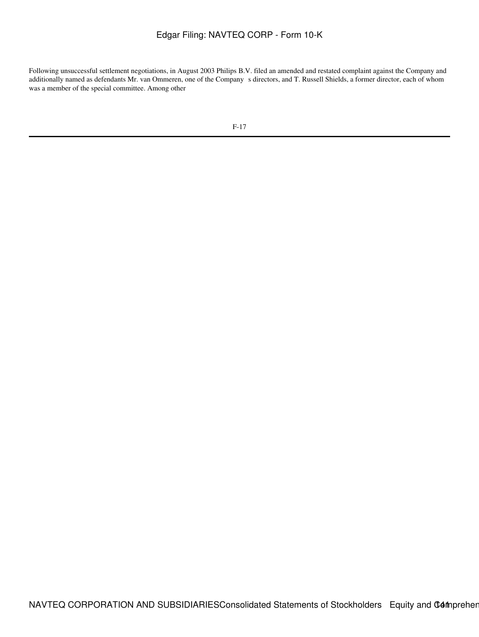Following unsuccessful settlement negotiations, in August 2003 Philips B.V. filed an amended and restated complaint against the Company and additionally named as defendants Mr. van Ommeren, one of the Company s directors, and T. Russell Shields, a former director, each of whom was a member of the special committee. Among other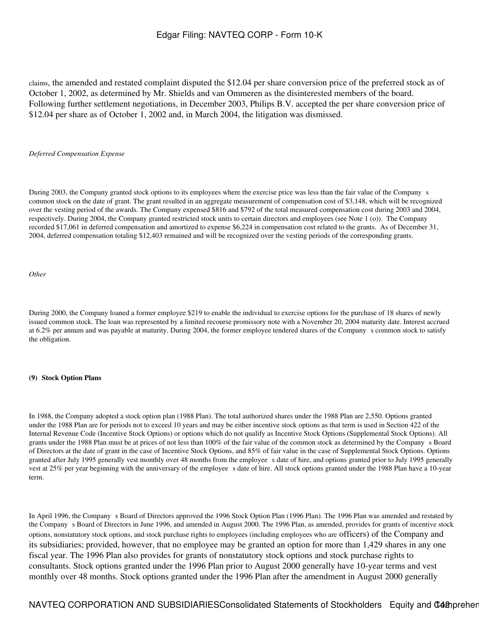claims, the amended and restated complaint disputed the \$12.04 per share conversion price of the preferred stock as of October 1, 2002, as determined by Mr. Shields and van Ommeren as the disinterested members of the board. Following further settlement negotiations, in December 2003, Philips B.V. accepted the per share conversion price of \$12.04 per share as of October 1, 2002 and, in March 2004, the litigation was dismissed.

### *Deferred Compensation Expense*

During 2003, the Company granted stock options to its employees where the exercise price was less than the fair value of the Company s common stock on the date of grant. The grant resulted in an aggregate measurement of compensation cost of \$3,148, which will be recognized over the vesting period of the awards. The Company expensed \$816 and \$792 of the total measured compensation cost during 2003 and 2004, respectively. During 2004, the Company granted restricted stock units to certain directors and employees (see Note 1 (o)). The Company recorded \$17,061 in deferred compensation and amortized to expense \$6,224 in compensation cost related to the grants. As of December 31, 2004, deferred compensation totaling \$12,403 remained and will be recognized over the vesting periods of the corresponding grants.

### *Other*

During 2000, the Company loaned a former employee \$219 to enable the individual to exercise options for the purchase of 18 shares of newly issued common stock. The loan was represented by a limited recourse promissory note with a November 20, 2004 maturity date. Interest accrued at 6.2% per annum and was payable at maturity. During 2004, the former employee tendered shares of the Company s common stock to satisfy the obligation.

#### **(9) Stock Option Plans**

In 1988, the Company adopted a stock option plan (1988 Plan). The total authorized shares under the 1988 Plan are 2,550. Options granted under the 1988 Plan are for periods not to exceed 10 years and may be either incentive stock options as that term is used in Section 422 of the Internal Revenue Code (Incentive Stock Options) or options which do not qualify as Incentive Stock Options (Supplemental Stock Options). All grants under the 1988 Plan must be at prices of not less than 100% of the fair value of the common stock as determined by the Companys Board of Directors at the date of grant in the case of Incentive Stock Options, and 85% of fair value in the case of Supplemental Stock Options. Options granted after July 1995 generally vest monthly over 48 months from the employee s date of hire, and options granted prior to July 1995 generally vest at 25% per year beginning with the anniversary of the employee s date of hire. All stock options granted under the 1988 Plan have a 10-year term.

In April 1996, the Company s Board of Directors approved the 1996 Stock Option Plan (1996 Plan). The 1996 Plan was amended and restated by the Company s Board of Directors in June 1996, and amended in August 2000. The 1996 Plan, as amended, provides for grants of incentive stock options, nonstatutory stock options, and stock purchase rights to employees (including employees who are officers) of the Company and its subsidiaries; provided, however, that no employee may be granted an option for more than 1,429 shares in any one fiscal year. The 1996 Plan also provides for grants of nonstatutory stock options and stock purchase rights to consultants. Stock options granted under the 1996 Plan prior to August 2000 generally have 10-year terms and vest monthly over 48 months. Stock options granted under the 1996 Plan after the amendment in August 2000 generally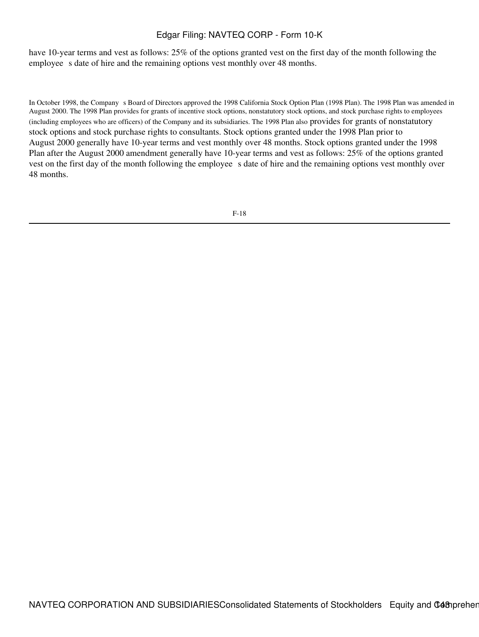have 10-year terms and vest as follows: 25% of the options granted vest on the first day of the month following the employee s date of hire and the remaining options vest monthly over 48 months.

In October 1998, the Company s Board of Directors approved the 1998 California Stock Option Plan (1998 Plan). The 1998 Plan was amended in August 2000. The 1998 Plan provides for grants of incentive stock options, nonstatutory stock options, and stock purchase rights to employees (including employees who are officers) of the Company and its subsidiaries. The 1998 Plan also provides for grants of nonstatutory stock options and stock purchase rights to consultants. Stock options granted under the 1998 Plan prior to August 2000 generally have 10-year terms and vest monthly over 48 months. Stock options granted under the 1998 Plan after the August 2000 amendment generally have 10-year terms and vest as follows: 25% of the options granted vest on the first day of the month following the employee s date of hire and the remaining options vest monthly over 48 months.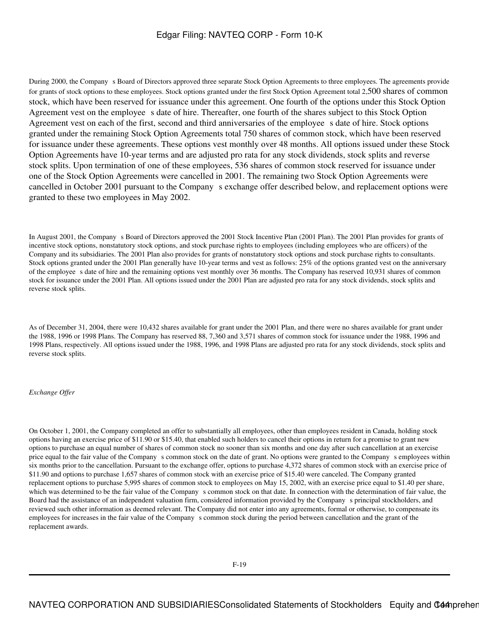During 2000, the Company s Board of Directors approved three separate Stock Option Agreements to three employees. The agreements provide for grants of stock options to these employees. Stock options granted under the first Stock Option Agreement total 2,500 shares of common stock, which have been reserved for issuance under this agreement. One fourth of the options under this Stock Option Agreement vest on the employee s date of hire. Thereafter, one fourth of the shares subject to this Stock Option Agreement vest on each of the first, second and third anniversaries of the employee s date of hire. Stock options granted under the remaining Stock Option Agreements total 750 shares of common stock, which have been reserved for issuance under these agreements. These options vest monthly over 48 months. All options issued under these Stock Option Agreements have 10-year terms and are adjusted pro rata for any stock dividends, stock splits and reverse stock splits. Upon termination of one of these employees, 536 shares of common stock reserved for issuance under one of the Stock Option Agreements were cancelled in 2001. The remaining two Stock Option Agreements were cancelled in October 2001 pursuant to the Company s exchange offer described below, and replacement options were granted to these two employees in May 2002.

In August 2001, the Company s Board of Directors approved the 2001 Stock Incentive Plan (2001 Plan). The 2001 Plan provides for grants of incentive stock options, nonstatutory stock options, and stock purchase rights to employees (including employees who are officers) of the Company and its subsidiaries. The 2001 Plan also provides for grants of nonstatutory stock options and stock purchase rights to consultants. Stock options granted under the 2001 Plan generally have 10-year terms and vest as follows: 25% of the options granted vest on the anniversary of the employee s date of hire and the remaining options vest monthly over 36 months. The Company has reserved 10,931 shares of common stock for issuance under the 2001 Plan. All options issued under the 2001 Plan are adjusted pro rata for any stock dividends, stock splits and reverse stock splits.

As of December 31, 2004, there were 10,432 shares available for grant under the 2001 Plan, and there were no shares available for grant under the 1988, 1996 or 1998 Plans. The Company has reserved 88, 7,360 and 3,571 shares of common stock for issuance under the 1988, 1996 and 1998 Plans, respectively. All options issued under the 1988, 1996, and 1998 Plans are adjusted pro rata for any stock dividends, stock splits and reverse stock splits.

### *Exchange Offer*

On October 1, 2001, the Company completed an offer to substantially all employees, other than employees resident in Canada, holding stock options having an exercise price of \$11.90 or \$15.40, that enabled such holders to cancel their options in return for a promise to grant new options to purchase an equal number of shares of common stock no sooner than six months and one day after such cancellation at an exercise price equal to the fair value of the Company s common stock on the date of grant. No options were granted to the Company s employees within six months prior to the cancellation. Pursuant to the exchange offer, options to purchase 4,372 shares of common stock with an exercise price of \$11.90 and options to purchase 1,657 shares of common stock with an exercise price of \$15.40 were canceled. The Company granted replacement options to purchase 5,995 shares of common stock to employees on May 15, 2002, with an exercise price equal to \$1.40 per share, which was determined to be the fair value of the Company s common stock on that date. In connection with the determination of fair value, the Board had the assistance of an independent valuation firm, considered information provided by the Companys principal stockholders, and reviewed such other information as deemed relevant. The Company did not enter into any agreements, formal or otherwise, to compensate its employees for increases in the fair value of the Company s common stock during the period between cancellation and the grant of the replacement awards.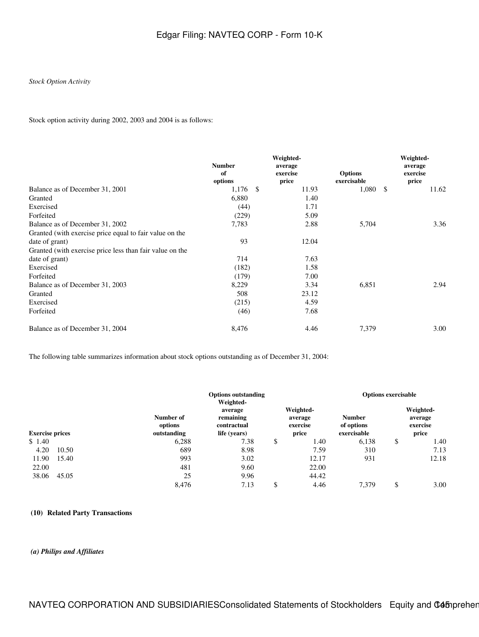### *Stock Option Activity*

Stock option activity during 2002, 2003 and 2004 is as follows:

|                                                          | <b>Number</b><br>of<br>options | Weighted-<br>average<br>exercise<br>price | <b>Options</b><br>exercisable | Weighted-<br>average<br>exercise<br>price |
|----------------------------------------------------------|--------------------------------|-------------------------------------------|-------------------------------|-------------------------------------------|
| Balance as of December 31, 2001                          | $1,176$ \$                     | 11.93                                     | 1,080                         | 11.62<br>- \$                             |
| Granted                                                  | 6,880                          | 1.40                                      |                               |                                           |
| Exercised                                                | (44)                           | 1.71                                      |                               |                                           |
| Forfeited                                                | (229)                          | 5.09                                      |                               |                                           |
| Balance as of December 31, 2002                          | 7,783                          | 2.88                                      | 5,704                         | 3.36                                      |
| Granted (with exercise price equal to fair value on the  |                                |                                           |                               |                                           |
| date of grant)                                           | 93                             | 12.04                                     |                               |                                           |
| Granted (with exercise price less than fair value on the |                                |                                           |                               |                                           |
| date of grant)                                           | 714                            | 7.63                                      |                               |                                           |
| Exercised                                                | (182)                          | 1.58                                      |                               |                                           |
| Forfeited                                                | (179)                          | 7.00                                      |                               |                                           |
| Balance as of December 31, 2003                          | 8,229                          | 3.34                                      | 6,851                         | 2.94                                      |
| Granted                                                  | 508                            | 23.12                                     |                               |                                           |
| Exercised                                                | (215)                          | 4.59                                      |                               |                                           |
| Forfeited                                                | (46)                           | 7.68                                      |                               |                                           |
| Balance as of December 31, 2004                          | 8,476                          | 4.46                                      | 7,379                         | 3.00                                      |

The following table summarizes information about stock options outstanding as of December 31, 2004:

|                        |                                     |                                                                  | <b>Options outstanding</b> |                                           |                                            | <b>Options exercisable</b> |                                           |       |
|------------------------|-------------------------------------|------------------------------------------------------------------|----------------------------|-------------------------------------------|--------------------------------------------|----------------------------|-------------------------------------------|-------|
| <b>Exercise prices</b> | Number of<br>options<br>outstanding | Weighted-<br>average<br>remaining<br>contractual<br>life (years) |                            | Weighted-<br>average<br>exercise<br>price | <b>Number</b><br>of options<br>exercisable |                            | Weighted-<br>average<br>exercise<br>price |       |
| \$1.40                 |                                     | 6,288                                                            | 7.38                       | \$                                        | 1.40                                       | 6,138                      | \$                                        | 1.40  |
| 4.20                   | 10.50                               | 689                                                              | 8.98                       |                                           | 7.59                                       | 310                        |                                           | 7.13  |
| 11.90                  | 15.40                               | 993                                                              | 3.02                       |                                           | 12.17                                      | 931                        |                                           | 12.18 |
| 22.00                  |                                     | 481                                                              | 9.60                       |                                           | 22.00                                      |                            |                                           |       |
| 38.06                  | 45.05                               | 25                                                               | 9.96                       |                                           | 44.42                                      |                            |                                           |       |
|                        |                                     | 8.476                                                            | 7.13                       | \$                                        | 4.46                                       | 7.379                      | \$                                        | 3.00  |

### **(10) Related Party Transactions**

### *(a) Philips and Affiliates*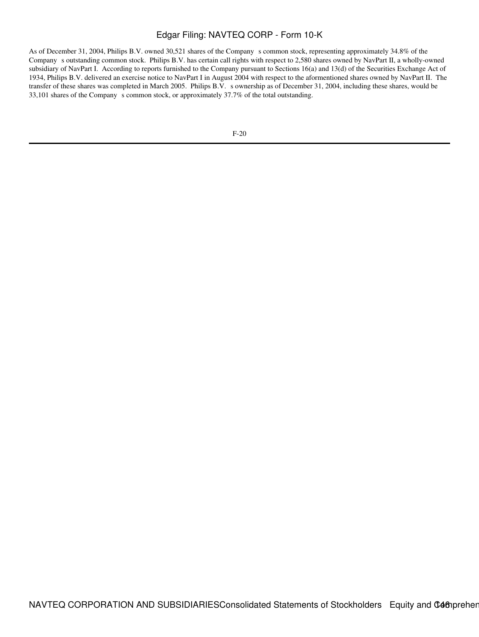As of December 31, 2004, Philips B.V. owned 30,521 shares of the Company s common stock, representing approximately 34.8% of the Companys outstanding common stock. Philips B.V. has certain call rights with respect to 2,580 shares owned by NavPart II, a wholly-owned subsidiary of NavPart I. According to reports furnished to the Company pursuant to Sections 16(a) and 13(d) of the Securities Exchange Act of 1934, Philips B.V. delivered an exercise notice to NavPart I in August 2004 with respect to the aformentioned shares owned by NavPart II. The transfer of these shares was completed in March 2005. Philips B.V. s ownership as of December 31, 2004, including these shares, would be 33,101 shares of the Company s common stock, or approximately 37.7% of the total outstanding.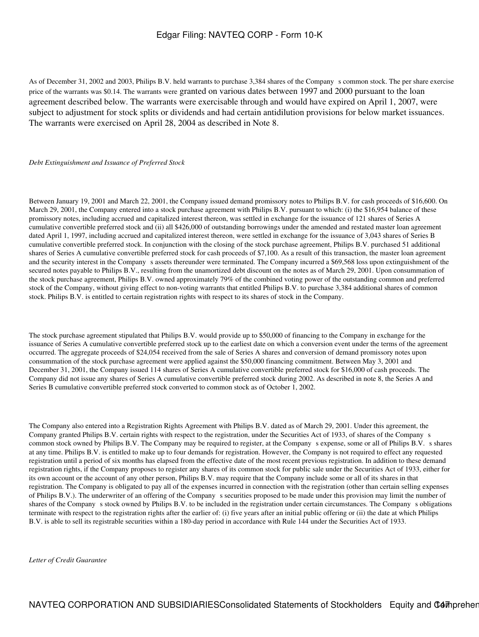As of December 31, 2002 and 2003, Philips B.V. held warrants to purchase 3,384 shares of the Companys common stock. The per share exercise price of the warrants was \$0.14. The warrants were granted on various dates between 1997 and 2000 pursuant to the loan agreement described below. The warrants were exercisable through and would have expired on April 1, 2007, were subject to adjustment for stock splits or dividends and had certain antidilution provisions for below market issuances. The warrants were exercised on April 28, 2004 as described in Note 8.

#### *Debt Extinguishment and Issuance of Preferred Stock*

Between January 19, 2001 and March 22, 2001, the Company issued demand promissory notes to Philips B.V. for cash proceeds of \$16,600. On March 29, 2001, the Company entered into a stock purchase agreement with Philips B.V. pursuant to which: (i) the \$16,954 balance of these promissory notes, including accrued and capitalized interest thereon, was settled in exchange for the issuance of 121 shares of Series A cumulative convertible preferred stock and (ii) all \$426,000 of outstanding borrowings under the amended and restated master loan agreement dated April 1, 1997, including accrued and capitalized interest thereon, were settled in exchange for the issuance of 3,043 shares of Series B cumulative convertible preferred stock. In conjunction with the closing of the stock purchase agreement, Philips B.V. purchased 51 additional shares of Series A cumulative convertible preferred stock for cash proceeds of \$7,100. As a result of this transaction, the master loan agreement and the security interest in the Company s assets thereunder were terminated. The Company incurred a \$69,568 loss upon extinguishment of the secured notes payable to Philips B.V., resulting from the unamortized debt discount on the notes as of March 29, 2001. Upon consummation of the stock purchase agreement, Philips B.V. owned approximately 79% of the combined voting power of the outstanding common and preferred stock of the Company, without giving effect to non-voting warrants that entitled Philips B.V. to purchase 3,384 additional shares of common stock. Philips B.V. is entitled to certain registration rights with respect to its shares of stock in the Company.

The stock purchase agreement stipulated that Philips B.V. would provide up to \$50,000 of financing to the Company in exchange for the issuance of Series A cumulative convertible preferred stock up to the earliest date on which a conversion event under the terms of the agreement occurred. The aggregate proceeds of \$24,054 received from the sale of Series A shares and conversion of demand promissory notes upon consummation of the stock purchase agreement were applied against the \$50,000 financing commitment. Between May 3, 2001 and December 31, 2001, the Company issued 114 shares of Series A cumulative convertible preferred stock for \$16,000 of cash proceeds. The Company did not issue any shares of Series A cumulative convertible preferred stock during 2002. As described in note 8, the Series A and Series B cumulative convertible preferred stock converted to common stock as of October 1, 2002.

The Company also entered into a Registration Rights Agreement with Philips B.V. dated as of March 29, 2001. Under this agreement, the Company granted Philips B.V. certain rights with respect to the registration, under the Securities Act of 1933, of shares of the Companys common stock owned by Philips B.V. The Company may be required to register, at the Company s expense, some or all of Philips B.V. s shares at any time. Philips B.V. is entitled to make up to four demands for registration. However, the Company is not required to effect any requested registration until a period of six months has elapsed from the effective date of the most recent previous registration. In addition to these demand registration rights, if the Company proposes to register any shares of its common stock for public sale under the Securities Act of 1933, either for its own account or the account of any other person, Philips B.V. may require that the Company include some or all of its shares in that registration. The Company is obligated to pay all of the expenses incurred in connection with the registration (other than certain selling expenses of Philips B.V.). The underwriter of an offering of the Companys securities proposed to be made under this provision may limit the number of shares of the Company s stock owned by Philips B.V. to be included in the registration under certain circumstances. The Company s obligations terminate with respect to the registration rights after the earlier of: (i) five years after an initial public offering or (ii) the date at which Philips B.V. is able to sell its registrable securities within a 180-day period in accordance with Rule 144 under the Securities Act of 1933.

*Letter of Credit Guarantee*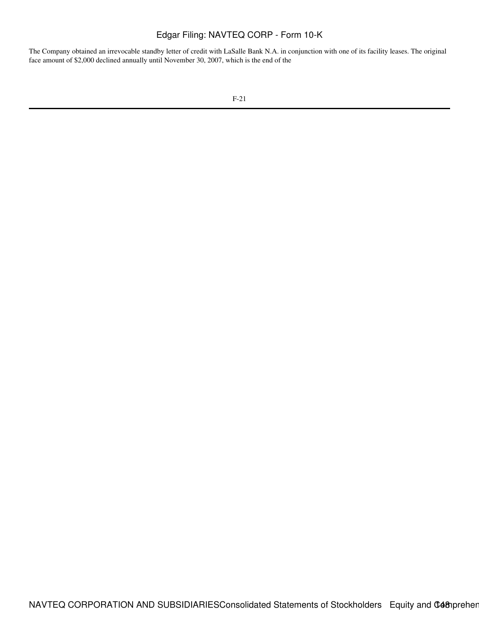The Company obtained an irrevocable standby letter of credit with LaSalle Bank N.A. in conjunction with one of its facility leases. The original face amount of \$2,000 declined annually until November 30, 2007, which is the end of the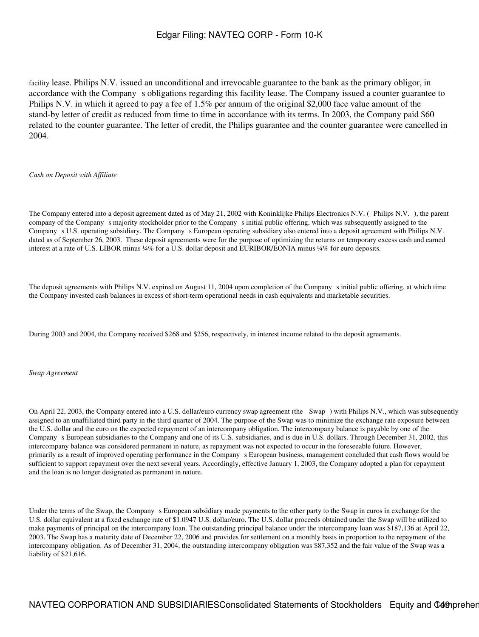facility lease. Philips N.V. issued an unconditional and irrevocable guarantee to the bank as the primary obligor, in accordance with the Company s obligations regarding this facility lease. The Company issued a counter guarantee to Philips N.V. in which it agreed to pay a fee of 1.5% per annum of the original \$2,000 face value amount of the stand-by letter of credit as reduced from time to time in accordance with its terms. In 2003, the Company paid \$60 related to the counter guarantee. The letter of credit, the Philips guarantee and the counter guarantee were cancelled in 2004.

#### *Cash on Deposit with Affiliate*

The Company entered into a deposit agreement dated as of May 21, 2002 with Koninklijke Philips Electronics N.V. (Philips N.V.), the parent company of the Company s majority stockholder prior to the Company s initial public offering, which was subsequently assigned to the Company s U.S. operating subsidiary. The Company s European operating subsidiary also entered into a deposit agreement with Philips N.V. dated as of September 26, 2003. These deposit agreements were for the purpose of optimizing the returns on temporary excess cash and earned interest at a rate of U.S. LIBOR minus ¼% for a U.S. dollar deposit and EURIBOR/EONIA minus ¼% for euro deposits.

The deposit agreements with Philips N.V. expired on August 11, 2004 upon completion of the Companys initial public offering, at which time the Company invested cash balances in excess of short-term operational needs in cash equivalents and marketable securities.

During 2003 and 2004, the Company received \$268 and \$256, respectively, in interest income related to the deposit agreements.

*Swap Agreement*

On April 22, 2003, the Company entered into a U.S. dollar/euro currency swap agreement (the Swap) with Philips N.V., which was subsequently assigned to an unaffiliated third party in the third quarter of 2004. The purpose of the Swap was to minimize the exchange rate exposure between the U.S. dollar and the euro on the expected repayment of an intercompany obligation. The intercompany balance is payable by one of the Companys European subsidiaries to the Company and one of its U.S. subsidiaries, and is due in U.S. dollars. Through December 31, 2002, this intercompany balance was considered permanent in nature, as repayment was not expected to occur in the foreseeable future. However, primarily as a result of improved operating performance in the Companys European business, management concluded that cash flows would be sufficient to support repayment over the next several years. Accordingly, effective January 1, 2003, the Company adopted a plan for repayment and the loan is no longer designated as permanent in nature.

Under the terms of the Swap, the Company s European subsidiary made payments to the other party to the Swap in euros in exchange for the U.S. dollar equivalent at a fixed exchange rate of \$1.0947 U.S. dollar/euro. The U.S. dollar proceeds obtained under the Swap will be utilized to make payments of principal on the intercompany loan. The outstanding principal balance under the intercompany loan was \$187,136 at April 22, 2003. The Swap has a maturity date of December 22, 2006 and provides for settlement on a monthly basis in proportion to the repayment of the intercompany obligation. As of December 31, 2004, the outstanding intercompany obligation was \$87,352 and the fair value of the Swap was a liability of \$21,616.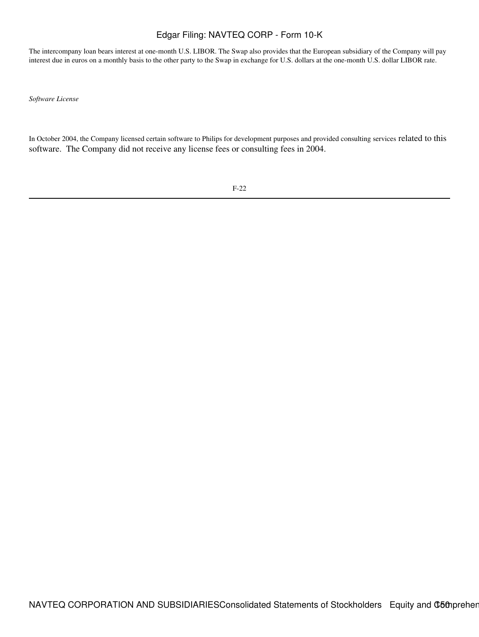The intercompany loan bears interest at one-month U.S. LIBOR. The Swap also provides that the European subsidiary of the Company will pay interest due in euros on a monthly basis to the other party to the Swap in exchange for U.S. dollars at the one-month U.S. dollar LIBOR rate.

*Software License*

In October 2004, the Company licensed certain software to Philips for development purposes and provided consulting services related to this software. The Company did not receive any license fees or consulting fees in 2004.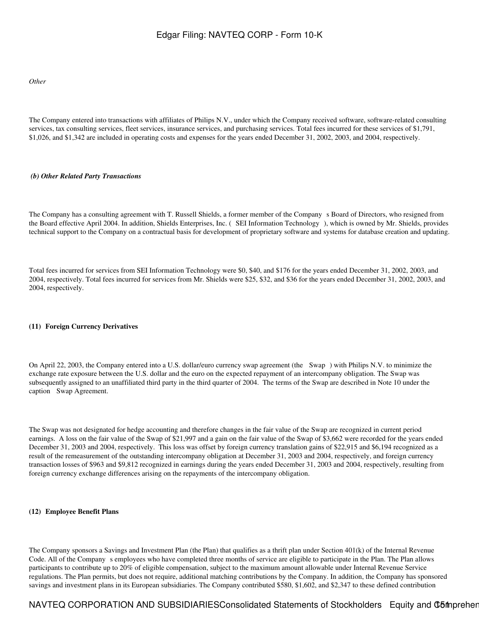*Other*

The Company entered into transactions with affiliates of Philips N.V., under which the Company received software, software-related consulting services, tax consulting services, fleet services, insurance services, and purchasing services. Total fees incurred for these services of \$1,791, \$1,026, and \$1,342 are included in operating costs and expenses for the years ended December 31, 2002, 2003, and 2004, respectively.

#### *(b) Other Related Party Transactions*

The Company has a consulting agreement with T. Russell Shields, a former member of the Companys Board of Directors, who resigned from the Board effective April 2004. In addition, Shields Enterprises, Inc. (SEI Information Technology), which is owned by Mr. Shields, provides technical support to the Company on a contractual basis for development of proprietary software and systems for database creation and updating.

Total fees incurred for services from SEI Information Technology were \$0, \$40, and \$176 for the years ended December 31, 2002, 2003, and 2004, respectively. Total fees incurred for services from Mr. Shields were \$25, \$32, and \$36 for the years ended December 31, 2002, 2003, and 2004, respectively.

#### **(11)Foreign Currency Derivatives**

On April 22, 2003, the Company entered into a U.S. dollar/euro currency swap agreement (the Swap) with Philips N.V. to minimize the exchange rate exposure between the U.S. dollar and the euro on the expected repayment of an intercompany obligation. The Swap was subsequently assigned to an unaffiliated third party in the third quarter of 2004. The terms of the Swap are described in Note 10 under the caption Swap Agreement.

The Swap was not designated for hedge accounting and therefore changes in the fair value of the Swap are recognized in current period earnings. A loss on the fair value of the Swap of \$21,997 and a gain on the fair value of the Swap of \$3,662 were recorded for the years ended December 31, 2003 and 2004, respectively. This loss was offset by foreign currency translation gains of \$22,915 and \$6,194 recognized as a result of the remeasurement of the outstanding intercompany obligation at December 31, 2003 and 2004, respectively, and foreign currency transaction losses of \$963 and \$9,812 recognized in earnings during the years ended December 31, 2003 and 2004, respectively, resulting from foreign currency exchange differences arising on the repayments of the intercompany obligation.

#### **(12)Employee Benefit Plans**

The Company sponsors a Savings and Investment Plan (the Plan) that qualifies as a thrift plan under Section 401(k) of the Internal Revenue Code. All of the Company s employees who have completed three months of service are eligible to participate in the Plan. The Plan allows participants to contribute up to 20% of eligible compensation, subject to the maximum amount allowable under Internal Revenue Service regulations. The Plan permits, but does not require, additional matching contributions by the Company. In addition, the Company has sponsored savings and investment plans in its European subsidiaries. The Company contributed \$580, \$1,602, and \$2,347 to these defined contribution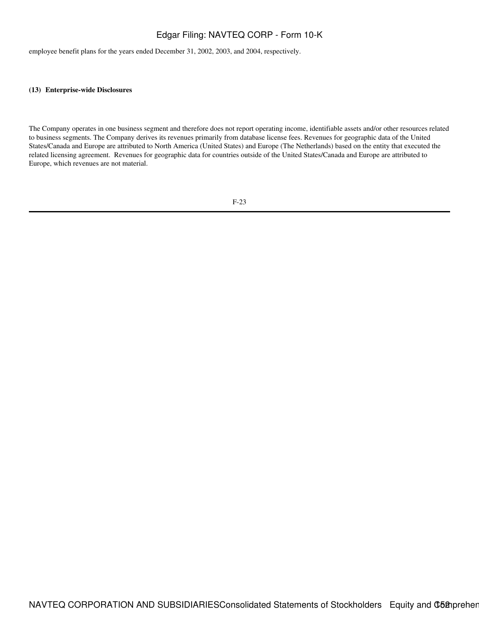employee benefit plans for the years ended December 31, 2002, 2003, and 2004, respectively.

#### **(13)Enterprise-wide Disclosures**

The Company operates in one business segment and therefore does not report operating income, identifiable assets and/or other resources related to business segments. The Company derives its revenues primarily from database license fees. Revenues for geographic data of the United States/Canada and Europe are attributed to North America (United States) and Europe (The Netherlands) based on the entity that executed the related licensing agreement. Revenues for geographic data for countries outside of the United States/Canada and Europe are attributed to Europe, which revenues are not material.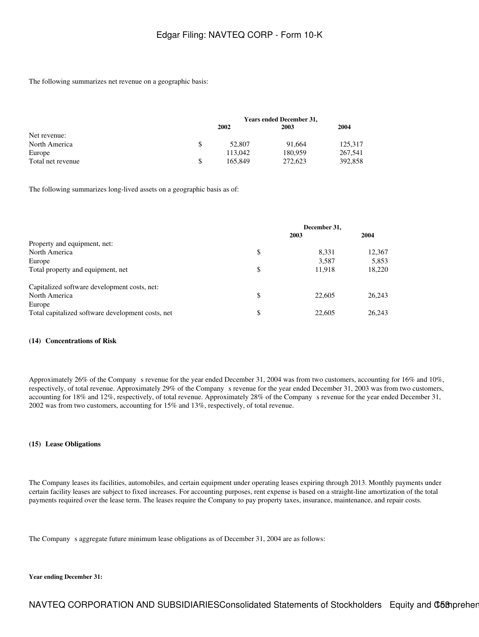The following summarizes net revenue on a geographic basis:

|                   | <b>Years ended December 31,</b> |         |         |  |  |  |
|-------------------|---------------------------------|---------|---------|--|--|--|
|                   | 2002                            | 2003    | 2004    |  |  |  |
| Net revenue:      |                                 |         |         |  |  |  |
| North America     | 52,807                          | 91.664  | 125.317 |  |  |  |
| Europe            | 113,042                         | 180,959 | 267,541 |  |  |  |
| Total net revenue | 165.849                         | 272,623 | 392,858 |  |  |  |

The following summarizes long-lived assets on a geographic basis as of:

|                                                   | December 31, |        |        |  |
|---------------------------------------------------|--------------|--------|--------|--|
|                                                   |              | 2003   | 2004   |  |
| Property and equipment, net:                      |              |        |        |  |
| North America                                     | \$           | 8.331  | 12,367 |  |
| Europe                                            |              | 3,587  | 5,853  |  |
| Total property and equipment, net                 | \$           | 11.918 | 18,220 |  |
| Capitalized software development costs, net:      |              |        |        |  |
| North America                                     | \$           | 22,605 | 26.243 |  |
| Europe                                            |              |        |        |  |
| Total capitalized software development costs, net | \$           | 22,605 | 26.243 |  |

#### **(14)Concentrations of Risk**

Approximately 26% of the Company s revenue for the year ended December 31, 2004 was from two customers, accounting for 16% and 10%, respectively, of total revenue. Approximately 29% of the Companys revenue for the year ended December 31, 2003 was from two customers, accounting for 18% and 12%, respectively, of total revenue. Approximately 28% of the Companys revenue for the year ended December 31, 2002 was from two customers, accounting for 15% and 13%, respectively, of total revenue.

#### **(15)Lease Obligations**

The Company leases its facilities, automobiles, and certain equipment under operating leases expiring through 2013. Monthly payments under certain facility leases are subject to fixed increases. For accounting purposes, rent expense is based on a straight-line amortization of the total payments required over the lease term. The leases require the Company to pay property taxes, insurance, maintenance, and repair costs.

The Company s aggregate future minimum lease obligations as of December 31, 2004 are as follows:

#### **Year ending December 31:**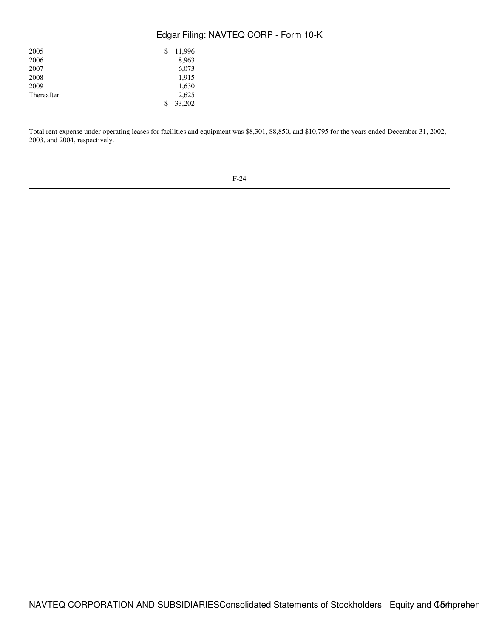| 2005       | 11,996<br>\$ |
|------------|--------------|
| 2006       | 8,963        |
| 2007       | 6,073        |
| 2008       | 1,915        |
| 2009       | 1,630        |
| Thereafter | 2,625        |
|            | 33,202<br>\$ |

Total rent expense under operating leases for facilities and equipment was \$8,301, \$8,850, and \$10,795 for the years ended December 31, 2002, 2003, and 2004, respectively.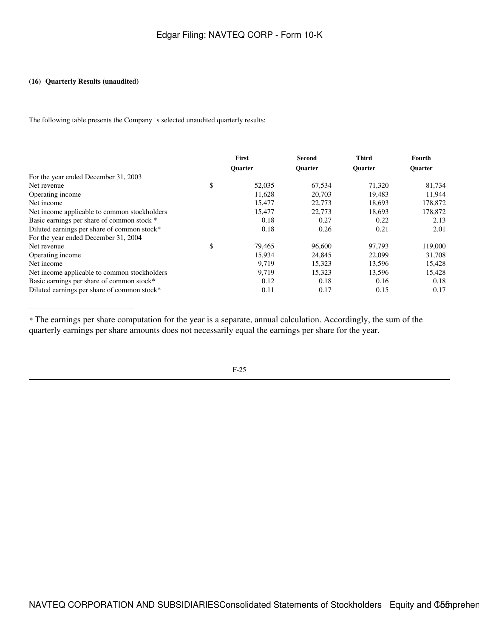### **(16) Quarterly Results (unaudited)**

The following table presents the Company s selected unaudited quarterly results:

|                                              | First          |        | Second         | <b>Third</b>   | Fourth         |
|----------------------------------------------|----------------|--------|----------------|----------------|----------------|
|                                              | <b>Ouarter</b> |        | <b>Ouarter</b> | <b>Ouarter</b> | <b>Ouarter</b> |
| For the year ended December 31, 2003         |                |        |                |                |                |
| Net revenue                                  | \$             | 52,035 | 67.534         | 71,320         | 81,734         |
| Operating income                             |                | 11,628 | 20,703         | 19,483         | 11,944         |
| Net income                                   |                | 15,477 | 22,773         | 18,693         | 178,872        |
| Net income applicable to common stockholders |                | 15.477 | 22,773         | 18.693         | 178,872        |
| Basic earnings per share of common stock *   |                | 0.18   | 0.27           | 0.22           | 2.13           |
| Diluted earnings per share of common stock*  |                | 0.18   | 0.26           | 0.21           | 2.01           |
| For the year ended December 31, 2004         |                |        |                |                |                |
| Net revenue                                  | \$             | 79,465 | 96,600         | 97,793         | 119,000        |
| Operating income                             |                | 15,934 | 24,845         | 22,099         | 31,708         |
| Net income                                   |                | 9.719  | 15,323         | 13,596         | 15.428         |
| Net income applicable to common stockholders |                | 9.719  | 15,323         | 13,596         | 15,428         |
| Basic earnings per share of common stock*    |                | 0.12   | 0.18           | 0.16           | 0.18           |
| Diluted earnings per share of common stock*  |                | 0.11   | 0.17           | 0.15           | 0.17           |

*\** The earnings per share computation for the year is a separate, annual calculation. Accordingly, the sum of the quarterly earnings per share amounts does not necessarily equal the earnings per share for the year.